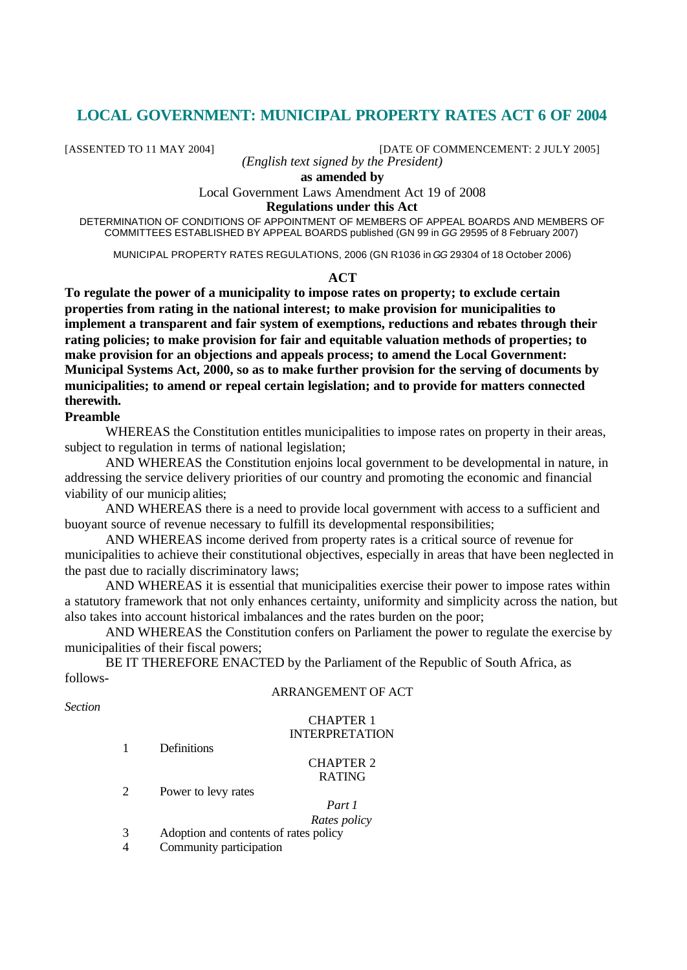# **LOCAL GOVERNMENT: MUNICIPAL PROPERTY RATES ACT 6 OF 2004**

[ASSENTED TO 11 MAY 2004] [DATE OF COMMENCEMENT: 2 JULY 2005]

*(English text signed by the President)*

**as amended by**

Local Government Laws Amendment Act 19 of 2008

## **Regulations under this Act**

DETERMINATION OF CONDITIONS OF APPOINTMENT OF MEMBERS OF APPEAL BOARDS AND MEMBERS OF COMMITTEES ESTABLISHED BY APPEAL BOARDS published (GN 99 in *GG* 29595 of 8 February 2007)

MUNICIPAL PROPERTY RATES REGULATIONS, 2006 (GN R1036 in *GG* 29304 of 18 October 2006)

#### **ACT**

**To regulate the power of a municipality to impose rates on property; to exclude certain properties from rating in the national interest; to make provision for municipalities to implement a transparent and fair system of exemptions, reductions and rebates through their rating policies; to make provision for fair and equitable valuation methods of properties; to make provision for an objections and appeals process; to amend the Local Government: Municipal Systems Act, 2000, so as to make further provision for the serving of documents by municipalities; to amend or repeal certain legislation; and to provide for matters connected therewith.**

### **Preamble**

WHEREAS the Constitution entitles municipalities to impose rates on property in their areas, subject to regulation in terms of national legislation;

AND WHEREAS the Constitution enjoins local government to be developmental in nature, in addressing the service delivery priorities of our country and promoting the economic and financial viability of our municip alities;

AND WHEREAS there is a need to provide local government with access to a sufficient and buoyant source of revenue necessary to fulfill its developmental responsibilities;

AND WHEREAS income derived from property rates is a critical source of revenue for municipalities to achieve their constitutional objectives, especially in areas that have been neglected in the past due to racially discriminatory laws;

AND WHEREAS it is essential that municipalities exercise their power to impose rates within a statutory framework that not only enhances certainty, uniformity and simplicity across the nation, but also takes into account historical imbalances and the rates burden on the poor;

AND WHEREAS the Constitution confers on Parliament the power to regulate the exercise by municipalities of their fiscal powers;

BE IT THEREFORE ENACTED by the Parliament of the Republic of South Africa, as follows-

#### ARRANGEMENT OF ACT

*Section*

# CHAPTER 1 INTERPRETATION

1 Definitions

#### CHAPTER 2 RATING

2 Power to levy rates

# *Part 1*

*Rates policy* 3 Adoption and contents of rates policy

4 Community participation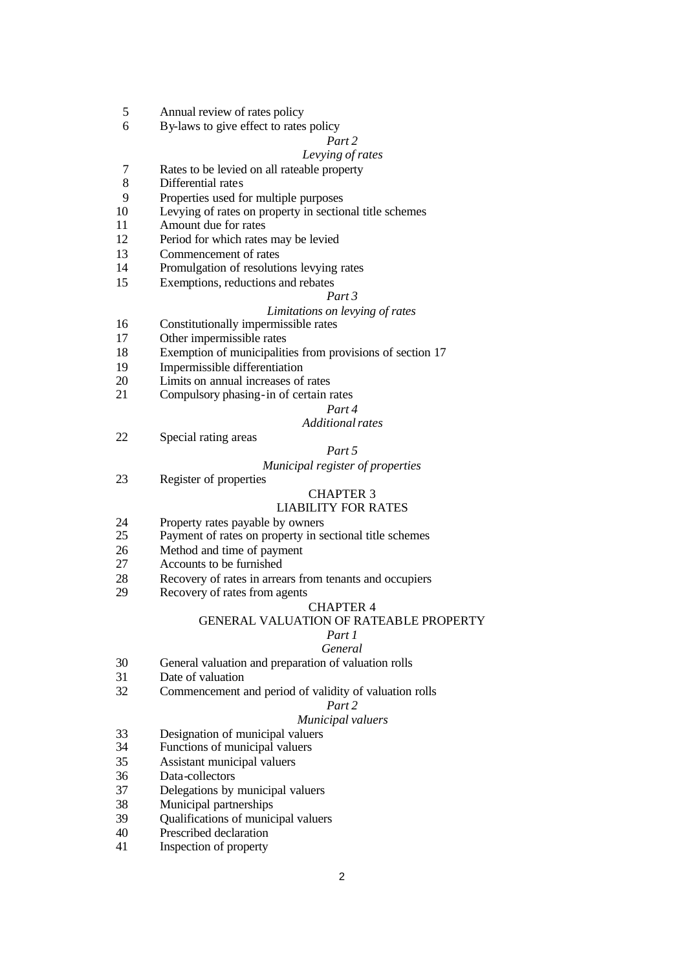- Annual review of rates policy
- By-laws to give effect to rates policy

# *Part 2*

# *Levying of rates*

- 7 Rates to be levied on all rateable property<br>8 Differential rates
- Differential rates
- Properties used for multiple purposes
- Levying of rates on property in sectional title schemes
- Amount due for rates
- Period for which rates may be levied
- Commencement of rates
- Promulgation of resolutions levying rates
- Exemptions, reductions and rebates

#### *Part 3*

### *Limitations on levying of rates*

- Constitutionally impermissible rates
- Other impermissible rates
- Exemption of municipalities from provisions of section 17
- Impermissible differentiation
- Limits on annual increases of rates
- Compulsory phasing-in of certain rates

#### *Part 4*

# *Additional rates*

Special rating areas

# *Part 5*

#### *Municipal register of properties*

Register of properties

#### CHAPTER 3

#### LIABILITY FOR RATES

- 24 Property rates payable by owners<br>25 Payment of rates on property in se
- Payment of rates on property in sectional title schemes
- Method and time of payment
- Accounts to be furnished
- Recovery of rates in arrears from tenants and occupiers
- Recovery of rates from agents

#### CHAPTER 4

#### GENERAL VALUATION OF RATEABLE PROPERTY

#### *Part 1*

#### *General*

- General valuation and preparation of valuation rolls
- Date of valuation
- Commencement and period of validity of valuation rolls

# *Part 2*

# *Municipal valuers*

- Designation of municipal valuers
- Functions of municipal valuers
- Assistant municipal valuers
- Data-collectors
- Delegations by municipal valuers
- Municipal partnerships
- Qualifications of municipal valuers
- Prescribed declaration
- Inspection of property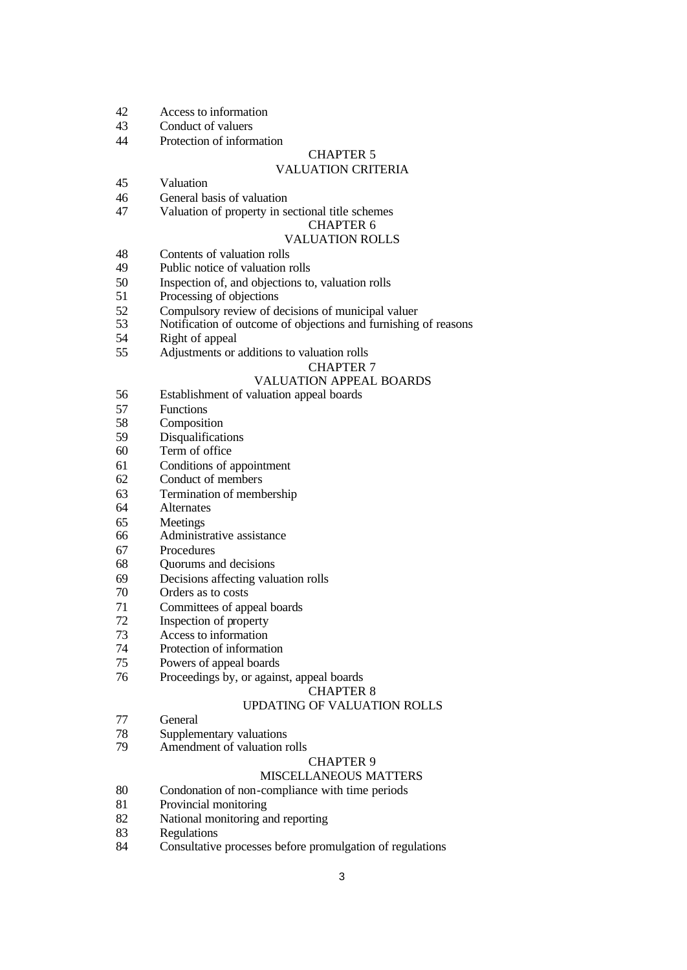- Access to information
- Conduct of valuers
- Protection of information

# CHAPTER 5

# VALUATION CRITERIA

- Valuation
- General basis of valuation
- Valuation of property in sectional title schemes

# CHAPTER 6

# VALUATION ROLLS

- Contents of valuation rolls
- Public notice of valuation rolls
- Inspection of, and objections to, valuation rolls
- Processing of objections
- 52 Compulsory review of decisions of municipal valuer<br>53 Notification of outcome of objections and furnishing
- Notification of outcome of objections and furnishing of reasons
- Right of appeal
- Adjustments or additions to valuation rolls

# CHAPTER 7

### VALUATION APPEAL BOARDS

- Establishment of valuation appeal boards
- Functions
- Composition
- Disqualifications
- Term of office
- Conditions of appointment
- Conduct of members
- Termination of membership
- Alternates
- Meetings
- Administrative assistance
- Procedures
- Quorums and decisions
- Decisions affecting valuation rolls
- Orders as to costs
- Committees of appeal boards
- Inspection of property
- Access to information
- Protection of information
- Powers of appeal boards
- Proceedings by, or against, appeal boards

# CHAPTER 8

#### UPDATING OF VALUATION ROLLS

- General
- Supplementary valuations
- Amendment of valuation rolls

#### CHAPTER 9

# MISCELLANEOUS MATTERS

- Condonation of non-compliance with time periods
- Provincial monitoring
- National monitoring and reporting
- Regulations
- Consultative processes before promulgation of regulations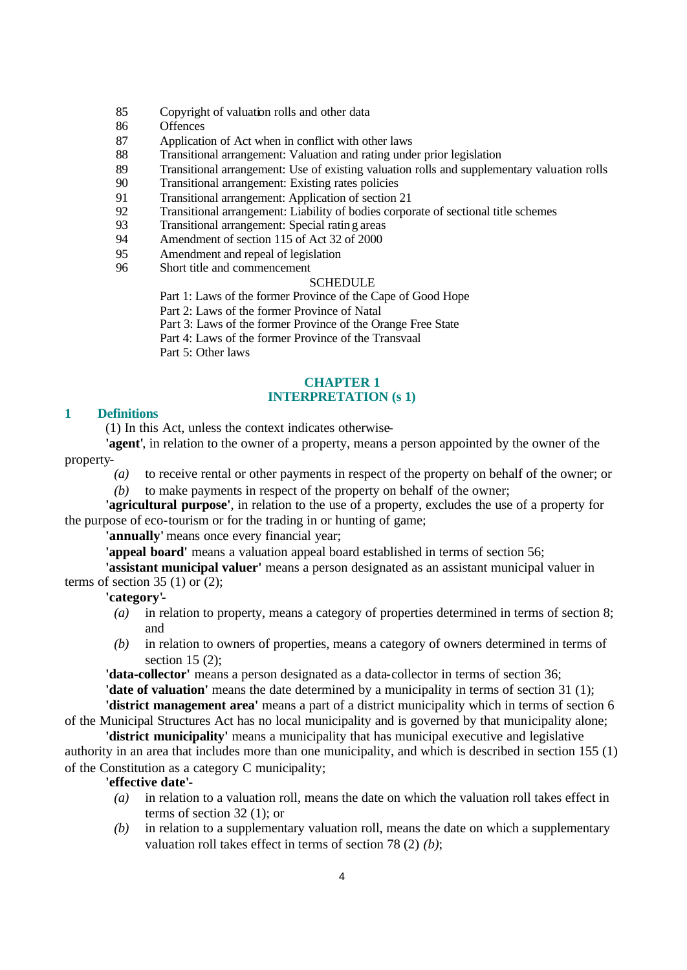- 85 Copyright of valuation rolls and other data
- 86 Offences
- 87 Application of Act when in conflict with other laws
- 88 Transitional arrangement: Valuation and rating under prior legislation
- 89 Transitional arrangement: Use of existing valuation rolls and supplementary valuation rolls
- 90 Transitional arrangement: Existing rates policies
- 91 Transitional arrangement: Application of section 21
- 92 Transitional arrangement: Liability of bodies corporate of sectional title schemes
- 93 Transitional arrangement: Special rating areas
- 94 Amendment of section 115 of Act 32 of 2000
- 95 Amendment and repeal of legislation
- 96 Short title and commencement

# SCHEDULE

Part 1: Laws of the former Province of the Cape of Good Hope

Part 2: Laws of the former Province of Natal

Part 3: Laws of the former Province of the Orange Free State

Part 4: Laws of the former Province of the Transvaal

Part 5: Other laws

### **CHAPTER 1 INTERPRETATION (s 1)**

#### **1 Definitions**

(1) In this Act, unless the context indicates otherwise-

**'agent'**, in relation to the owner of a property, means a person appointed by the owner of the property-

- *(a)* to receive rental or other payments in respect of the property on behalf of the owner; or
- *(b)* to make payments in respect of the property on behalf of the owner;

**'agricultural purpose'**, in relation to the use of a property, excludes the use of a property for the purpose of eco-tourism or for the trading in or hunting of game;

**'annually'** means once every financial year;

**'appeal board'** means a valuation appeal board established in terms of section 56;

**'assistant municipal valuer'** means a person designated as an assistant municipal valuer in terms of section  $35(1)$  or  $(2)$ ;

# **'category'**-

- *(a)* in relation to property, means a category of properties determined in terms of section 8; and
- *(b)* in relation to owners of properties, means a category of owners determined in terms of section 15 (2);

**'data-collector'** means a person designated as a data-collector in terms of section 36; **'date of valuation'** means the date determined by a municipality in terms of section 31 (1); **'district management area'** means a part of a district municipality which in terms of section 6

of the Municipal Structures Act has no local municipality and is governed by that municipality alone; **'district municipality'** means a municipality that has municipal executive and legislative

authority in an area that includes more than one municipality, and which is described in section 155 (1) of the Constitution as a category C municipality;

#### **'effective date'**-

- *(a)* in relation to a valuation roll, means the date on which the valuation roll takes effect in terms of section 32 (1); or
- *(b)* in relation to a supplementary valuation roll, means the date on which a supplementary valuation roll takes effect in terms of section 78 (2) *(b)*;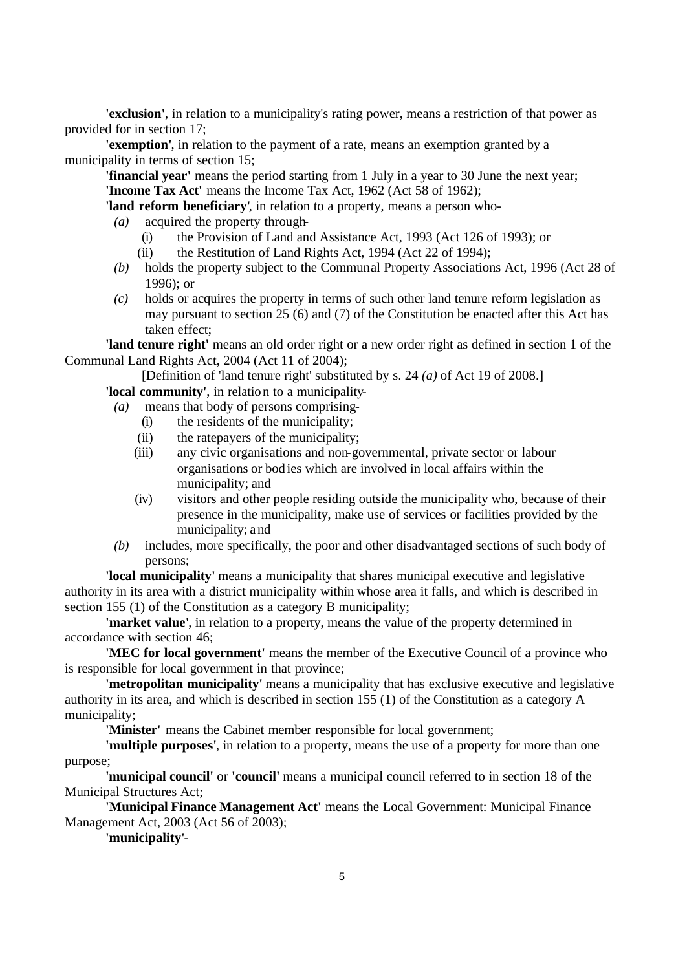**'exclusion'**, in relation to a municipality's rating power, means a restriction of that power as provided for in section 17;

**'exemption'**, in relation to the payment of a rate, means an exemption granted by a municipality in terms of section 15;

**'financial year'** means the period starting from 1 July in a year to 30 June the next year; **'Income Tax Act'** means the Income Tax Act, 1962 (Act 58 of 1962);

**'land reform beneficiary'**, in relation to a property, means a person who-

- *(a)* acquired the property through-
	- (i) the Provision of Land and Assistance Act, 1993 (Act 126 of 1993); or
	- (ii) the Restitution of Land Rights Act, 1994 (Act 22 of 1994);
- *(b)* holds the property subject to the Communal Property Associations Act, 1996 (Act 28 of 1996); or
- *(c)* holds or acquires the property in terms of such other land tenure reform legislation as may pursuant to section 25 (6) and (7) of the Constitution be enacted after this Act has taken effect;

**'land tenure right'** means an old order right or a new order right as defined in section 1 of the Communal Land Rights Act, 2004 (Act 11 of 2004);

[Definition of 'land tenure right' substituted by s. 24 *(a)* of Act 19 of 2008.]

**'local community'**, in relation to a municipality-

- *(a)* means that body of persons comprising-
	- (i) the residents of the municipality;
	- (ii) the ratepayers of the municipality;
	- (iii) any civic organisations and non-governmental, private sector or labour organisations or bod ies which are involved in local affairs within the municipality; and
	- (iv) visitors and other people residing outside the municipality who, because of their presence in the municipality, make use of services or facilities provided by the municipality; and
- *(b)* includes, more specifically, the poor and other disadvantaged sections of such body of persons;

**'local municipality'** means a municipality that shares municipal executive and legislative authority in its area with a district municipality within whose area it falls, and which is described in section 155 (1) of the Constitution as a category B municipality;

**'market value'**, in relation to a property, means the value of the property determined in accordance with section 46;

**'MEC for local government'** means the member of the Executive Council of a province who is responsible for local government in that province;

**'metropolitan municipality'** means a municipality that has exclusive executive and legislative authority in its area, and which is described in section 155 (1) of the Constitution as a category A municipality;

**'Minister'** means the Cabinet member responsible for local government;

**'multiple purposes'**, in relation to a property, means the use of a property for more than one purpose;

**'municipal council'** or **'council'** means a municipal council referred to in section 18 of the Municipal Structures Act;

**'Municipal Finance Management Act'** means the Local Government: Municipal Finance Management Act, 2003 (Act 56 of 2003);

**'municipality'**-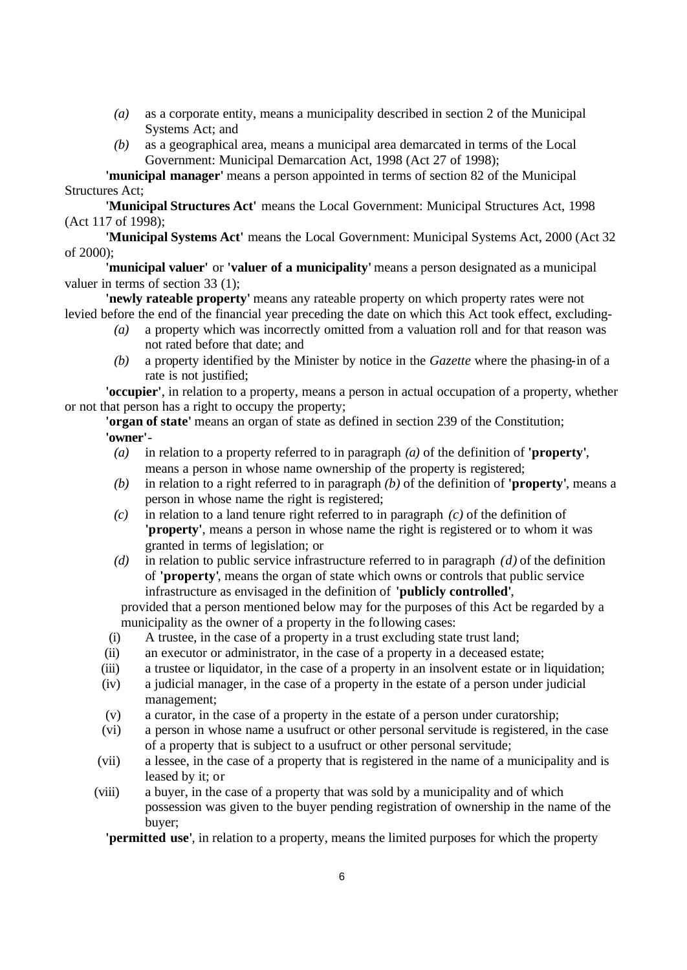- *(a)* as a corporate entity, means a municipality described in section 2 of the Municipal Systems Act; and
- *(b)* as a geographical area, means a municipal area demarcated in terms of the Local Government: Municipal Demarcation Act, 1998 (Act 27 of 1998);

**'municipal manager'** means a person appointed in terms of section 82 of the Municipal Structures Act;

**'Municipal Structures Act'** means the Local Government: Municipal Structures Act, 1998 (Act 117 of 1998);

**'Municipal Systems Act'** means the Local Government: Municipal Systems Act, 2000 (Act 32 of 2000);

**'municipal valuer'** or **'valuer of a municipality'** means a person designated as a municipal valuer in terms of section 33 (1);

**'newly rateable property'** means any rateable property on which property rates were not levied before the end of the financial year preceding the date on which this Act took effect, excluding-

- *(a)* a property which was incorrectly omitted from a valuation roll and for that reason was not rated before that date; and
- *(b)* a property identified by the Minister by notice in the *Gazette* where the phasing-in of a rate is not justified;

**'occupier'**, in relation to a property, means a person in actual occupation of a property, whether or not that person has a right to occupy the property;

**'organ of state'** means an organ of state as defined in section 239 of the Constitution; **'owner'**-

- *(a)* in relation to a property referred to in paragraph *(a)* of the definition of **'property'**, means a person in whose name ownership of the property is registered;
- *(b)* in relation to a right referred to in paragraph *(b)* of the definition of **'property'**, means a person in whose name the right is registered;
- *(c)* in relation to a land tenure right referred to in paragraph *(c)* of the definition of **'property'**, means a person in whose name the right is registered or to whom it was granted in terms of legislation; or
- *(d)* in relation to public service infrastructure referred to in paragraph *(d)* of the definition of **'property'**, means the organ of state which owns or controls that public service infrastructure as envisaged in the definition of **'publicly controlled'**,

provided that a person mentioned below may for the purposes of this Act be regarded by a municipality as the owner of a property in the following cases:

- (i) A trustee, in the case of a property in a trust excluding state trust land;
- (ii) an executor or administrator, in the case of a property in a deceased estate;
- (iii) a trustee or liquidator, in the case of a property in an insolvent estate or in liquidation;
- (iv) a judicial manager, in the case of a property in the estate of a person under judicial management;
- (v) a curator, in the case of a property in the estate of a person under curatorship;
- (vi) a person in whose name a usufruct or other personal servitude is registered, in the case of a property that is subject to a usufruct or other personal servitude;
- (vii) a lessee, in the case of a property that is registered in the name of a municipality and is leased by it; or
- (viii) a buyer, in the case of a property that was sold by a municipality and of which possession was given to the buyer pending registration of ownership in the name of the buyer;

**'permitted use'**, in relation to a property, means the limited purposes for which the property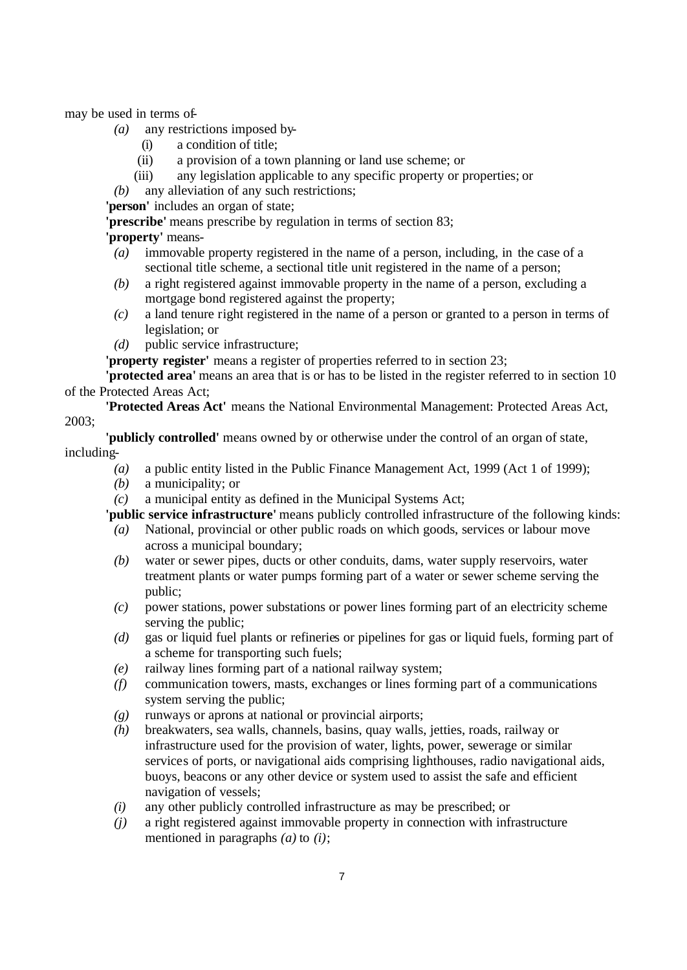may be used in terms of-

- *(a)* any restrictions imposed by-
	- (i) a condition of title;
	- (ii) a provision of a town planning or land use scheme; or
	- (iii) any legislation applicable to any specific property or properties; or

*(b)* any alleviation of any such restrictions;

**'person'** includes an organ of state;

**'prescribe'** means prescribe by regulation in terms of section 83;

**'property'** means-

- *(a)* immovable property registered in the name of a person, including, in the case of a sectional title scheme, a sectional title unit registered in the name of a person;
- *(b)* a right registered against immovable property in the name of a person, excluding a mortgage bond registered against the property;
- *(c)* a land tenure right registered in the name of a person or granted to a person in terms of legislation; or
- *(d)* public service infrastructure;

**'property register'** means a register of properties referred to in section 23;

**'protected area'** means an area that is or has to be listed in the register referred to in section 10 of the Protected Areas Act;

**'Protected Areas Act'** means the National Environmental Management: Protected Areas Act, 2003;

**'publicly controlled'** means owned by or otherwise under the control of an organ of state, including-

- *(a)* a public entity listed in the Public Finance Management Act, 1999 (Act 1 of 1999);
- *(b)* a municipality; or
- *(c)* a municipal entity as defined in the Municipal Systems Act;

**'public service infrastructure'** means publicly controlled infrastructure of the following kinds:

- *(a)* National, provincial or other public roads on which goods, services or labour move across a municipal boundary;
- *(b)* water or sewer pipes, ducts or other conduits, dams, water supply reservoirs, water treatment plants or water pumps forming part of a water or sewer scheme serving the public;
- *(c)* power stations, power substations or power lines forming part of an electricity scheme serving the public;
- *(d)* gas or liquid fuel plants or refineries or pipelines for gas or liquid fuels, forming part of a scheme for transporting such fuels;
- *(e)* railway lines forming part of a national railway system;
- *(f)* communication towers, masts, exchanges or lines forming part of a communications system serving the public;
- *(g)* runways or aprons at national or provincial airports;
- *(h)* breakwaters, sea walls, channels, basins, quay walls, jetties, roads, railway or infrastructure used for the provision of water, lights, power, sewerage or similar services of ports, or navigational aids comprising lighthouses, radio navigational aids, buoys, beacons or any other device or system used to assist the safe and efficient navigation of vessels;
- *(i)* any other publicly controlled infrastructure as may be prescribed; or
- *(j)* a right registered against immovable property in connection with infrastructure mentioned in paragraphs *(a)* to *(i)*;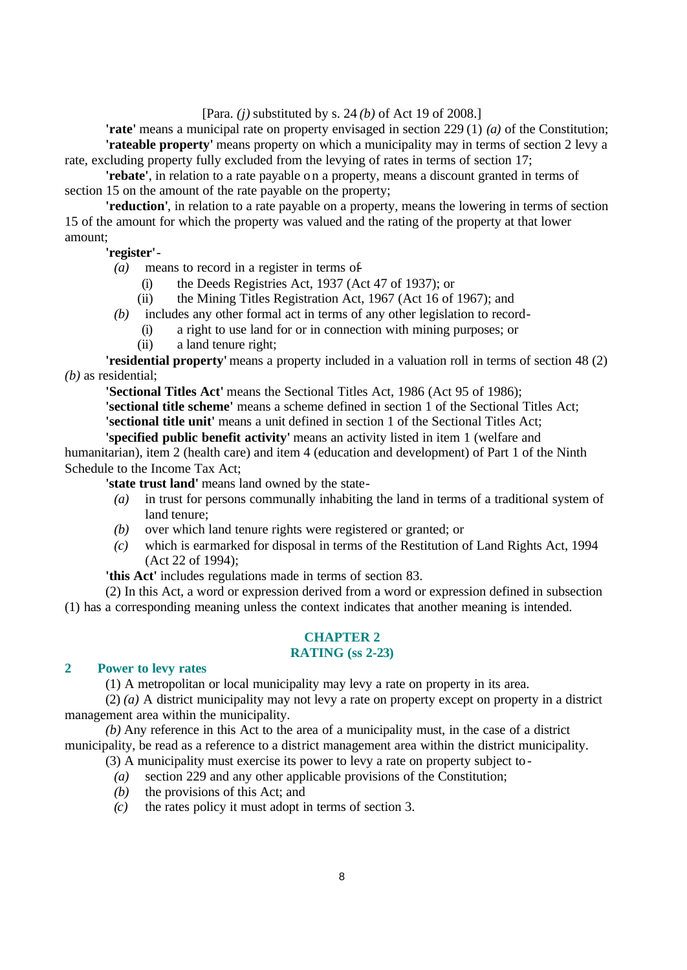[Para. *(j)* substituted by s. 24 *(b)* of Act 19 of 2008.]

**'rate'** means a municipal rate on property envisaged in section 229 (1) *(a)* of the Constitution; **'rateable property'** means property on which a municipality may in terms of section 2 levy a rate, excluding property fully excluded from the levying of rates in terms of section 17;

**'rebate'**, in relation to a rate payable on a property, means a discount granted in terms of section 15 on the amount of the rate payable on the property;

**'reduction'**, in relation to a rate payable on a property, means the lowering in terms of section 15 of the amount for which the property was valued and the rating of the property at that lower amount;

### **'register'**-

- *(a)* means to record in a register in terms of-
	- (i) the Deeds Registries Act, 1937 (Act 47 of 1937); or
	- (ii) the Mining Titles Registration Act, 1967 (Act 16 of 1967); and
- *(b)* includes any other formal act in terms of any other legislation to record-
	- (i) a right to use land for or in connection with mining purposes; or
	- (ii) a land tenure right;

**'residential property'** means a property included in a valuation roll in terms of section 48 (2) *(b)* as residential;

**'Sectional Titles Act'** means the Sectional Titles Act, 1986 (Act 95 of 1986);

**'sectional title scheme'** means a scheme defined in section 1 of the Sectional Titles Act; **'sectional title unit'** means a unit defined in section 1 of the Sectional Titles Act;

**'specified public benefit activity'** means an activity listed in item 1 (welfare and humanitarian), item 2 (health care) and item 4 (education and development) of Part 1 of the Ninth Schedule to the Income Tax Act;

**'state trust land'** means land owned by the state-

- *(a)* in trust for persons communally inhabiting the land in terms of a traditional system of land tenure;
- *(b)* over which land tenure rights were registered or granted; or
- *(c)* which is earmarked for disposal in terms of the Restitution of Land Rights Act, 1994 (Act 22 of 1994);

**'this Act'** includes regulations made in terms of section 83.

(2) In this Act, a word or expression derived from a word or expression defined in subsection (1) has a corresponding meaning unless the context indicates that another meaning is intended.

#### **CHAPTER 2 RATING (ss 2-23)**

#### **2 Power to levy rates**

(1) A metropolitan or local municipality may levy a rate on property in its area.

(2) *(a)* A district municipality may not levy a rate on property except on property in a district management area within the municipality.

*(b)* Any reference in this Act to the area of a municipality must, in the case of a district municipality, be read as a reference to a district management area within the district municipality.

- (3) A municipality must exercise its power to levy a rate on property subject to-
	- *(a)* section 229 and any other applicable provisions of the Constitution;
	- *(b)* the provisions of this Act; and
	- *(c)* the rates policy it must adopt in terms of section 3.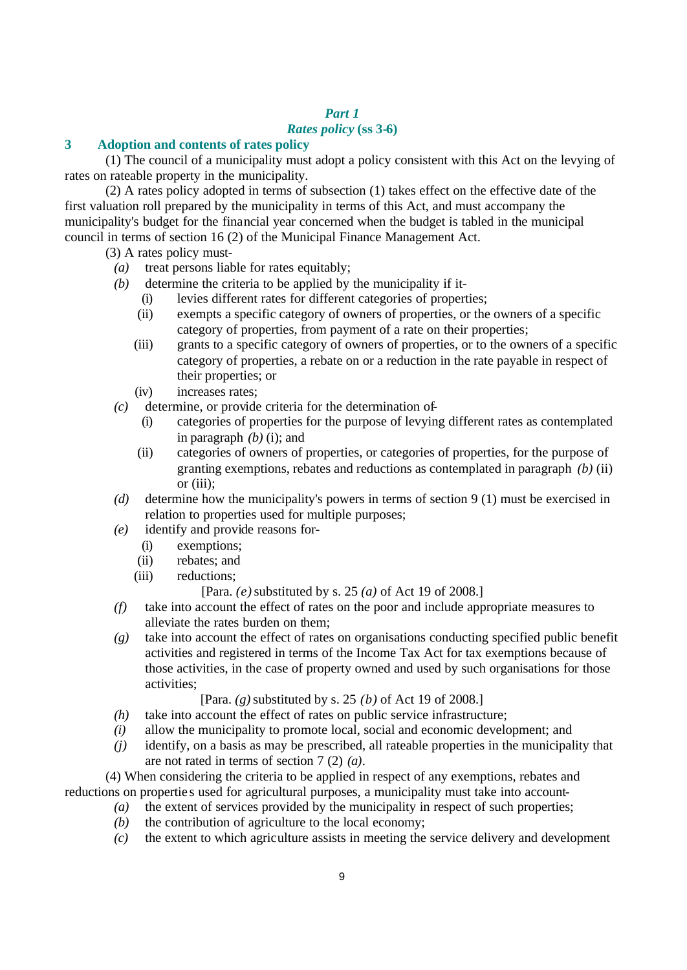# *Part 1*

# *Rates policy* **(ss 3-6)**

# **3 Adoption and contents of rates policy**

(1) The council of a municipality must adopt a policy consistent with this Act on the levying of rates on rateable property in the municipality.

(2) A rates policy adopted in terms of subsection (1) takes effect on the effective date of the first valuation roll prepared by the municipality in terms of this Act, and must accompany the municipality's budget for the financial year concerned when the budget is tabled in the municipal council in terms of section 16 (2) of the Municipal Finance Management Act.

- (3) A rates policy must-
	- *(a)* treat persons liable for rates equitably;
	- *(b)* determine the criteria to be applied by the municipality if it-
		- (i) levies different rates for different categories of properties;
		- (ii) exempts a specific category of owners of properties, or the owners of a specific category of properties, from payment of a rate on their properties;
		- (iii) grants to a specific category of owners of properties, or to the owners of a specific category of properties, a rebate on or a reduction in the rate payable in respect of their properties; or
		- (iv) increases rates;
	- *(c)* determine, or provide criteria for the determination of-
		- (i) categories of properties for the purpose of levying different rates as contemplated in paragraph *(b)* (i); and
		- (ii) categories of owners of properties, or categories of properties, for the purpose of granting exemptions, rebates and reductions as contemplated in paragraph *(b)* (ii) or (iii);
	- *(d)* determine how the municipality's powers in terms of section 9 (1) must be exercised in relation to properties used for multiple purposes;
	- *(e)* identify and provide reasons for-
		- (i) exemptions;
		- (ii) rebates; and
		- (iii) reductions;

[Para. *(e)* substituted by s. 25 *(a)* of Act 19 of 2008.]

- *(f)* take into account the effect of rates on the poor and include appropriate measures to alleviate the rates burden on them;
- *(g)* take into account the effect of rates on organisations conducting specified public benefit activities and registered in terms of the Income Tax Act for tax exemptions because of those activities, in the case of property owned and used by such organisations for those activities;

[Para. *(g)* substituted by s. 25 *(b)* of Act 19 of 2008.]

- *(h)* take into account the effect of rates on public service infrastructure;
- *(i)* allow the municipality to promote local, social and economic development; and
- *(j)* identify, on a basis as may be prescribed, all rateable properties in the municipality that are not rated in terms of section 7 (2) *(a)*.

(4) When considering the criteria to be applied in respect of any exemptions, rebates and reductions on propertie s used for agricultural purposes, a municipality must take into account-

- *(a)* the extent of services provided by the municipality in respect of such properties;
- *(b)* the contribution of agriculture to the local economy;
- *(c)* the extent to which agriculture assists in meeting the service delivery and development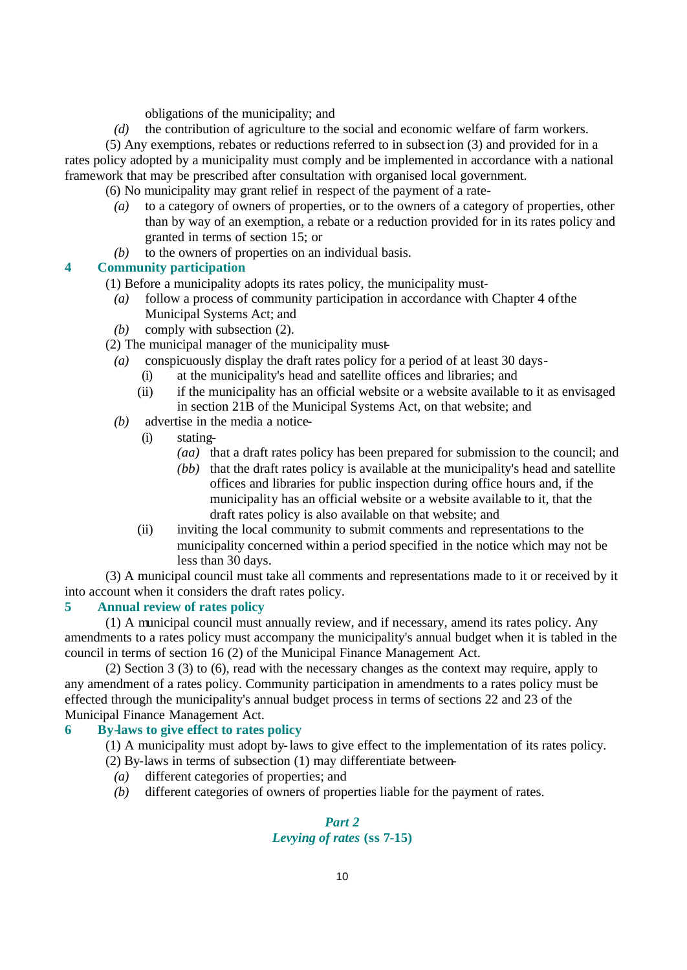obligations of the municipality; and

*(d)* the contribution of agriculture to the social and economic welfare of farm workers.

(5) Any exemptions, rebates or reductions referred to in subsection (3) and provided for in a rates policy adopted by a municipality must comply and be implemented in accordance with a national framework that may be prescribed after consultation with organised local government.

(6) No municipality may grant relief in respect of the payment of a rate-

- *(a)* to a category of owners of properties, or to the owners of a category of properties, other than by way of an exemption, a rebate or a reduction provided for in its rates policy and granted in terms of section 15; or
- *(b)* to the owners of properties on an individual basis.

### **4 Community participation**

- (1) Before a municipality adopts its rates policy, the municipality must-
	- *(a)* follow a process of community participation in accordance with Chapter 4 of the Municipal Systems Act; and
	- *(b)* comply with subsection (2).
- (2) The municipal manager of the municipality must-
	- *(a)* conspicuously display the draft rates policy for a period of at least 30 days-
		- (i) at the municipality's head and satellite offices and libraries; and
		- (ii) if the municipality has an official website or a website available to it as envisaged in section 21B of the Municipal Systems Act, on that website; and
	- *(b)* advertise in the media a notice-
		- (i) stating-
			- *(aa)* that a draft rates policy has been prepared for submission to the council; and
			- *(bb)* that the draft rates policy is available at the municipality's head and satellite offices and libraries for public inspection during office hours and, if the municipality has an official website or a website available to it, that the draft rates policy is also available on that website; and
		- (ii) inviting the local community to submit comments and representations to the municipality concerned within a period specified in the notice which may not be less than 30 days.

(3) A municipal council must take all comments and representations made to it or received by it into account when it considers the draft rates policy.

# **5 Annual review of rates policy**

(1) A municipal council must annually review, and if necessary, amend its rates policy. Any amendments to a rates policy must accompany the municipality's annual budget when it is tabled in the council in terms of section 16 (2) of the Municipal Finance Management Act.

(2) Section 3 (3) to (6), read with the necessary changes as the context may require, apply to any amendment of a rates policy. Community participation in amendments to a rates policy must be effected through the municipality's annual budget process in terms of sections 22 and 23 of the Municipal Finance Management Act.

#### **6 By-laws to give effect to rates policy**

- (1) A municipality must adopt by-laws to give effect to the implementation of its rates policy.
- (2) By-laws in terms of subsection (1) may differentiate between-
	- *(a)* different categories of properties; and
	- *(b)* different categories of owners of properties liable for the payment of rates.

# *Part 2 Levying of rates* **(ss 7-15)**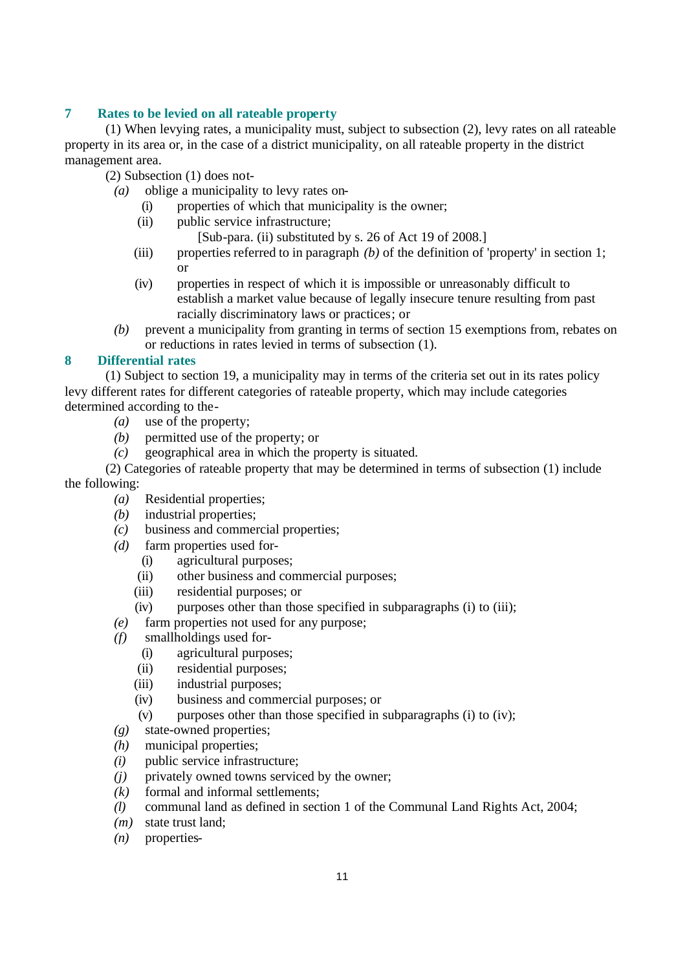# **7 Rates to be levied on all rateable property**

(1) When levying rates, a municipality must, subject to subsection (2), levy rates on all rateable property in its area or, in the case of a district municipality, on all rateable property in the district management area.

(2) Subsection (1) does not-

- *(a)* oblige a municipality to levy rates on-
	- (i) properties of which that municipality is the owner;
	- (ii) public service infrastructure;
		- [Sub-para. (ii) substituted by s. 26 of Act 19 of 2008.]
	- (iii) properties referred to in paragraph *(b)* of the definition of 'property' in section 1; or
	- (iv) properties in respect of which it is impossible or unreasonably difficult to establish a market value because of legally insecure tenure resulting from past racially discriminatory laws or practices; or
- *(b)* prevent a municipality from granting in terms of section 15 exemptions from, rebates on or reductions in rates levied in terms of subsection (1).

# **8 Differential rates**

(1) Subject to section 19, a municipality may in terms of the criteria set out in its rates policy levy different rates for different categories of rateable property, which may include categories determined according to the-

- *(a)* use of the property;
- *(b)* permitted use of the property; or
- *(c)* geographical area in which the property is situated.

(2) Categories of rateable property that may be determined in terms of subsection (1) include the following:

- *(a)* Residential properties;
- *(b)* industrial properties;
- *(c)* business and commercial properties;
- *(d)* farm properties used for-
	- (i) agricultural purposes;
	- (ii) other business and commercial purposes;
	- (iii) residential purposes; or
	- (iv) purposes other than those specified in subparagraphs (i) to (iii);
- *(e)* farm properties not used for any purpose;
- *(f)* smallholdings used for-
	- (i) agricultural purposes;
	- (ii) residential purposes;
	- (iii) industrial purposes;
	- (iv) business and commercial purposes; or
	- $(v)$  purposes other than those specified in subparagraphs (i) to (iv);
- *(g)* state-owned properties;
- *(h)* municipal properties;
- *(i)* public service infrastructure;
- *(j)* privately owned towns serviced by the owner;
- *(k)* formal and informal settlements;
- *(l)* communal land as defined in section 1 of the Communal Land Rights Act, 2004;
- *(m)* state trust land;
- *(n)* properties-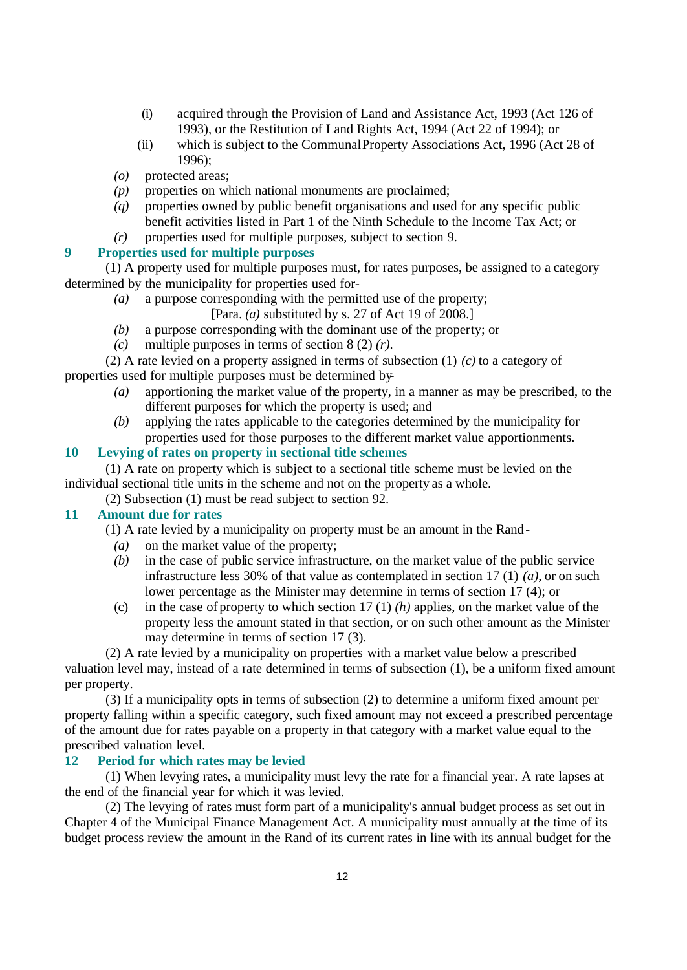- (i) acquired through the Provision of Land and Assistance Act, 1993 (Act 126 of 1993), or the Restitution of Land Rights Act, 1994 (Act 22 of 1994); or
- (ii) which is subject to the Communal Property Associations Act, 1996 (Act 28 of 1996);
- *(o)* protected areas;
- *(p)* properties on which national monuments are proclaimed;
- *(q)* properties owned by public benefit organisations and used for any specific public benefit activities listed in Part 1 of the Ninth Schedule to the Income Tax Act; or
- *(r)* properties used for multiple purposes, subject to section 9.

# **9 Properties used for multiple purposes**

(1) A property used for multiple purposes must, for rates purposes, be assigned to a category determined by the municipality for properties used for-

*(a)* a purpose corresponding with the permitted use of the property;

[Para. *(a)* substituted by s. 27 of Act 19 of 2008.]

- *(b)* a purpose corresponding with the dominant use of the property; or
- *(c)* multiple purposes in terms of section 8 (2) *(r)*.
- (2) A rate levied on a property assigned in terms of subsection (1) *(c)* to a category of properties used for multiple purposes must be determined by-
	- *(a)* apportioning the market value of the property, in a manner as may be prescribed, to the different purposes for which the property is used; and
	- *(b)* applying the rates applicable to the categories determined by the municipality for properties used for those purposes to the different market value apportionments.

# **10 Levying of rates on property in sectional title schemes**

(1) A rate on property which is subject to a sectional title scheme must be levied on the individual sectional title units in the scheme and not on the property as a whole.

(2) Subsection (1) must be read subject to section 92.

#### **11 Amount due for rates**

(1) A rate levied by a municipality on property must be an amount in the Rand-

- *(a)* on the market value of the property;
- *(b)* in the case of public service infrastructure, on the market value of the public service infrastructure less 30% of that value as contemplated in section 17 (1) *(a)*, or on such lower percentage as the Minister may determine in terms of section 17 (4); or
- (c) in the case of property to which section 17 (1) *(h)* applies, on the market value of the property less the amount stated in that section, or on such other amount as the Minister may determine in terms of section 17 (3).

(2) A rate levied by a municipality on properties with a market value below a prescribed valuation level may, instead of a rate determined in terms of subsection (1), be a uniform fixed amount per property.

(3) If a municipality opts in terms of subsection (2) to determine a uniform fixed amount per property falling within a specific category, such fixed amount may not exceed a prescribed percentage of the amount due for rates payable on a property in that category with a market value equal to the prescribed valuation level.

#### **12 Period for which rates may be levied**

(1) When levying rates, a municipality must levy the rate for a financial year. A rate lapses at the end of the financial year for which it was levied.

(2) The levying of rates must form part of a municipality's annual budget process as set out in Chapter 4 of the Municipal Finance Management Act. A municipality must annually at the time of its budget process review the amount in the Rand of its current rates in line with its annual budget for the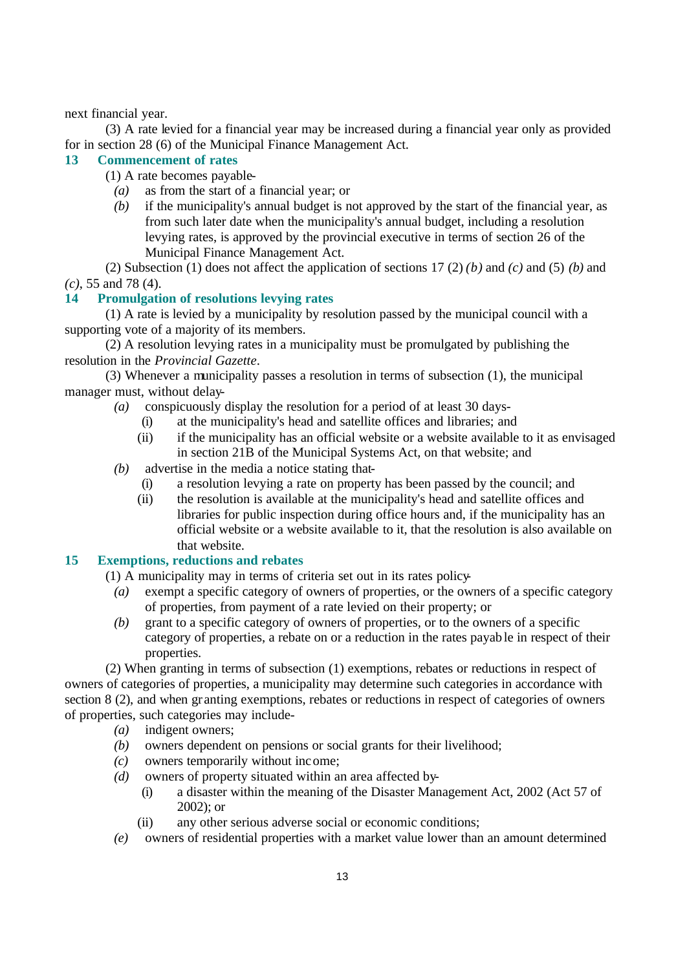next financial year.

(3) A rate levied for a financial year may be increased during a financial year only as provided for in section 28 (6) of the Municipal Finance Management Act.

# **13 Commencement of rates**

- (1) A rate becomes payable-
	- *(a)* as from the start of a financial year; or
	- *(b)* if the municipality's annual budget is not approved by the start of the financial year, as from such later date when the municipality's annual budget, including a resolution levying rates, is approved by the provincial executive in terms of section 26 of the Municipal Finance Management Act.

(2) Subsection (1) does not affect the application of sections 17 (2) *(b)* and *(c)* and (5) *(b)* and *(c)*, 55 and 78 (4).

# **14 Promulgation of resolutions levying rates**

(1) A rate is levied by a municipality by resolution passed by the municipal council with a supporting vote of a majority of its members.

(2) A resolution levying rates in a municipality must be promulgated by publishing the resolution in the *Provincial Gazette*.

(3) Whenever a municipality passes a resolution in terms of subsection (1), the municipal manager must, without delay-

*(a)* conspicuously display the resolution for a period of at least 30 days-

- (i) at the municipality's head and satellite offices and libraries; and
- (ii) if the municipality has an official website or a website available to it as envisaged in section 21B of the Municipal Systems Act, on that website; and
- *(b)* advertise in the media a notice stating that-
	- (i) a resolution levying a rate on property has been passed by the council; and
	- (ii) the resolution is available at the municipality's head and satellite offices and libraries for public inspection during office hours and, if the municipality has an official website or a website available to it, that the resolution is also available on that website.

# **15 Exemptions, reductions and rebates**

- (1) A municipality may in terms of criteria set out in its rates policy-
	- *(a)* exempt a specific category of owners of properties, or the owners of a specific category of properties, from payment of a rate levied on their property; or
	- *(b)* grant to a specific category of owners of properties, or to the owners of a specific category of properties, a rebate on or a reduction in the rates payab le in respect of their properties.

(2) When granting in terms of subsection (1) exemptions, rebates or reductions in respect of owners of categories of properties, a municipality may determine such categories in accordance with section 8 (2), and when granting exemptions, rebates or reductions in respect of categories of owners of properties, such categories may include-

- *(a)* indigent owners;
- *(b)* owners dependent on pensions or social grants for their livelihood;
- *(c)* owners temporarily without income;
- *(d)* owners of property situated within an area affected by-
	- (i) a disaster within the meaning of the Disaster Management Act, 2002 (Act 57 of 2002); or
	- (ii) any other serious adverse social or economic conditions;
- *(e)* owners of residential properties with a market value lower than an amount determined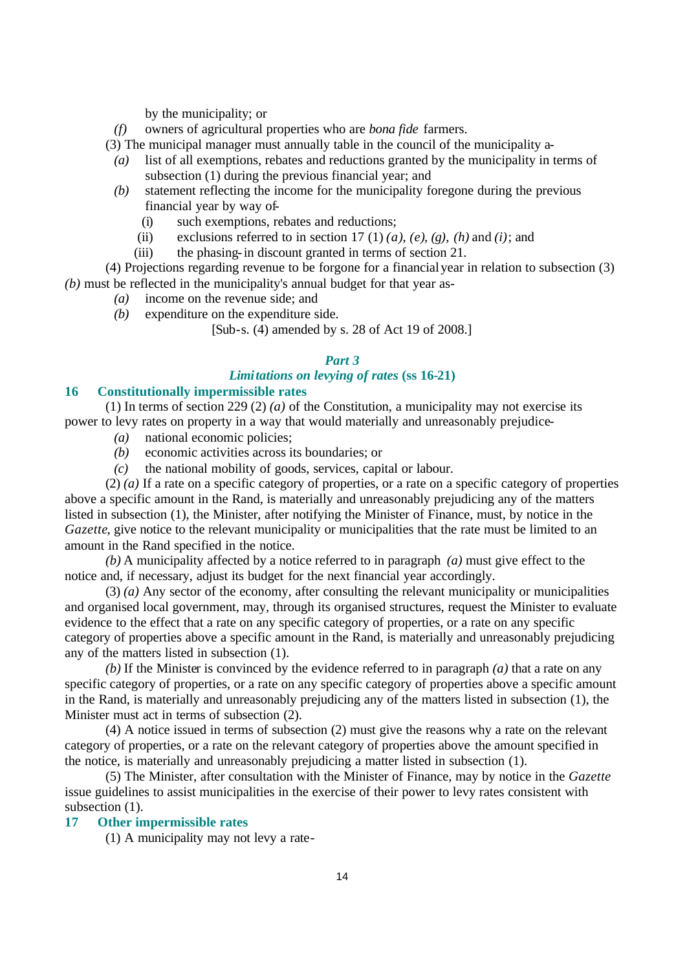by the municipality; or

*(f)* owners of agricultural properties who are *bona fide* farmers.

(3) The municipal manager must annually table in the council of the municipality a-

- *(a)* list of all exemptions, rebates and reductions granted by the municipality in terms of subsection (1) during the previous financial year; and
- *(b)* statement reflecting the income for the municipality foregone during the previous financial year by way of-
	- (i) such exemptions, rebates and reductions;
	- (ii) exclusions referred to in section 17 (1)  $(a)$ ,  $(e)$ ,  $(g)$ ,  $(h)$  and  $(i)$ ; and

(iii) the phasing-in discount granted in terms of section 21.

(4) Projections regarding revenue to be forgone for a financial year in relation to subsection (3) *(b)* must be reflected in the municipality's annual budget for that year as-

- *(a)* income on the revenue side; and
- *(b)* expenditure on the expenditure side.

[Sub-s. (4) amended by s. 28 of Act 19 of 2008.]

#### *Part 3*

# *Limitations on levying of rates* **(ss 16-21)**

#### **16 Constitutionally impermissible rates**

(1) In terms of section 229 (2) *(a)* of the Constitution, a municipality may not exercise its power to levy rates on property in a way that would materially and unreasonably prejudice-

- *(a)* national economic policies;
- *(b)* economic activities across its boundaries; or
- *(c)* the national mobility of goods, services, capital or labour.

(2) *(a)* If a rate on a specific category of properties, or a rate on a specific category of properties above a specific amount in the Rand, is materially and unreasonably prejudicing any of the matters listed in subsection (1), the Minister, after notifying the Minister of Finance, must, by notice in the *Gazette*, give notice to the relevant municipality or municipalities that the rate must be limited to an amount in the Rand specified in the notice.

*(b)* A municipality affected by a notice referred to in paragraph *(a)* must give effect to the notice and, if necessary, adjust its budget for the next financial year accordingly.

(3) *(a)* Any sector of the economy, after consulting the relevant municipality or municipalities and organised local government, may, through its organised structures, request the Minister to evaluate evidence to the effect that a rate on any specific category of properties, or a rate on any specific category of properties above a specific amount in the Rand, is materially and unreasonably prejudicing any of the matters listed in subsection (1).

*(b)* If the Minister is convinced by the evidence referred to in paragraph *(a)* that a rate on any specific category of properties, or a rate on any specific category of properties above a specific amount in the Rand, is materially and unreasonably prejudicing any of the matters listed in subsection (1), the Minister must act in terms of subsection (2).

(4) A notice issued in terms of subsection (2) must give the reasons why a rate on the relevant category of properties, or a rate on the relevant category of properties above the amount specified in the notice, is materially and unreasonably prejudicing a matter listed in subsection (1).

(5) The Minister, after consultation with the Minister of Finance, may by notice in the *Gazette* issue guidelines to assist municipalities in the exercise of their power to levy rates consistent with subsection  $(1)$ .

# **17 Other impermissible rates**

(1) A municipality may not levy a rate-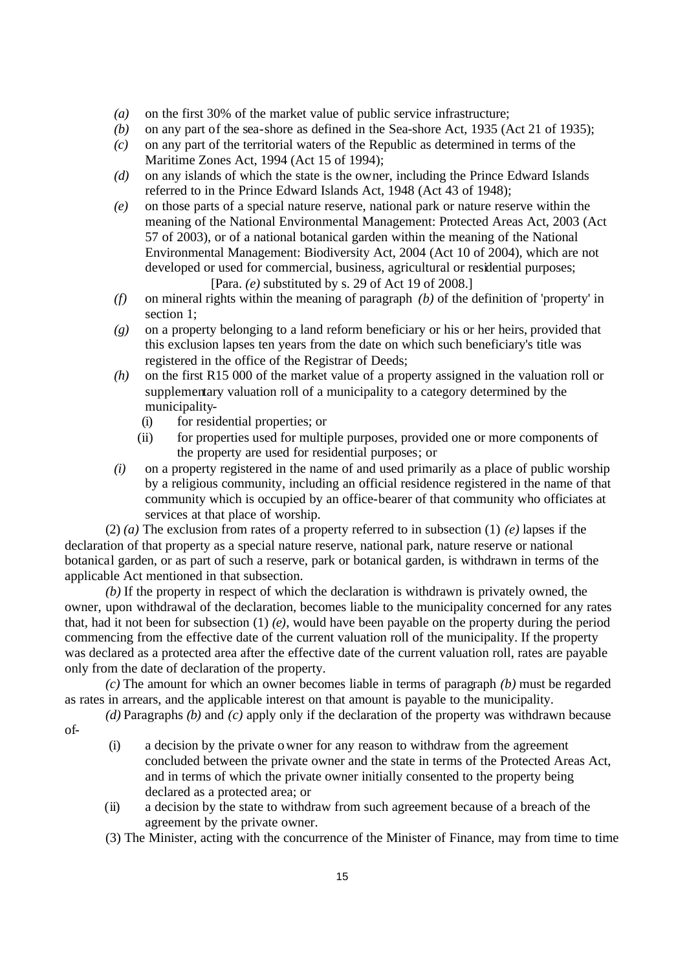- *(a)* on the first 30% of the market value of public service infrastructure;
- *(b)* on any part of the sea-shore as defined in the Sea-shore Act, 1935 (Act 21 of 1935);
- *(c)* on any part of the territorial waters of the Republic as determined in terms of the Maritime Zones Act, 1994 (Act 15 of 1994);
- *(d)* on any islands of which the state is the owner, including the Prince Edward Islands referred to in the Prince Edward Islands Act, 1948 (Act 43 of 1948);
- *(e)* on those parts of a special nature reserve, national park or nature reserve within the meaning of the National Environmental Management: Protected Areas Act, 2003 (Act 57 of 2003), or of a national botanical garden within the meaning of the National Environmental Management: Biodiversity Act, 2004 (Act 10 of 2004), which are not developed or used for commercial, business, agricultural or residential purposes; [Para. *(e)* substituted by s. 29 of Act 19 of 2008.]
- *(f)* on mineral rights within the meaning of paragraph *(b)* of the definition of 'property' in section 1:
- *(g)* on a property belonging to a land reform beneficiary or his or her heirs, provided that this exclusion lapses ten years from the date on which such beneficiary's title was registered in the office of the Registrar of Deeds;
- *(h)* on the first R15 000 of the market value of a property assigned in the valuation roll or supplementary valuation roll of a municipality to a category determined by the municipality-
	- (i) for residential properties; or
	- (ii) for properties used for multiple purposes, provided one or more components of the property are used for residential purposes; or
- *(i)* on a property registered in the name of and used primarily as a place of public worship by a religious community, including an official residence registered in the name of that community which is occupied by an office-bearer of that community who officiates at services at that place of worship.

(2) *(a)* The exclusion from rates of a property referred to in subsection (1) *(e)* lapses if the declaration of that property as a special nature reserve, national park, nature reserve or national botanical garden, or as part of such a reserve, park or botanical garden, is withdrawn in terms of the applicable Act mentioned in that subsection.

*(b)* If the property in respect of which the declaration is withdrawn is privately owned, the owner, upon withdrawal of the declaration, becomes liable to the municipality concerned for any rates that, had it not been for subsection (1) *(e)*, would have been payable on the property during the period commencing from the effective date of the current valuation roll of the municipality. If the property was declared as a protected area after the effective date of the current valuation roll, rates are payable only from the date of declaration of the property.

*(c)* The amount for which an owner becomes liable in terms of paragraph *(b)* must be regarded as rates in arrears, and the applicable interest on that amount is payable to the municipality.

*(d)* Paragraphs *(b)* and *(c)* apply only if the declaration of the property was withdrawn because

of-

- (i) a decision by the private owner for any reason to withdraw from the agreement concluded between the private owner and the state in terms of the Protected Areas Act, and in terms of which the private owner initially consented to the property being declared as a protected area; or
- (ii) a decision by the state to withdraw from such agreement because of a breach of the agreement by the private owner.
- (3) The Minister, acting with the concurrence of the Minister of Finance, may from time to time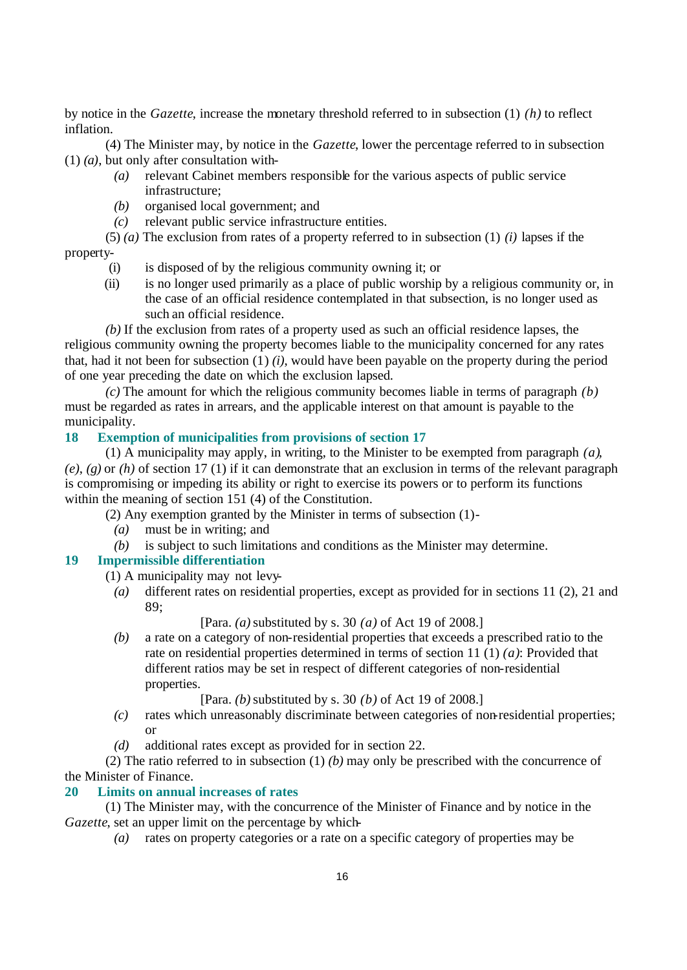by notice in the *Gazette*, increase the monetary threshold referred to in subsection (1) *(h)* to reflect inflation.

(4) The Minister may, by notice in the *Gazette*, lower the percentage referred to in subsection (1) *(a)*, but only after consultation with-

- *(a)* relevant Cabinet members responsible for the various aspects of public service infrastructure;
- *(b)* organised local government; and
- *(c)* relevant public service infrastructure entities.
- (5) *(a)* The exclusion from rates of a property referred to in subsection (1) *(i)* lapses if the property-
	- (i) is disposed of by the religious community owning it; or
	- (ii) is no longer used primarily as a place of public worship by a religious community or, in the case of an official residence contemplated in that subsection, is no longer used as such an official residence.

*(b)* If the exclusion from rates of a property used as such an official residence lapses, the religious community owning the property becomes liable to the municipality concerned for any rates that, had it not been for subsection (1) *(i)*, would have been payable on the property during the period of one year preceding the date on which the exclusion lapsed.

*(c)* The amount for which the religious community becomes liable in terms of paragraph *(b)* must be regarded as rates in arrears, and the applicable interest on that amount is payable to the municipality.

# **18 Exemption of municipalities from provisions of section 17**

(1) A municipality may apply, in writing, to the Minister to be exempted from paragraph *(a)*, *(e)*, *(g)* or *(h)* of section 17 (1) if it can demonstrate that an exclusion in terms of the relevant paragraph is compromising or impeding its ability or right to exercise its powers or to perform its functions within the meaning of section 151 (4) of the Constitution.

(2) Any exemption granted by the Minister in terms of subsection (1)-

- *(a)* must be in writing; and
- *(b)* is subject to such limitations and conditions as the Minister may determine.

# **19 Impermissible differentiation**

(1) A municipality may not levy-

*(a)* different rates on residential properties, except as provided for in sections 11 (2), 21 and 89;

[Para. *(a)* substituted by s. 30 *(a)* of Act 19 of 2008.]

*(b)* a rate on a category of non-residential properties that exceeds a prescribed ratio to the rate on residential properties determined in terms of section 11 (1) *(a)*: Provided that different ratios may be set in respect of different categories of non-residential properties.

[Para. *(b)* substituted by s. 30 *(b)* of Act 19 of 2008.]

- *(c)* rates which unreasonably discriminate between categories of non-residential properties; or
- *(d)* additional rates except as provided for in section 22.

(2) The ratio referred to in subsection (1) *(b)* may only be prescribed with the concurrence of the Minister of Finance.

# **20 Limits on annual increases of rates**

(1) The Minister may, with the concurrence of the Minister of Finance and by notice in the *Gazette*, set an upper limit on the percentage by which-

*(a)* rates on property categories or a rate on a specific category of properties may be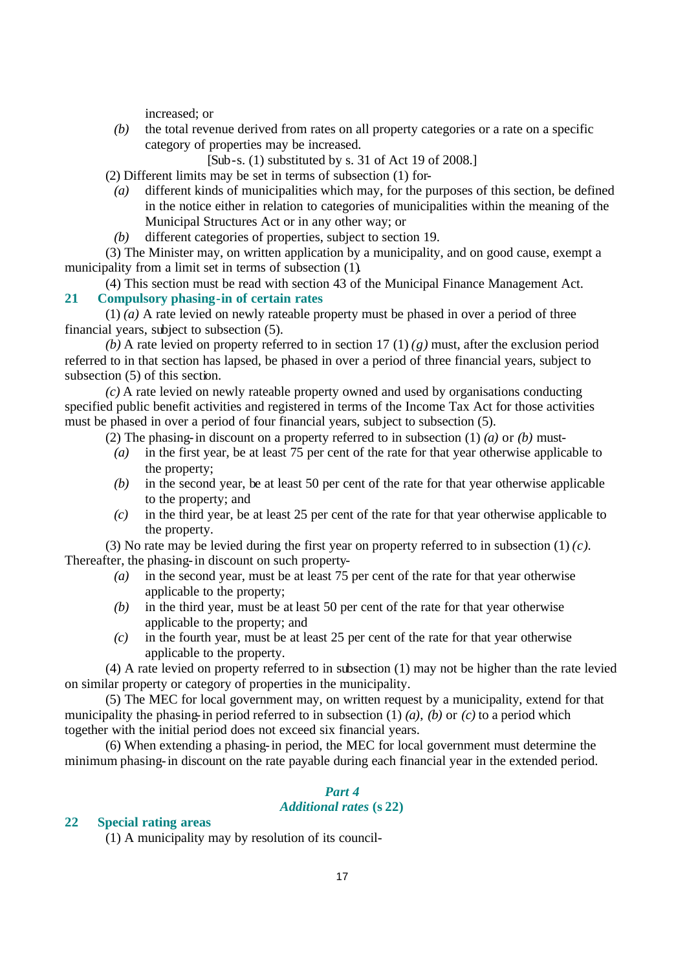increased; or

*(b)* the total revenue derived from rates on all property categories or a rate on a specific category of properties may be increased.

[Sub-s. (1) substituted by s. 31 of Act 19 of 2008.]

- (2) Different limits may be set in terms of subsection (1) for-
	- *(a)* different kinds of municipalities which may, for the purposes of this section, be defined in the notice either in relation to categories of municipalities within the meaning of the Municipal Structures Act or in any other way; or
	- *(b)* different categories of properties, subject to section 19.

(3) The Minister may, on written application by a municipality, and on good cause, exempt a municipality from a limit set in terms of subsection (1).

(4) This section must be read with section 43 of the Municipal Finance Management Act. **21 Compulsory phasing-in of certain rates** 

(1) *(a)* A rate levied on newly rateable property must be phased in over a period of three financial years, subject to subsection (5).

*(b)* A rate levied on property referred to in section 17 (1) *(g)* must, after the exclusion period referred to in that section has lapsed, be phased in over a period of three financial years, subject to subsection (5) of this section.

*(c)* A rate levied on newly rateable property owned and used by organisations conducting specified public benefit activities and registered in terms of the Income Tax Act for those activities must be phased in over a period of four financial years, subject to subsection (5).

- (2) The phasing-in discount on a property referred to in subsection (1) *(a)* or *(b)* must-
- *(a)* in the first year, be at least 75 per cent of the rate for that year otherwise applicable to the property;
- *(b)* in the second year, be at least 50 per cent of the rate for that year otherwise applicable to the property; and
- *(c)* in the third year, be at least 25 per cent of the rate for that year otherwise applicable to the property.

(3) No rate may be levied during the first year on property referred to in subsection  $(1)(c)$ . Thereafter, the phasing-in discount on such property-

- *(a)* in the second year, must be at least 75 per cent of the rate for that year otherwise applicable to the property;
- *(b)* in the third year, must be at least 50 per cent of the rate for that year otherwise applicable to the property; and
- *(c)* in the fourth year, must be at least 25 per cent of the rate for that year otherwise applicable to the property.

(4) A rate levied on property referred to in subsection (1) may not be higher than the rate levied on similar property or category of properties in the municipality.

(5) The MEC for local government may, on written request by a municipality, extend for that municipality the phasing-in period referred to in subsection (1) *(a)*, *(b)* or *(c)* to a period which together with the initial period does not exceed six financial years.

(6) When extending a phasing-in period, the MEC for local government must determine the minimum phasing-in discount on the rate payable during each financial year in the extended period.

# *Part 4 Additional rates* **(s 22)**

#### **22 Special rating areas**

(1) A municipality may by resolution of its council-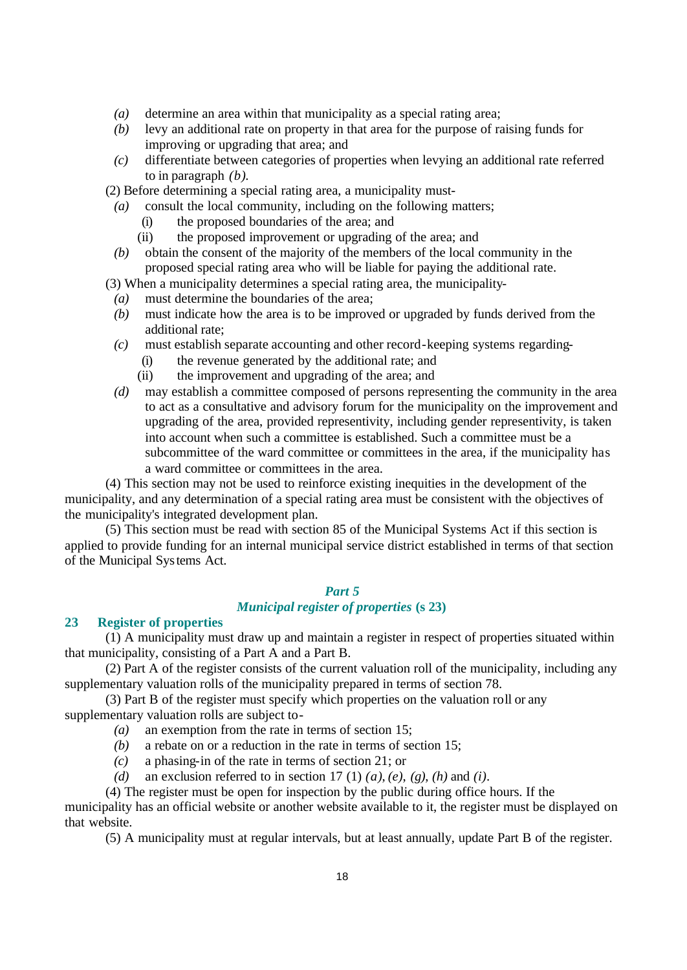- *(a)* determine an area within that municipality as a special rating area;
- *(b)* levy an additional rate on property in that area for the purpose of raising funds for improving or upgrading that area; and
- *(c)* differentiate between categories of properties when levying an additional rate referred to in paragraph *(b)*.

(2) Before determining a special rating area, a municipality must-

- *(a)* consult the local community, including on the following matters;
	- (i) the proposed boundaries of the area; and
	- (ii) the proposed improvement or upgrading of the area; and
- *(b)* obtain the consent of the majority of the members of the local community in the proposed special rating area who will be liable for paying the additional rate.

(3) When a municipality determines a special rating area, the municipality-

- *(a)* must determine the boundaries of the area;
- *(b)* must indicate how the area is to be improved or upgraded by funds derived from the additional rate;
- *(c)* must establish separate accounting and other record-keeping systems regarding-
	- (i) the revenue generated by the additional rate; and
	- (ii) the improvement and upgrading of the area; and
- *(d)* may establish a committee composed of persons representing the community in the area to act as a consultative and advisory forum for the municipality on the improvement and upgrading of the area, provided representivity, including gender representivity, is taken into account when such a committee is established. Such a committee must be a subcommittee of the ward committee or committees in the area, if the municipality has a ward committee or committees in the area.

(4) This section may not be used to reinforce existing inequities in the development of the municipality, and any determination of a special rating area must be consistent with the objectives of the municipality's integrated development plan.

(5) This section must be read with section 85 of the Municipal Systems Act if this section is applied to provide funding for an internal municipal service district established in terms of that section of the Municipal Systems Act.

# *Part 5*

# *Municipal register of properties* **(s 23)**

# **23 Register of properties**

(1) A municipality must draw up and maintain a register in respect of properties situated within that municipality, consisting of a Part A and a Part B.

(2) Part A of the register consists of the current valuation roll of the municipality, including any supplementary valuation rolls of the municipality prepared in terms of section 78.

(3) Part B of the register must specify which properties on the valuation roll or any supplementary valuation rolls are subject to-

- *(a)* an exemption from the rate in terms of section 15;
- *(b)* a rebate on or a reduction in the rate in terms of section 15;
- *(c)* a phasing-in of the rate in terms of section 21; or
- *(d)* an exclusion referred to in section 17 (1) *(a)*, *(e)*, *(g)*, *(h)* and *(i)*.

(4) The register must be open for inspection by the public during office hours. If the municipality has an official website or another website available to it, the register must be displayed on that website.

(5) A municipality must at regular intervals, but at least annually, update Part B of the register.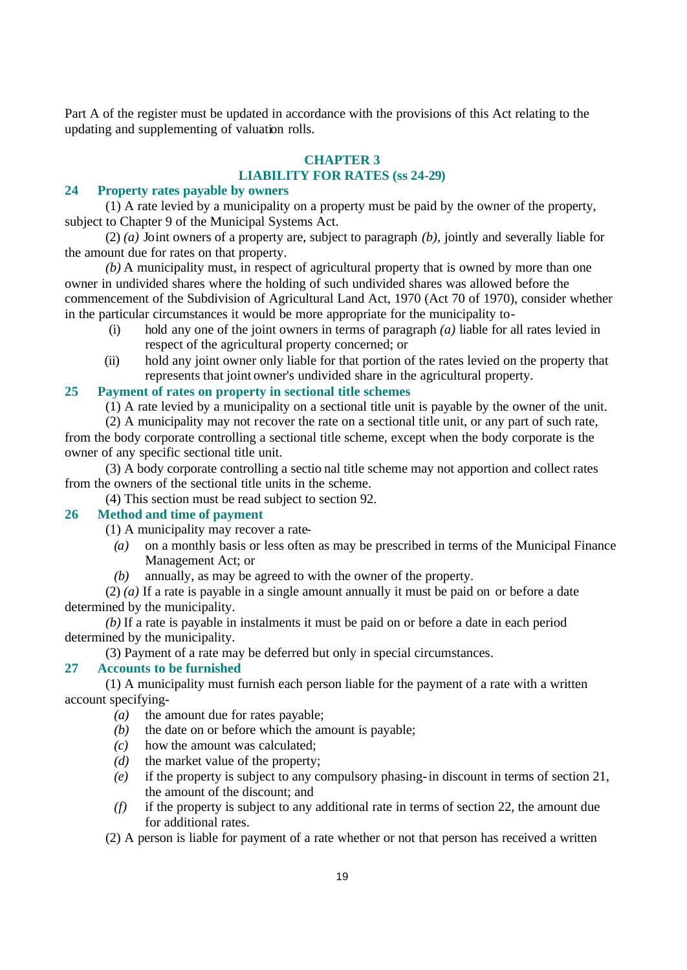Part A of the register must be updated in accordance with the provisions of this Act relating to the updating and supplementing of valuation rolls.

# **CHAPTER 3 LIABILITY FOR RATES (ss 24-29)**

#### **24 Property rates payable by owners**

(1) A rate levied by a municipality on a property must be paid by the owner of the property, subject to Chapter 9 of the Municipal Systems Act.

(2) *(a)* Joint owners of a property are, subject to paragraph *(b)*, jointly and severally liable for the amount due for rates on that property.

*(b)* A municipality must, in respect of agricultural property that is owned by more than one owner in undivided shares where the holding of such undivided shares was allowed before the commencement of the Subdivision of Agricultural Land Act, 1970 (Act 70 of 1970), consider whether in the particular circumstances it would be more appropriate for the municipality to-

- (i) hold any one of the joint owners in terms of paragraph *(a)* liable for all rates levied in respect of the agricultural property concerned; or
- (ii) hold any joint owner only liable for that portion of the rates levied on the property that represents that joint owner's undivided share in the agricultural property.

#### **25 Payment of rates on property in sectional title schemes**

(1) A rate levied by a municipality on a sectional title unit is payable by the owner of the unit.

(2) A municipality may not recover the rate on a sectional title unit, or any part of such rate, from the body corporate controlling a sectional title scheme, except when the body corporate is the owner of any specific sectional title unit.

(3) A body corporate controlling a sectio nal title scheme may not apportion and collect rates from the owners of the sectional title units in the scheme.

(4) This section must be read subject to section 92.

#### **26 Method and time of payment**

(1) A municipality may recover a rate-

- *(a)* on a monthly basis or less often as may be prescribed in terms of the Municipal Finance Management Act; or
- *(b)* annually, as may be agreed to with the owner of the property.

(2) *(a)* If a rate is payable in a single amount annually it must be paid on or before a date determined by the municipality.

*(b)* If a rate is payable in instalments it must be paid on or before a date in each period determined by the municipality.

(3) Payment of a rate may be deferred but only in special circumstances.

### **27 Accounts to be furnished**

(1) A municipality must furnish each person liable for the payment of a rate with a written account specifying-

- *(a)* the amount due for rates payable;
- *(b)* the date on or before which the amount is payable;
- *(c)* how the amount was calculated;
- *(d)* the market value of the property;
- *(e)* if the property is subject to any compulsory phasing-in discount in terms of section 21, the amount of the discount; and
- *(f)* if the property is subject to any additional rate in terms of section 22, the amount due for additional rates.

(2) A person is liable for payment of a rate whether or not that person has received a written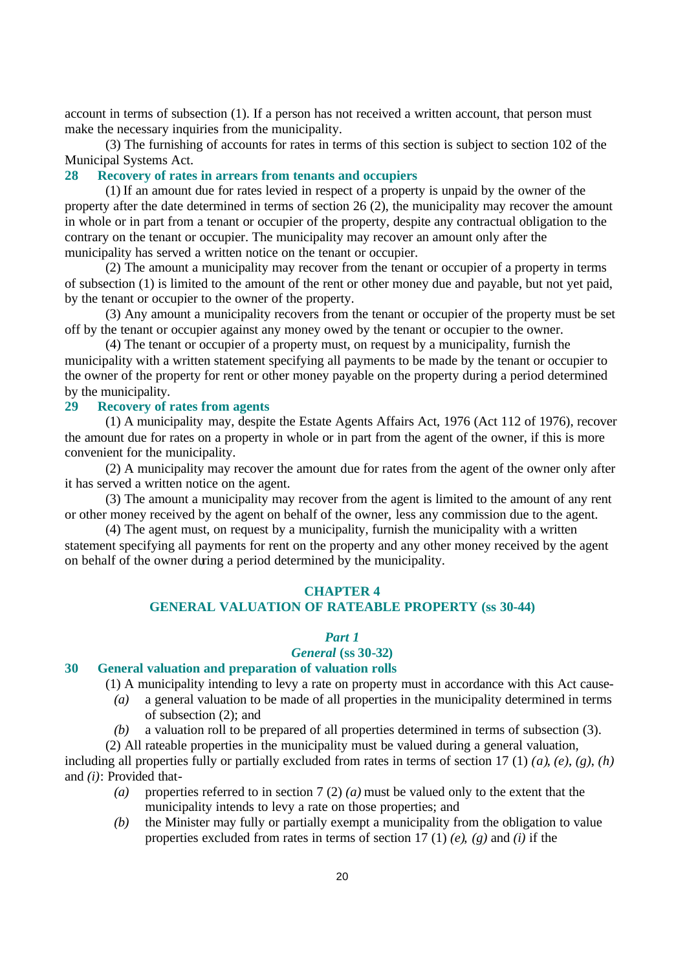account in terms of subsection (1). If a person has not received a written account, that person must make the necessary inquiries from the municipality.

(3) The furnishing of accounts for rates in terms of this section is subject to section 102 of the Municipal Systems Act.

# **28 Recovery of rates in arrears from tenants and occupiers**

(1) If an amount due for rates levied in respect of a property is unpaid by the owner of the property after the date determined in terms of section 26 (2), the municipality may recover the amount in whole or in part from a tenant or occupier of the property, despite any contractual obligation to the contrary on the tenant or occupier. The municipality may recover an amount only after the municipality has served a written notice on the tenant or occupier.

(2) The amount a municipality may recover from the tenant or occupier of a property in terms of subsection (1) is limited to the amount of the rent or other money due and payable, but not yet paid, by the tenant or occupier to the owner of the property.

(3) Any amount a municipality recovers from the tenant or occupier of the property must be set off by the tenant or occupier against any money owed by the tenant or occupier to the owner.

(4) The tenant or occupier of a property must, on request by a municipality, furnish the municipality with a written statement specifying all payments to be made by the tenant or occupier to the owner of the property for rent or other money payable on the property during a period determined by the municipality.

### **29 Recovery of rates from agents**

(1) A municipality may, despite the Estate Agents Affairs Act, 1976 (Act 112 of 1976), recover the amount due for rates on a property in whole or in part from the agent of the owner, if this is more convenient for the municipality.

(2) A municipality may recover the amount due for rates from the agent of the owner only after it has served a written notice on the agent.

(3) The amount a municipality may recover from the agent is limited to the amount of any rent or other money received by the agent on behalf of the owner, less any commission due to the agent.

(4) The agent must, on request by a municipality, furnish the municipality with a written statement specifying all payments for rent on the property and any other money received by the agent on behalf of the owner during a period determined by the municipality.

#### **CHAPTER 4**

# **GENERAL VALUATION OF RATEABLE PROPERTY (ss 30-44)**

#### *Part 1*

#### *General* **(ss 30-32)**

#### **30 General valuation and preparation of valuation rolls**

(1) A municipality intending to levy a rate on property must in accordance with this Act cause-

- *(a)* a general valuation to be made of all properties in the municipality determined in terms of subsection (2); and
- *(b)* a valuation roll to be prepared of all properties determined in terms of subsection (3).

(2) All rateable properties in the municipality must be valued during a general valuation,

including all properties fully or partially excluded from rates in terms of section 17 (1) *(a)*, *(e)*, *(g)*, *(h)* and *(i)*: Provided that-

- *(a)* properties referred to in section 7 (2) *(a)* must be valued only to the extent that the municipality intends to levy a rate on those properties; and
- *(b)* the Minister may fully or partially exempt a municipality from the obligation to value properties excluded from rates in terms of section 17 (1) *(e)*, *(g)* and *(i)* if the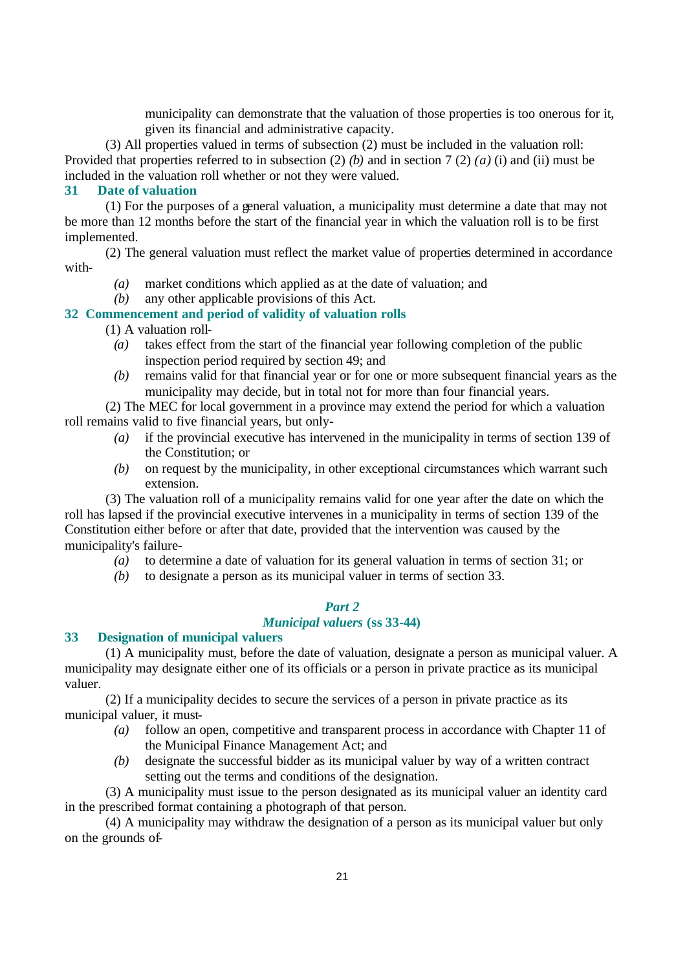municipality can demonstrate that the valuation of those properties is too onerous for it, given its financial and administrative capacity.

(3) All properties valued in terms of subsection (2) must be included in the valuation roll: Provided that properties referred to in subsection (2) *(b)* and in section 7 (2) *(a)* (i) and (ii) must be included in the valuation roll whether or not they were valued.

#### **31 Date of valuation**

(1) For the purposes of a general valuation, a municipality must determine a date that may not be more than 12 months before the start of the financial year in which the valuation roll is to be first implemented.

(2) The general valuation must reflect the market value of properties determined in accordance with-

- *(a)* market conditions which applied as at the date of valuation; and
- *(b)* any other applicable provisions of this Act.

# **32 Commencement and period of validity of valuation rolls**

(1) A valuation roll-

- *(a)* takes effect from the start of the financial year following completion of the public inspection period required by section 49; and
- *(b)* remains valid for that financial year or for one or more subsequent financial years as the municipality may decide, but in total not for more than four financial years.

(2) The MEC for local government in a province may extend the period for which a valuation roll remains valid to five financial years, but only-

- *(a)* if the provincial executive has intervened in the municipality in terms of section 139 of the Constitution; or
- *(b)* on request by the municipality, in other exceptional circumstances which warrant such extension.

(3) The valuation roll of a municipality remains valid for one year after the date on which the roll has lapsed if the provincial executive intervenes in a municipality in terms of section 139 of the Constitution either before or after that date, provided that the intervention was caused by the municipality's failure-

- *(a)* to determine a date of valuation for its general valuation in terms of section 31; or
- *(b)* to designate a person as its municipal valuer in terms of section 33.

#### *Part 2*

# *Municipal valuers* **(ss 33-44)**

# **33 Designation of municipal valuers**

(1) A municipality must, before the date of valuation, designate a person as municipal valuer. A municipality may designate either one of its officials or a person in private practice as its municipal valuer.

(2) If a municipality decides to secure the services of a person in private practice as its municipal valuer, it must-

- *(a)* follow an open, competitive and transparent process in accordance with Chapter 11 of the Municipal Finance Management Act; and
- *(b)* designate the successful bidder as its municipal valuer by way of a written contract setting out the terms and conditions of the designation.

(3) A municipality must issue to the person designated as its municipal valuer an identity card in the prescribed format containing a photograph of that person.

(4) A municipality may withdraw the designation of a person as its municipal valuer but only on the grounds of-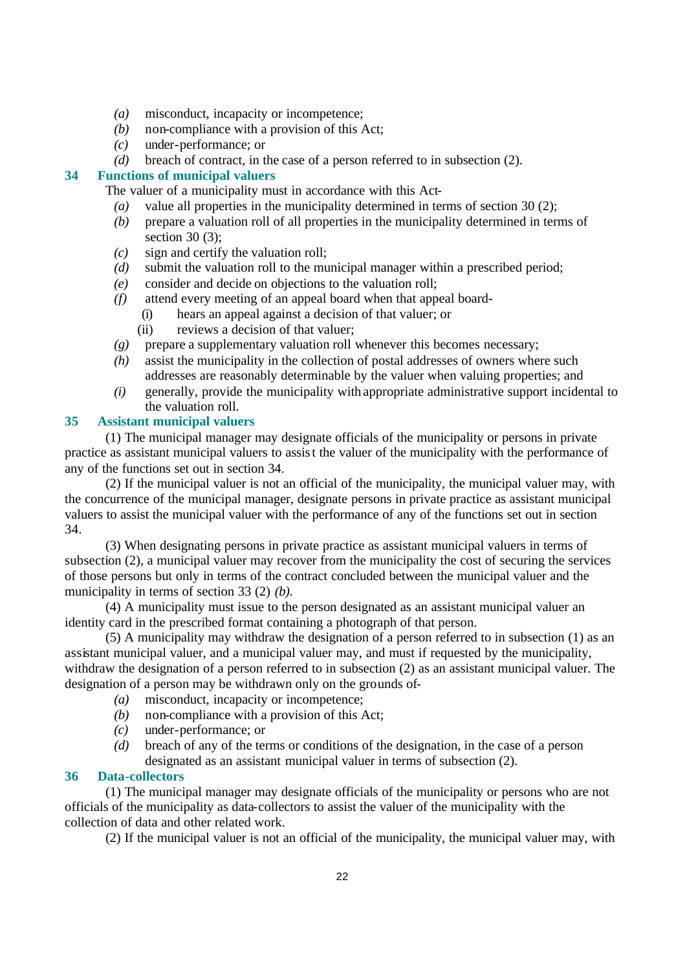- *(a)* misconduct, incapacity or incompetence;
- *(b)* non-compliance with a provision of this Act;
- *(c)* under-performance; or
- *(d)* breach of contract, in the case of a person referred to in subsection (2).

# **34 Functions of municipal valuers**

The valuer of a municipality must in accordance with this Act-

- *(a)* value all properties in the municipality determined in terms of section 30 (2);
- *(b)* prepare a valuation roll of all properties in the municipality determined in terms of section 30 (3);
- *(c)* sign and certify the valuation roll;
- *(d)* submit the valuation roll to the municipal manager within a prescribed period;
- *(e)* consider and decide on objections to the valuation roll;
- *(f)* attend every meeting of an appeal board when that appeal board-
	- (i) hears an appeal against a decision of that valuer; or
	- (ii) reviews a decision of that valuer;
- *(g)* prepare a supplementary valuation roll whenever this becomes necessary;
- *(h)* assist the municipality in the collection of postal addresses of owners where such addresses are reasonably determinable by the valuer when valuing properties; and
- *(i)* generally, provide the municipality with appropriate administrative support incidental to the valuation roll.

### **35 Assistant municipal valuers**

(1) The municipal manager may designate officials of the municipality or persons in private practice as assistant municipal valuers to assist the valuer of the municipality with the performance of any of the functions set out in section 34.

(2) If the municipal valuer is not an official of the municipality, the municipal valuer may, with the concurrence of the municipal manager, designate persons in private practice as assistant municipal valuers to assist the municipal valuer with the performance of any of the functions set out in section 34.

(3) When designating persons in private practice as assistant municipal valuers in terms of subsection (2), a municipal valuer may recover from the municipality the cost of securing the services of those persons but only in terms of the contract concluded between the municipal valuer and the municipality in terms of section 33 (2) *(b)*.

(4) A municipality must issue to the person designated as an assistant municipal valuer an identity card in the prescribed format containing a photograph of that person.

(5) A municipality may withdraw the designation of a person referred to in subsection (1) as an assistant municipal valuer, and a municipal valuer may, and must if requested by the municipality, withdraw the designation of a person referred to in subsection (2) as an assistant municipal valuer. The designation of a person may be withdrawn only on the grounds of-

- *(a)* misconduct, incapacity or incompetence;
- *(b)* non-compliance with a provision of this Act;
- *(c)* under-performance; or
- *(d)* breach of any of the terms or conditions of the designation, in the case of a person designated as an assistant municipal valuer in terms of subsection (2).

### **36 Data-collectors**

(1) The municipal manager may designate officials of the municipality or persons who are not officials of the municipality as data-collectors to assist the valuer of the municipality with the collection of data and other related work.

(2) If the municipal valuer is not an official of the municipality, the municipal valuer may, with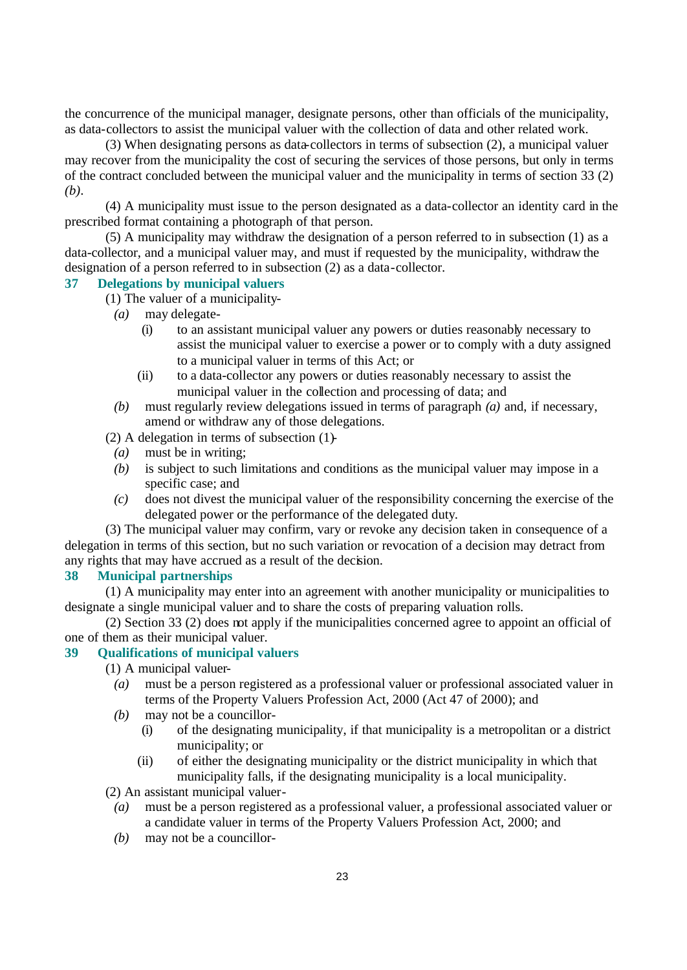the concurrence of the municipal manager, designate persons, other than officials of the municipality, as data-collectors to assist the municipal valuer with the collection of data and other related work.

(3) When designating persons as data-collectors in terms of subsection (2), a municipal valuer may recover from the municipality the cost of securing the services of those persons, but only in terms of the contract concluded between the municipal valuer and the municipality in terms of section 33 (2) *(b)*.

(4) A municipality must issue to the person designated as a data-collector an identity card in the prescribed format containing a photograph of that person.

(5) A municipality may withdraw the designation of a person referred to in subsection (1) as a data-collector, and a municipal valuer may, and must if requested by the municipality, withdraw the designation of a person referred to in subsection (2) as a data-collector.

# **37 Delegations by municipal valuers**

- (1) The valuer of a municipality-
	- *(a)* may delegate-
		- (i) to an assistant municipal valuer any powers or duties reasonably necessary to assist the municipal valuer to exercise a power or to comply with a duty assigned to a municipal valuer in terms of this Act; or
		- (ii) to a data-collector any powers or duties reasonably necessary to assist the municipal valuer in the collection and processing of data; and
	- *(b)* must regularly review delegations issued in terms of paragraph *(a)* and, if necessary, amend or withdraw any of those delegations.
- (2) A delegation in terms of subsection (1)-
	- *(a)* must be in writing;
	- *(b)* is subject to such limitations and conditions as the municipal valuer may impose in a specific case; and
	- *(c)* does not divest the municipal valuer of the responsibility concerning the exercise of the delegated power or the performance of the delegated duty.

(3) The municipal valuer may confirm, vary or revoke any decision taken in consequence of a delegation in terms of this section, but no such variation or revocation of a decision may detract from any rights that may have accrued as a result of the decision.

#### **38 Municipal partnerships**

(1) A municipality may enter into an agreement with another municipality or municipalities to designate a single municipal valuer and to share the costs of preparing valuation rolls.

(2) Section 33 (2) does not apply if the municipalities concerned agree to appoint an official of one of them as their municipal valuer.

# **39 Qualifications of municipal valuers**

- (1) A municipal valuer-
	- *(a)* must be a person registered as a professional valuer or professional associated valuer in terms of the Property Valuers Profession Act, 2000 (Act 47 of 2000); and
	- *(b)* may not be a councillor-
		- (i) of the designating municipality, if that municipality is a metropolitan or a district municipality; or
		- (ii) of either the designating municipality or the district municipality in which that municipality falls, if the designating municipality is a local municipality.

(2) An assistant municipal valuer-

- *(a)* must be a person registered as a professional valuer, a professional associated valuer or a candidate valuer in terms of the Property Valuers Profession Act, 2000; and
- *(b)* may not be a councillor-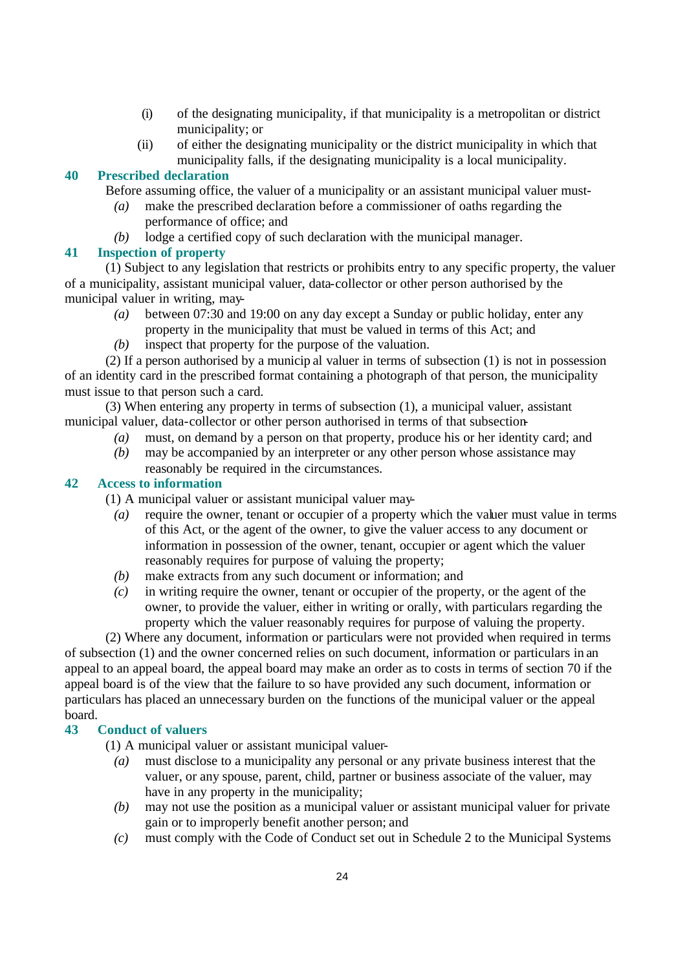- (i) of the designating municipality, if that municipality is a metropolitan or district municipality; or
- (ii) of either the designating municipality or the district municipality in which that municipality falls, if the designating municipality is a local municipality.

# **40 Prescribed declaration**

Before assuming office, the valuer of a municipality or an assistant municipal valuer must-

- *(a)* make the prescribed declaration before a commissioner of oaths regarding the performance of office; and
- *(b)* lodge a certified copy of such declaration with the municipal manager.

### **41 Inspection of property**

(1) Subject to any legislation that restricts or prohibits entry to any specific property, the valuer of a municipality, assistant municipal valuer, data-collector or other person authorised by the municipal valuer in writing, may-

- *(a)* between 07:30 and 19:00 on any day except a Sunday or public holiday, enter any property in the municipality that must be valued in terms of this Act; and
- *(b)* inspect that property for the purpose of the valuation.

(2) If a person authorised by a municip al valuer in terms of subsection (1) is not in possession of an identity card in the prescribed format containing a photograph of that person, the municipality must issue to that person such a card.

(3) When entering any property in terms of subsection (1), a municipal valuer, assistant municipal valuer, data-collector or other person authorised in terms of that subsection-

- *(a)* must, on demand by a person on that property, produce his or her identity card; and
- *(b)* may be accompanied by an interpreter or any other person whose assistance may reasonably be required in the circumstances.

# **42 Access to information**

(1) A municipal valuer or assistant municipal valuer may-

- *(a)* require the owner, tenant or occupier of a property which the valuer must value in terms of this Act, or the agent of the owner, to give the valuer access to any document or information in possession of the owner, tenant, occupier or agent which the valuer reasonably requires for purpose of valuing the property;
- *(b)* make extracts from any such document or information; and
- *(c)* in writing require the owner, tenant or occupier of the property, or the agent of the owner, to provide the valuer, either in writing or orally, with particulars regarding the property which the valuer reasonably requires for purpose of valuing the property.

(2) Where any document, information or particulars were not provided when required in terms of subsection (1) and the owner concerned relies on such document, information or particulars in an appeal to an appeal board, the appeal board may make an order as to costs in terms of section 70 if the appeal board is of the view that the failure to so have provided any such document, information or particulars has placed an unnecessary burden on the functions of the municipal valuer or the appeal board.

# **43 Conduct of valuers**

(1) A municipal valuer or assistant municipal valuer-

- *(a)* must disclose to a municipality any personal or any private business interest that the valuer, or any spouse, parent, child, partner or business associate of the valuer, may have in any property in the municipality:
- *(b)* may not use the position as a municipal valuer or assistant municipal valuer for private gain or to improperly benefit another person; and
- *(c)* must comply with the Code of Conduct set out in Schedule 2 to the Municipal Systems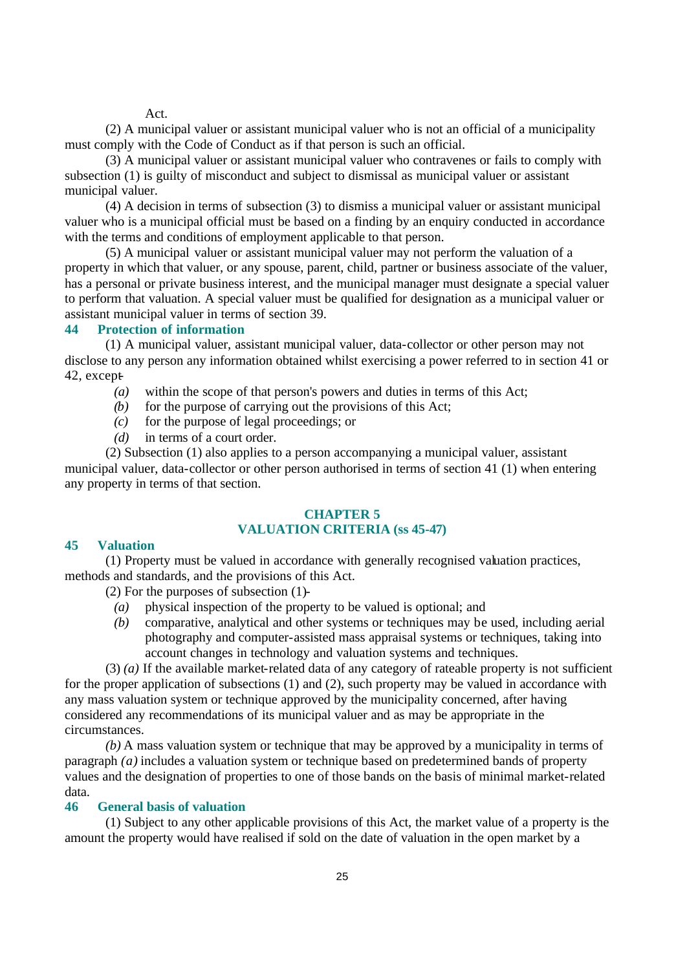Act.

(2) A municipal valuer or assistant municipal valuer who is not an official of a municipality must comply with the Code of Conduct as if that person is such an official.

(3) A municipal valuer or assistant municipal valuer who contravenes or fails to comply with subsection (1) is guilty of misconduct and subject to dismissal as municipal valuer or assistant municipal valuer.

(4) A decision in terms of subsection (3) to dismiss a municipal valuer or assistant municipal valuer who is a municipal official must be based on a finding by an enquiry conducted in accordance with the terms and conditions of employment applicable to that person.

(5) A municipal valuer or assistant municipal valuer may not perform the valuation of a property in which that valuer, or any spouse, parent, child, partner or business associate of the valuer, has a personal or private business interest, and the municipal manager must designate a special valuer to perform that valuation. A special valuer must be qualified for designation as a municipal valuer or assistant municipal valuer in terms of section 39.

#### **44 Protection of information**

(1) A municipal valuer, assistant municipal valuer, data-collector or other person may not disclose to any person any information obtained whilst exercising a power referred to in section 41 or 42, except-

- *(a)* within the scope of that person's powers and duties in terms of this Act;
- *(b)* for the purpose of carrying out the provisions of this Act;
- *(c)* for the purpose of legal proceedings; or
- *(d)* in terms of a court order.

(2) Subsection (1) also applies to a person accompanying a municipal valuer, assistant municipal valuer, data-collector or other person authorised in terms of section 41 (1) when entering any property in terms of that section.

### **CHAPTER 5 VALUATION CRITERIA (ss 45-47)**

#### **45 Valuation**

(1) Property must be valued in accordance with generally recognised valuation practices, methods and standards, and the provisions of this Act.

(2) For the purposes of subsection (1)-

- *(a)* physical inspection of the property to be valued is optional; and
- *(b)* comparative, analytical and other systems or techniques may be used, including aerial photography and computer-assisted mass appraisal systems or techniques, taking into account changes in technology and valuation systems and techniques.

(3) *(a)* If the available market-related data of any category of rateable property is not sufficient for the proper application of subsections (1) and (2), such property may be valued in accordance with any mass valuation system or technique approved by the municipality concerned, after having considered any recommendations of its municipal valuer and as may be appropriate in the circumstances.

*(b)* A mass valuation system or technique that may be approved by a municipality in terms of paragraph *(a)* includes a valuation system or technique based on predetermined bands of property values and the designation of properties to one of those bands on the basis of minimal market-related data.

#### **46 General basis of valuation**

(1) Subject to any other applicable provisions of this Act, the market value of a property is the amount the property would have realised if sold on the date of valuation in the open market by a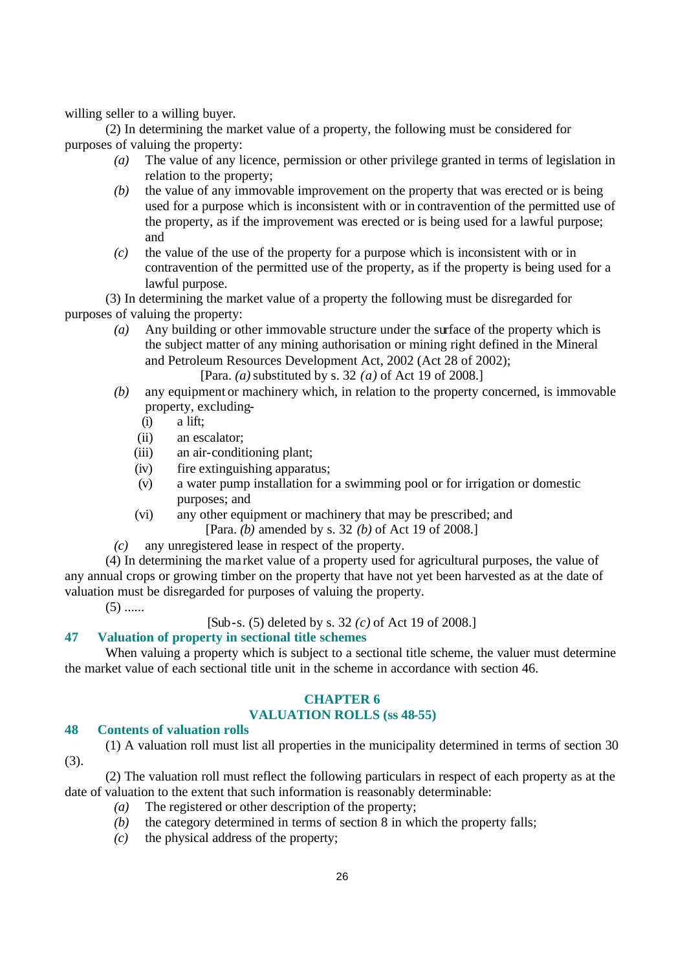willing seller to a willing buyer.

(2) In determining the market value of a property, the following must be considered for purposes of valuing the property:

- *(a)* The value of any licence, permission or other privilege granted in terms of legislation in relation to the property;
- *(b)* the value of any immovable improvement on the property that was erected or is being used for a purpose which is inconsistent with or in contravention of the permitted use of the property, as if the improvement was erected or is being used for a lawful purpose; and
- *(c)* the value of the use of the property for a purpose which is inconsistent with or in contravention of the permitted use of the property, as if the property is being used for a lawful purpose.

(3) In determining the market value of a property the following must be disregarded for purposes of valuing the property:

- *(a)* Any building or other immovable structure under the surface of the property which is the subject matter of any mining authorisation or mining right defined in the Mineral and Petroleum Resources Development Act, 2002 (Act 28 of 2002); [Para. *(a)* substituted by s. 32 *(a)* of Act 19 of 2008.]
- *(b)* any equipment or machinery which, in relation to the property concerned, is immovable property, excluding-
	- (i) a lift;
	- (ii) an escalator;
	- (iii) an air-conditioning plant;
	- (iv) fire extinguishing apparatus;
	- (v) a water pump installation for a swimming pool or for irrigation or domestic purposes; and
	- (vi) any other equipment or machinery that may be prescribed; and [Para. *(b)* amended by s. 32 *(b)* of Act 19 of 2008.]
- *(c)* any unregistered lease in respect of the property.

(4) In determining the ma rket value of a property used for agricultural purposes, the value of any annual crops or growing timber on the property that have not yet been harvested as at the date of valuation must be disregarded for purposes of valuing the property.

 $(5)$  ......

[Sub-s. (5) deleted by s. 32 *(c)* of Act 19 of 2008.]

# **47 Valuation of property in sectional title schemes**

When valuing a property which is subject to a sectional title scheme, the valuer must determine the market value of each sectional title unit in the scheme in accordance with section 46.

# **CHAPTER 6**

# **VALUATION ROLLS (ss 48-55)**

# **48 Contents of valuation rolls**

(1) A valuation roll must list all properties in the municipality determined in terms of section 30 (3).

(2) The valuation roll must reflect the following particulars in respect of each property as at the date of valuation to the extent that such information is reasonably determinable:

- *(a)* The registered or other description of the property;
- *(b)* the category determined in terms of section 8 in which the property falls;
- *(c)* the physical address of the property;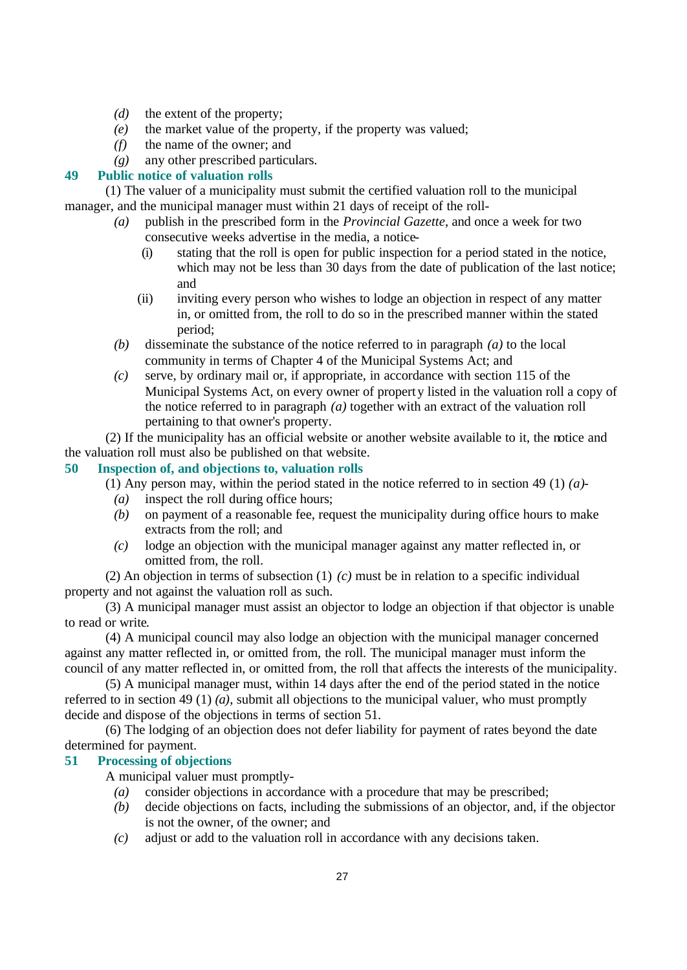- *(d)* the extent of the property;
- *(e)* the market value of the property, if the property was valued;
- *(f)* the name of the owner; and
- *(g)* any other prescribed particulars.

# **49 Public notice of valuation rolls**

(1) The valuer of a municipality must submit the certified valuation roll to the municipal manager, and the municipal manager must within 21 days of receipt of the roll-

- *(a)* publish in the prescribed form in the *Provincial Gazette*, and once a week for two consecutive weeks advertise in the media, a notice-
	- (i) stating that the roll is open for public inspection for a period stated in the notice, which may not be less than 30 days from the date of publication of the last notice; and
	- (ii) inviting every person who wishes to lodge an objection in respect of any matter in, or omitted from, the roll to do so in the prescribed manner within the stated period;
- *(b)* disseminate the substance of the notice referred to in paragraph *(a)* to the local community in terms of Chapter 4 of the Municipal Systems Act; and
- *(c)* serve, by ordinary mail or, if appropriate, in accordance with section 115 of the Municipal Systems Act, on every owner of property listed in the valuation roll a copy of the notice referred to in paragraph *(a)* together with an extract of the valuation roll pertaining to that owner's property.

(2) If the municipality has an official website or another website available to it, the notice and the valuation roll must also be published on that website.

# **50 Inspection of, and objections to, valuation rolls**

(1) Any person may, within the period stated in the notice referred to in section 49 (1) *(a)*-

- *(a)* inspect the roll during office hours;
- *(b)* on payment of a reasonable fee, request the municipality during office hours to make extracts from the roll; and
- *(c)* lodge an objection with the municipal manager against any matter reflected in, or omitted from, the roll.

(2) An objection in terms of subsection (1) *(c)* must be in relation to a specific individual property and not against the valuation roll as such.

(3) A municipal manager must assist an objector to lodge an objection if that objector is unable to read or write.

(4) A municipal council may also lodge an objection with the municipal manager concerned against any matter reflected in, or omitted from, the roll. The municipal manager must inform the council of any matter reflected in, or omitted from, the roll that affects the interests of the municipality.

(5) A municipal manager must, within 14 days after the end of the period stated in the notice referred to in section 49 (1) *(a)*, submit all objections to the municipal valuer, who must promptly decide and dispose of the objections in terms of section 51.

(6) The lodging of an objection does not defer liability for payment of rates beyond the date determined for payment.

## **51 Processing of objections**

A municipal valuer must promptly-

- *(a)* consider objections in accordance with a procedure that may be prescribed;
- *(b)* decide objections on facts, including the submissions of an objector, and, if the objector is not the owner, of the owner; and
- *(c)* adjust or add to the valuation roll in accordance with any decisions taken.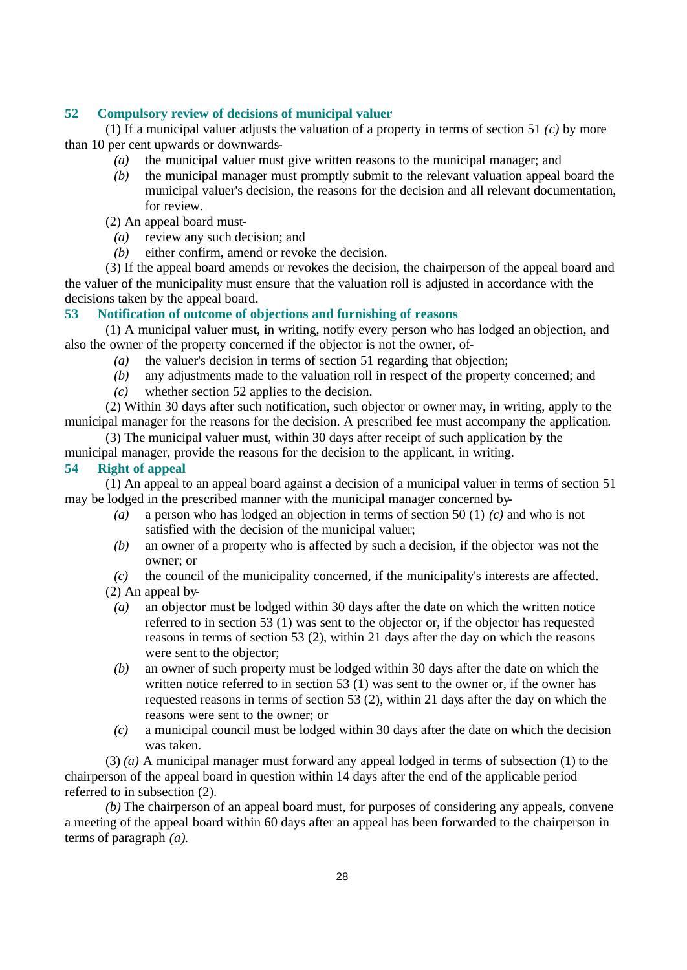# **52 Compulsory review of decisions of municipal valuer**

(1) If a municipal valuer adjusts the valuation of a property in terms of section 51 *(c)* by more than 10 per cent upwards or downwards-

- *(a)* the municipal valuer must give written reasons to the municipal manager; and
- *(b)* the municipal manager must promptly submit to the relevant valuation appeal board the municipal valuer's decision, the reasons for the decision and all relevant documentation, for review.
- (2) An appeal board must-
	- *(a)* review any such decision; and
	- *(b)* either confirm, amend or revoke the decision.

(3) If the appeal board amends or revokes the decision, the chairperson of the appeal board and the valuer of the municipality must ensure that the valuation roll is adjusted in accordance with the decisions taken by the appeal board.

#### **53 Notification of outcome of objections and furnishing of reasons**

(1) A municipal valuer must, in writing, notify every person who has lodged an objection, and also the owner of the property concerned if the objector is not the owner, of-

- *(a)* the valuer's decision in terms of section 51 regarding that objection;
- *(b)* any adjustments made to the valuation roll in respect of the property concerned; and
- *(c)* whether section 52 applies to the decision.

(2) Within 30 days after such notification, such objector or owner may, in writing, apply to the municipal manager for the reasons for the decision. A prescribed fee must accompany the application.

(3) The municipal valuer must, within 30 days after receipt of such application by the

municipal manager, provide the reasons for the decision to the applicant, in writing.

#### **54 Right of appeal**

(1) An appeal to an appeal board against a decision of a municipal valuer in terms of section 51 may be lodged in the prescribed manner with the municipal manager concerned by-

- *(a)* a person who has lodged an objection in terms of section 50 (1) *(c)* and who is not satisfied with the decision of the municipal valuer;
- *(b)* an owner of a property who is affected by such a decision, if the objector was not the owner; or
- *(c)* the council of the municipality concerned, if the municipality's interests are affected.

(2) An appeal by-

- *(a)* an objector must be lodged within 30 days after the date on which the written notice referred to in section 53 (1) was sent to the objector or, if the objector has requested reasons in terms of section 53 (2), within 21 days after the day on which the reasons were sent to the objector;
- *(b)* an owner of such property must be lodged within 30 days after the date on which the written notice referred to in section 53 (1) was sent to the owner or, if the owner has requested reasons in terms of section 53 (2), within 21 days after the day on which the reasons were sent to the owner; or
- *(c)* a municipal council must be lodged within 30 days after the date on which the decision was taken.

(3) *(a)* A municipal manager must forward any appeal lodged in terms of subsection (1) to the chairperson of the appeal board in question within 14 days after the end of the applicable period referred to in subsection (2).

*(b)* The chairperson of an appeal board must, for purposes of considering any appeals, convene a meeting of the appeal board within 60 days after an appeal has been forwarded to the chairperson in terms of paragraph *(a)*.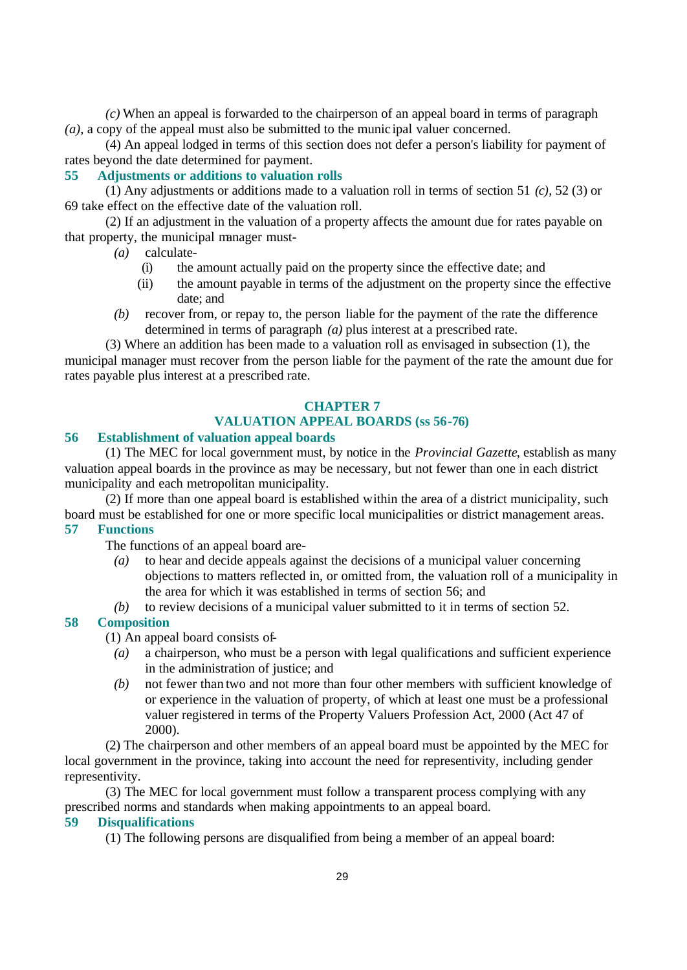*(c)* When an appeal is forwarded to the chairperson of an appeal board in terms of paragraph *(a)*, a copy of the appeal must also be submitted to the munic ipal valuer concerned.

(4) An appeal lodged in terms of this section does not defer a person's liability for payment of rates beyond the date determined for payment.

# **55 Adjustments or additions to valuation rolls**

(1) Any adjustments or additions made to a valuation roll in terms of section 51 *(c)*, 52 (3) or 69 take effect on the effective date of the valuation roll.

(2) If an adjustment in the valuation of a property affects the amount due for rates payable on that property, the municipal manager must-

*(a)* calculate-

- (i) the amount actually paid on the property since the effective date; and
- (ii) the amount payable in terms of the adjustment on the property since the effective date; and
- *(b)* recover from, or repay to, the person liable for the payment of the rate the difference determined in terms of paragraph *(a)* plus interest at a prescribed rate.

(3) Where an addition has been made to a valuation roll as envisaged in subsection (1), the municipal manager must recover from the person liable for the payment of the rate the amount due for rates payable plus interest at a prescribed rate.

#### **CHAPTER 7**

# **VALUATION APPEAL BOARDS (ss 56-76)**

# **56 Establishment of valuation appeal boards**

(1) The MEC for local government must, by notice in the *Provincial Gazette*, establish as many valuation appeal boards in the province as may be necessary, but not fewer than one in each district municipality and each metropolitan municipality.

(2) If more than one appeal board is established within the area of a district municipality, such board must be established for one or more specific local municipalities or district management areas.

# **57 Functions**

The functions of an appeal board are-

- *(a)* to hear and decide appeals against the decisions of a municipal valuer concerning objections to matters reflected in, or omitted from, the valuation roll of a municipality in the area for which it was established in terms of section 56; and
- *(b)* to review decisions of a municipal valuer submitted to it in terms of section 52.

### **58 Composition**

(1) An appeal board consists of-

- *(a)* a chairperson, who must be a person with legal qualifications and sufficient experience in the administration of justice; and
- *(b)* not fewer than two and not more than four other members with sufficient knowledge of or experience in the valuation of property, of which at least one must be a professional valuer registered in terms of the Property Valuers Profession Act, 2000 (Act 47 of 2000).

(2) The chairperson and other members of an appeal board must be appointed by the MEC for local government in the province, taking into account the need for representivity, including gender representivity.

(3) The MEC for local government must follow a transparent process complying with any prescribed norms and standards when making appointments to an appeal board.

# **59 Disqualifications**

(1) The following persons are disqualified from being a member of an appeal board: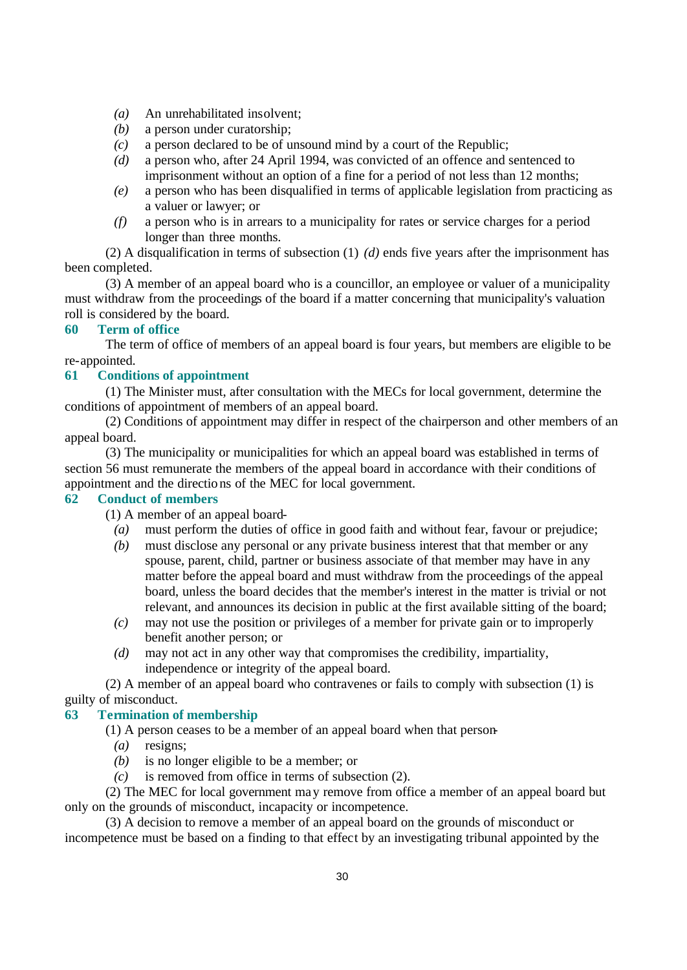- *(a)* An unrehabilitated insolvent;
- *(b)* a person under curatorship;
- *(c)* a person declared to be of unsound mind by a court of the Republic;
- *(d)* a person who, after 24 April 1994, was convicted of an offence and sentenced to imprisonment without an option of a fine for a period of not less than 12 months;
- *(e)* a person who has been disqualified in terms of applicable legislation from practicing as a valuer or lawyer; or
- *(f)* a person who is in arrears to a municipality for rates or service charges for a period longer than three months.

(2) A disqualification in terms of subsection  $(1)$   $(d)$  ends five years after the imprisonment has been completed.

(3) A member of an appeal board who is a councillor, an employee or valuer of a municipality must withdraw from the proceedings of the board if a matter concerning that municipality's valuation roll is considered by the board.

# **60 Term of office**

The term of office of members of an appeal board is four years, but members are eligible to be re-appointed.

# **61 Conditions of appointment**

(1) The Minister must, after consultation with the MECs for local government, determine the conditions of appointment of members of an appeal board.

(2) Conditions of appointment may differ in respect of the chairperson and other members of an appeal board.

(3) The municipality or municipalities for which an appeal board was established in terms of section 56 must remunerate the members of the appeal board in accordance with their conditions of appointment and the directions of the MEC for local government.

### **62 Conduct of members**

(1) A member of an appeal board-

- *(a)* must perform the duties of office in good faith and without fear, favour or prejudice;
- *(b)* must disclose any personal or any private business interest that that member or any spouse, parent, child, partner or business associate of that member may have in any matter before the appeal board and must withdraw from the proceedings of the appeal board, unless the board decides that the member's interest in the matter is trivial or not relevant, and announces its decision in public at the first available sitting of the board;
- *(c)* may not use the position or privileges of a member for private gain or to improperly benefit another person; or
- *(d)* may not act in any other way that compromises the credibility, impartiality, independence or integrity of the appeal board.

(2) A member of an appeal board who contravenes or fails to comply with subsection (1) is guilty of misconduct.

# **63 Termination of membership**

(1) A person ceases to be a member of an appeal board when that person-

- *(a)* resigns;
- *(b)* is no longer eligible to be a member; or
- *(c)* is removed from office in terms of subsection (2).

(2) The MEC for local government may remove from office a member of an appeal board but only on the grounds of misconduct, incapacity or incompetence.

(3) A decision to remove a member of an appeal board on the grounds of misconduct or incompetence must be based on a finding to that effect by an investigating tribunal appointed by the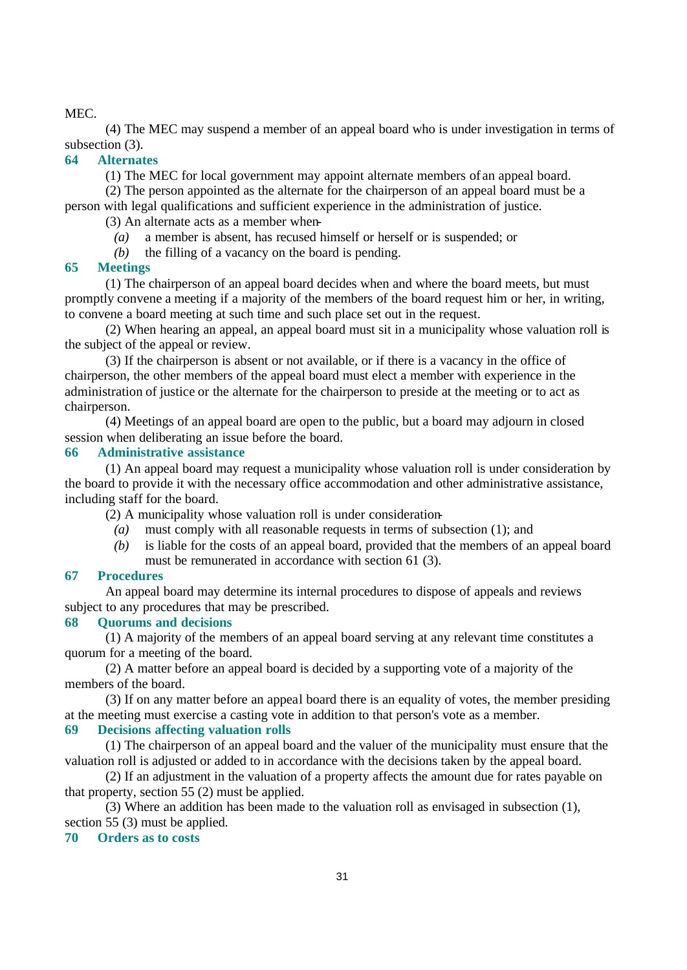#### MEC.

(4) The MEC may suspend a member of an appeal board who is under investigation in terms of subsection (3).

### **64 Alternates**

(1) The MEC for local government may appoint alternate members of an appeal board.

(2) The person appointed as the alternate for the chairperson of an appeal board must be a person with legal qualifications and sufficient experience in the administration of justice.

(3) An alternate acts as a member when-

- *(a)* a member is absent, has recused himself or herself or is suspended; or
- *(b)* the filling of a vacancy on the board is pending.

#### **65 Meetings**

(1) The chairperson of an appeal board decides when and where the board meets, but must promptly convene a meeting if a majority of the members of the board request him or her, in writing, to convene a board meeting at such time and such place set out in the request.

(2) When hearing an appeal, an appeal board must sit in a municipality whose valuation roll is the subject of the appeal or review.

(3) If the chairperson is absent or not available, or if there is a vacancy in the office of chairperson, the other members of the appeal board must elect a member with experience in the administration of justice or the alternate for the chairperson to preside at the meeting or to act as chairperson.

(4) Meetings of an appeal board are open to the public, but a board may adjourn in closed session when deliberating an issue before the board.

#### **66 Administrative assistance**

(1) An appeal board may request a municipality whose valuation roll is under consideration by the board to provide it with the necessary office accommodation and other administrative assistance, including staff for the board.

(2) A municipality whose valuation roll is under consideration-

- *(a)* must comply with all reasonable requests in terms of subsection (1); and
- *(b)* is liable for the costs of an appeal board, provided that the members of an appeal board must be remunerated in accordance with section 61 (3).

#### **67 Procedures**

An appeal board may determine its internal procedures to dispose of appeals and reviews subject to any procedures that may be prescribed.

#### **68 Quorums and decisions**

(1) A majority of the members of an appeal board serving at any relevant time constitutes a quorum for a meeting of the board.

(2) A matter before an appeal board is decided by a supporting vote of a majority of the members of the board.

(3) If on any matter before an appeal board there is an equality of votes, the member presiding at the meeting must exercise a casting vote in addition to that person's vote as a member. **69 Decisions affecting valuation rolls** 

(1) The chairperson of an appeal board and the valuer of the municipality must ensure that the valuation roll is adjusted or added to in accordance with the decisions taken by the appeal board.

(2) If an adjustment in the valuation of a property affects the amount due for rates payable on that property, section 55 (2) must be applied.

(3) Where an addition has been made to the valuation roll as envisaged in subsection (1), section 55 (3) must be applied.

#### **70 Orders as to costs**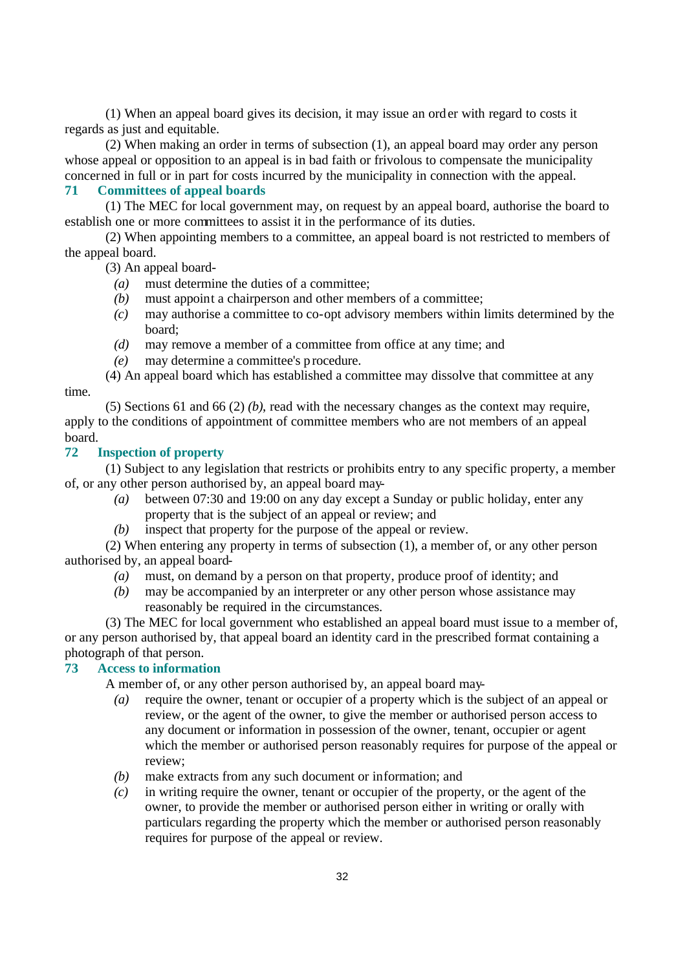(1) When an appeal board gives its decision, it may issue an order with regard to costs it regards as just and equitable.

(2) When making an order in terms of subsection (1), an appeal board may order any person whose appeal or opposition to an appeal is in bad faith or frivolous to compensate the municipality concerned in full or in part for costs incurred by the municipality in connection with the appeal.

#### **71 Committees of appeal boards**

(1) The MEC for local government may, on request by an appeal board, authorise the board to establish one or more committees to assist it in the performance of its duties.

(2) When appointing members to a committee, an appeal board is not restricted to members of the appeal board.

(3) An appeal board-

- *(a)* must determine the duties of a committee;
- *(b)* must appoint a chairperson and other members of a committee;
- *(c)* may authorise a committee to co-opt advisory members within limits determined by the board;
- *(d)* may remove a member of a committee from office at any time; and
- *(e)* may determine a committee's p rocedure.

(4) An appeal board which has established a committee may dissolve that committee at any

(5) Sections 61 and 66 (2) *(b)*, read with the necessary changes as the context may require, apply to the conditions of appointment of committee members who are not members of an appeal board.

# **72 Inspection of property**

time.

(1) Subject to any legislation that restricts or prohibits entry to any specific property, a member of, or any other person authorised by, an appeal board may-

- *(a)* between 07:30 and 19:00 on any day except a Sunday or public holiday, enter any property that is the subject of an appeal or review; and
- *(b)* inspect that property for the purpose of the appeal or review.

(2) When entering any property in terms of subsection (1), a member of, or any other person authorised by, an appeal board-

- *(a)* must, on demand by a person on that property, produce proof of identity; and
- *(b)* may be accompanied by an interpreter or any other person whose assistance may reasonably be required in the circumstances.

(3) The MEC for local government who established an appeal board must issue to a member of, or any person authorised by, that appeal board an identity card in the prescribed format containing a photograph of that person.

# **73 Access to information**

A member of, or any other person authorised by, an appeal board may-

- *(a)* require the owner, tenant or occupier of a property which is the subject of an appeal or review, or the agent of the owner, to give the member or authorised person access to any document or information in possession of the owner, tenant, occupier or agent which the member or authorised person reasonably requires for purpose of the appeal or review;
- *(b)* make extracts from any such document or information; and
- *(c)* in writing require the owner, tenant or occupier of the property, or the agent of the owner, to provide the member or authorised person either in writing or orally with particulars regarding the property which the member or authorised person reasonably requires for purpose of the appeal or review.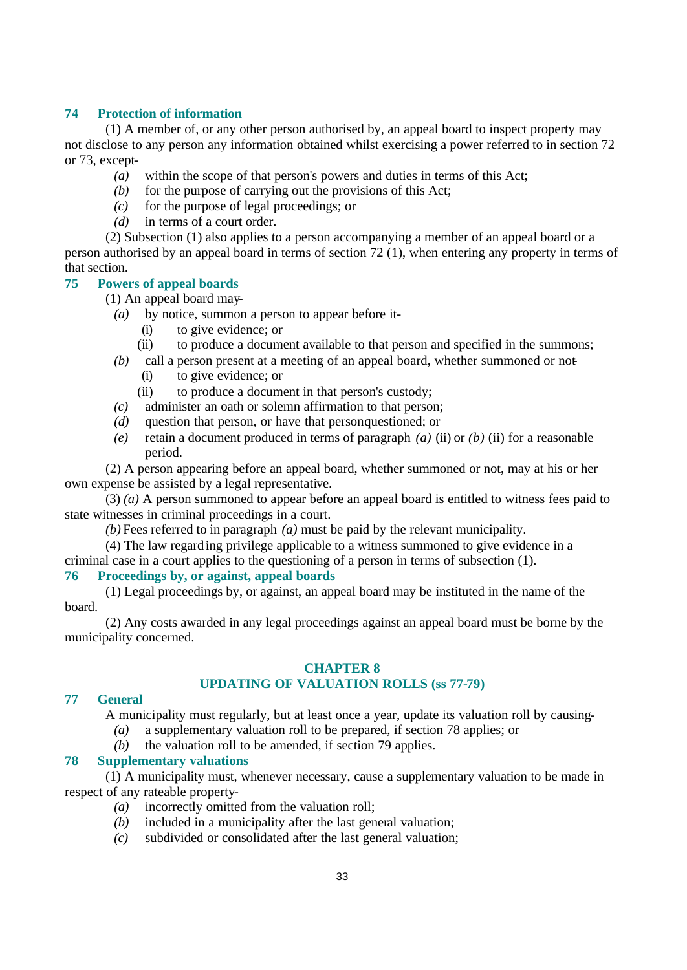### **74 Protection of information**

(1) A member of, or any other person authorised by, an appeal board to inspect property may not disclose to any person any information obtained whilst exercising a power referred to in section 72 or 73, except-

- *(a)* within the scope of that person's powers and duties in terms of this Act;
- *(b)* for the purpose of carrying out the provisions of this Act;
- *(c)* for the purpose of legal proceedings; or
- *(d)* in terms of a court order.

(2) Subsection (1) also applies to a person accompanying a member of an appeal board or a person authorised by an appeal board in terms of section 72 (1), when entering any property in terms of that section.

# **75 Powers of appeal boards**

(1) An appeal board may-

- *(a)* by notice, summon a person to appear before it-
	- (i) to give evidence; or
	- (ii) to produce a document available to that person and specified in the summons;
- *(b)* call a person present at a meeting of an appeal board, whether summoned or not- (i) to give evidence; or
	- (ii) to produce a document in that person's custody;
- *(c)* administer an oath or solemn affirmation to that person;
- *(d)* question that person, or have that person questioned; or
- *(e)* retain a document produced in terms of paragraph *(a)* (ii) or *(b)* (ii) for a reasonable period.

(2) A person appearing before an appeal board, whether summoned or not, may at his or her own expense be assisted by a legal representative.

(3) *(a)* A person summoned to appear before an appeal board is entitled to witness fees paid to state witnesses in criminal proceedings in a court.

*(b)* Fees referred to in paragraph *(a)* must be paid by the relevant municipality.

(4) The law regarding privilege applicable to a witness summoned to give evidence in a criminal case in a court applies to the questioning of a person in terms of subsection (1).

# **76 Proceedings by, or against, appeal boards**

(1) Legal proceedings by, or against, an appeal board may be instituted in the name of the board.

(2) Any costs awarded in any legal proceedings against an appeal board must be borne by the municipality concerned.

# **CHAPTER 8**

# **UPDATING OF VALUATION ROLLS (ss 77-79)**

# **77 General**

A municipality must regularly, but at least once a year, update its valuation roll by causing-

- *(a)* a supplementary valuation roll to be prepared, if section 78 applies; or
- *(b)* the valuation roll to be amended, if section 79 applies.

### **78 Supplementary valuations**

(1) A municipality must, whenever necessary, cause a supplementary valuation to be made in respect of any rateable property-

- *(a)* incorrectly omitted from the valuation roll;
- *(b)* included in a municipality after the last general valuation;
- *(c)* subdivided or consolidated after the last general valuation;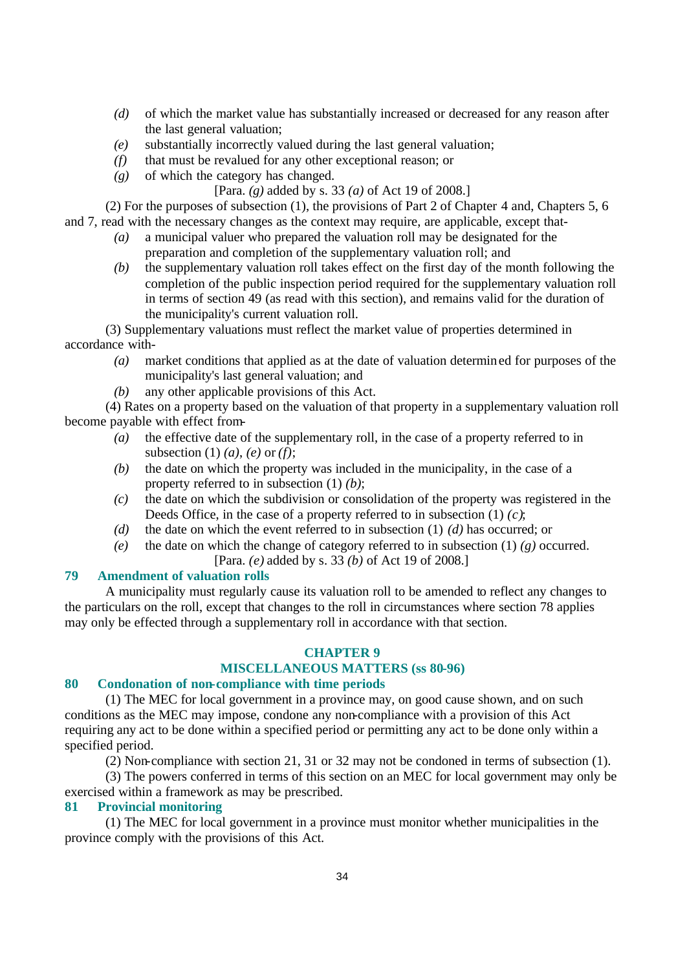- *(d)* of which the market value has substantially increased or decreased for any reason after the last general valuation;
- *(e)* substantially incorrectly valued during the last general valuation;
- *(f)* that must be revalued for any other exceptional reason; or
- *(g)* of which the category has changed.

[Para. *(g)* added by s. 33 *(a)* of Act 19 of 2008.]

(2) For the purposes of subsection (1), the provisions of Part 2 of Chapter 4 and, Chapters 5, 6 and 7, read with the necessary changes as the context may require, are applicable, except that-

- *(a)* a municipal valuer who prepared the valuation roll may be designated for the preparation and completion of the supplementary valuation roll; and
- *(b)* the supplementary valuation roll takes effect on the first day of the month following the completion of the public inspection period required for the supplementary valuation roll in terms of section 49 (as read with this section), and remains valid for the duration of the municipality's current valuation roll.

(3) Supplementary valuations must reflect the market value of properties determined in accordance with-

- *(a)* market conditions that applied as at the date of valuation determined for purposes of the municipality's last general valuation; and
- *(b)* any other applicable provisions of this Act.

(4) Rates on a property based on the valuation of that property in a supplementary valuation roll become payable with effect from-

- *(a)* the effective date of the supplementary roll, in the case of a property referred to in subsection (1) *(a)*, *(e)* or *(f)*;
- *(b)* the date on which the property was included in the municipality, in the case of a property referred to in subsection (1) *(b)*;
- *(c)* the date on which the subdivision or consolidation of the property was registered in the Deeds Office, in the case of a property referred to in subsection (1) *(c)*;
- *(d)* the date on which the event referred to in subsection (1) *(d)* has occurred; or
- *(e)* the date on which the change of category referred to in subsection  $(1)$  *(g)* occurred. [Para. *(e)* added by s. 33 *(b)* of Act 19 of 2008.]

#### **79 Amendment of valuation rolls**

A municipality must regularly cause its valuation roll to be amended to reflect any changes to the particulars on the roll, except that changes to the roll in circumstances where section 78 applies may only be effected through a supplementary roll in accordance with that section.

# **CHAPTER 9**

# **MISCELLANEOUS MATTERS (ss 80-96)**

#### **80 Condonation of non-compliance with time periods**

(1) The MEC for local government in a province may, on good cause shown, and on such conditions as the MEC may impose, condone any non-compliance with a provision of this Act requiring any act to be done within a specified period or permitting any act to be done only within a specified period.

(2) Non-compliance with section 21, 31 or 32 may not be condoned in terms of subsection (1).

(3) The powers conferred in terms of this section on an MEC for local government may only be exercised within a framework as may be prescribed.

# **81 Provincial monitoring**

(1) The MEC for local government in a province must monitor whether municipalities in the province comply with the provisions of this Act.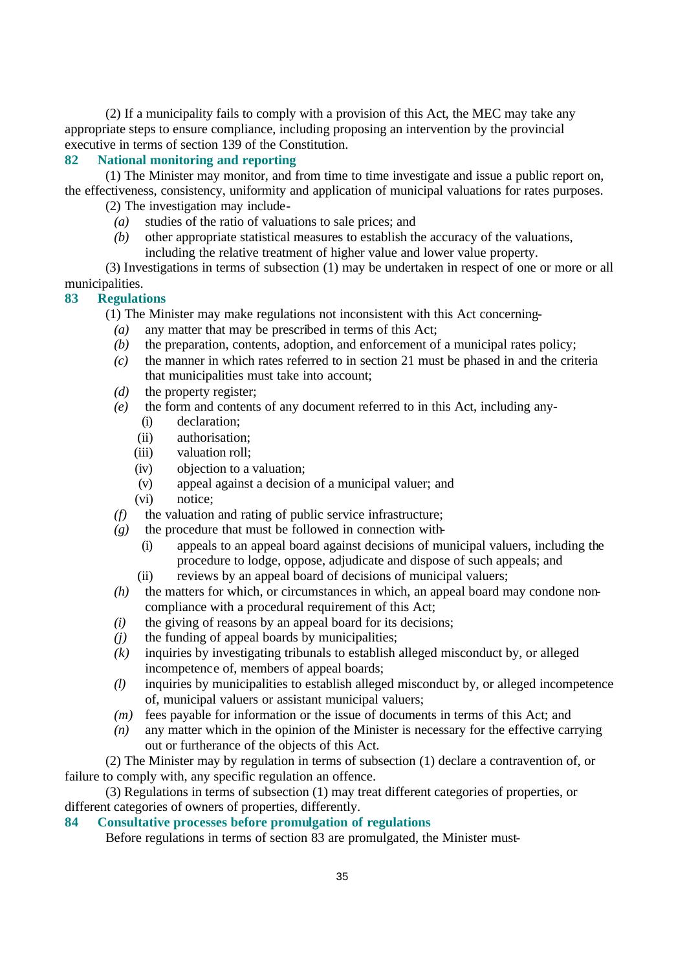(2) If a municipality fails to comply with a provision of this Act, the MEC may take any appropriate steps to ensure compliance, including proposing an intervention by the provincial executive in terms of section 139 of the Constitution.

# **82 National monitoring and reporting**

(1) The Minister may monitor, and from time to time investigate and issue a public report on, the effectiveness, consistency, uniformity and application of municipal valuations for rates purposes.

(2) The investigation may include-

- *(a)* studies of the ratio of valuations to sale prices; and
- *(b)* other appropriate statistical measures to establish the accuracy of the valuations, including the relative treatment of higher value and lower value property.

(3) Investigations in terms of subsection (1) may be undertaken in respect of one or more or all municipalities.

## **83 Regulations**

(1) The Minister may make regulations not inconsistent with this Act concerning-

- *(a)* any matter that may be prescribed in terms of this Act;
- *(b)* the preparation, contents, adoption, and enforcement of a municipal rates policy;
- *(c)* the manner in which rates referred to in section 21 must be phased in and the criteria that municipalities must take into account;
- *(d)* the property register;
- *(e)* the form and contents of any document referred to in this Act, including any-
	- (i) declaration;
	- (ii) authorisation;
	- (iii) valuation roll;
	- (iv) objection to a valuation;
	- (v) appeal against a decision of a municipal valuer; and
	- (vi) notice;
- *(f)* the valuation and rating of public service infrastructure;
- $(g)$  the procedure that must be followed in connection with-
	- (i) appeals to an appeal board against decisions of municipal valuers, including the procedure to lodge, oppose, adjudicate and dispose of such appeals; and
	- (ii) reviews by an appeal board of decisions of municipal valuers;
- *(h)* the matters for which, or circumstances in which, an appeal board may condone noncompliance with a procedural requirement of this Act;
- *(i)* the giving of reasons by an appeal board for its decisions;
- *(j)* the funding of appeal boards by municipalities;
- *(k)* inquiries by investigating tribunals to establish alleged misconduct by, or alleged incompetence of, members of appeal boards;
- *(l)* inquiries by municipalities to establish alleged misconduct by, or alleged incompetence of, municipal valuers or assistant municipal valuers;
- *(m)* fees payable for information or the issue of documents in terms of this Act; and
- *(n)* any matter which in the opinion of the Minister is necessary for the effective carrying out or furtherance of the objects of this Act.

(2) The Minister may by regulation in terms of subsection (1) declare a contravention of, or failure to comply with, any specific regulation an offence.

(3) Regulations in terms of subsection (1) may treat different categories of properties, or different categories of owners of properties, differently.

## **84 Consultative processes before promulgation of regulations**

Before regulations in terms of section 83 are promulgated, the Minister must-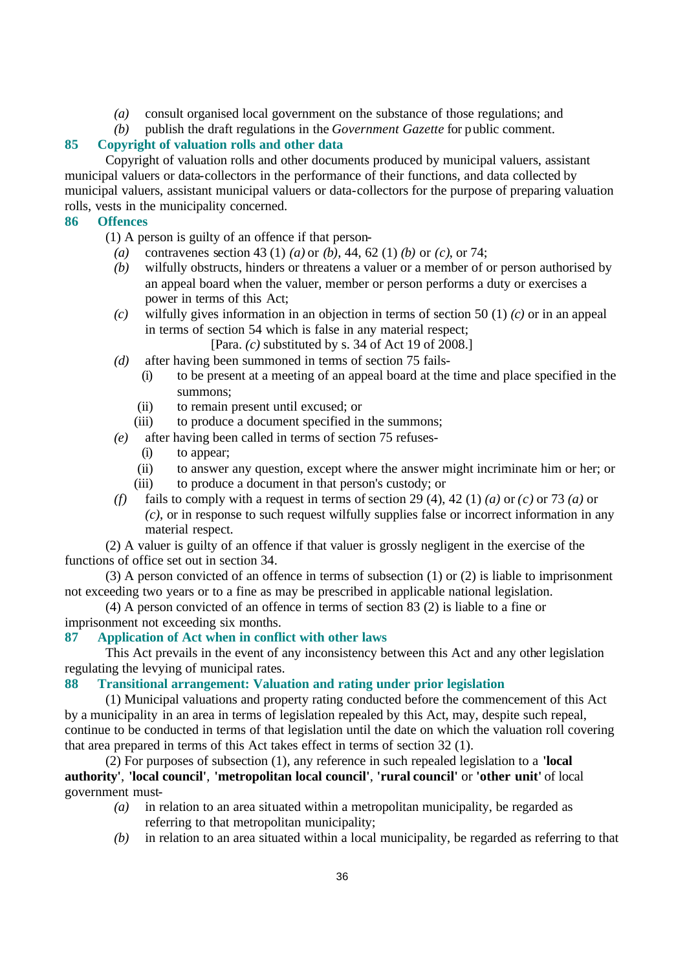- *(a)* consult organised local government on the substance of those regulations; and
- *(b)* publish the draft regulations in the *Government Gazette* for public comment.

# **85 Copyright of valuation rolls and other data**

Copyright of valuation rolls and other documents produced by municipal valuers, assistant municipal valuers or data-collectors in the performance of their functions, and data collected by municipal valuers, assistant municipal valuers or data-collectors for the purpose of preparing valuation rolls, vests in the municipality concerned.

# **86 Offences**

(1) A person is guilty of an offence if that person-

- *(a)* contravenes section 43 (1) *(a)* or *(b)*, 44, 62 (1) *(b)* or *(c)*, or 74;
- *(b)* wilfully obstructs, hinders or threatens a valuer or a member of or person authorised by an appeal board when the valuer, member or person performs a duty or exercises a power in terms of this Act;
- *(c)* wilfully gives information in an objection in terms of section 50 (1) *(c)* or in an appeal in terms of section 54 which is false in any material respect;

[Para. *(c)* substituted by s. 34 of Act 19 of 2008.]

- *(d)* after having been summoned in terms of section 75 fails-
	- (i) to be present at a meeting of an appeal board at the time and place specified in the summons;
	- (ii) to remain present until excused; or
	- (iii) to produce a document specified in the summons;
- *(e)* after having been called in terms of section 75 refuses-
	- (i) to appear;
	- (ii) to answer any question, except where the answer might incriminate him or her; or
	- (iii) to produce a document in that person's custody; or
- *(f)* fails to comply with a request in terms of section 29 (4), 42 (1) *(a)* or *(c)* or 73 *(a)* or *(c)*, or in response to such request wilfully supplies false or incorrect information in any material respect.

(2) A valuer is guilty of an offence if that valuer is grossly negligent in the exercise of the functions of office set out in section 34.

(3) A person convicted of an offence in terms of subsection (1) or (2) is liable to imprisonment not exceeding two years or to a fine as may be prescribed in applicable national legislation.

(4) A person convicted of an offence in terms of section 83 (2) is liable to a fine or imprisonment not exceeding six months.

# **87 Application of Act when in conflict with other laws**

This Act prevails in the event of any inconsistency between this Act and any other legislation regulating the levying of municipal rates.

# **88 Transitional arrangement: Valuation and rating under prior legislation**

(1) Municipal valuations and property rating conducted before the commencement of this Act by a municipality in an area in terms of legislation repealed by this Act, may, despite such repeal, continue to be conducted in terms of that legislation until the date on which the valuation roll covering that area prepared in terms of this Act takes effect in terms of section 32 (1).

(2) For purposes of subsection (1), any reference in such repealed legislation to a **'local authority'**, **'local council'**, **'metropolitan local council'**, **'rural council'** or **'other unit'** of local government must-

- *(a)* in relation to an area situated within a metropolitan municipality, be regarded as referring to that metropolitan municipality;
- *(b)* in relation to an area situated within a local municipality, be regarded as referring to that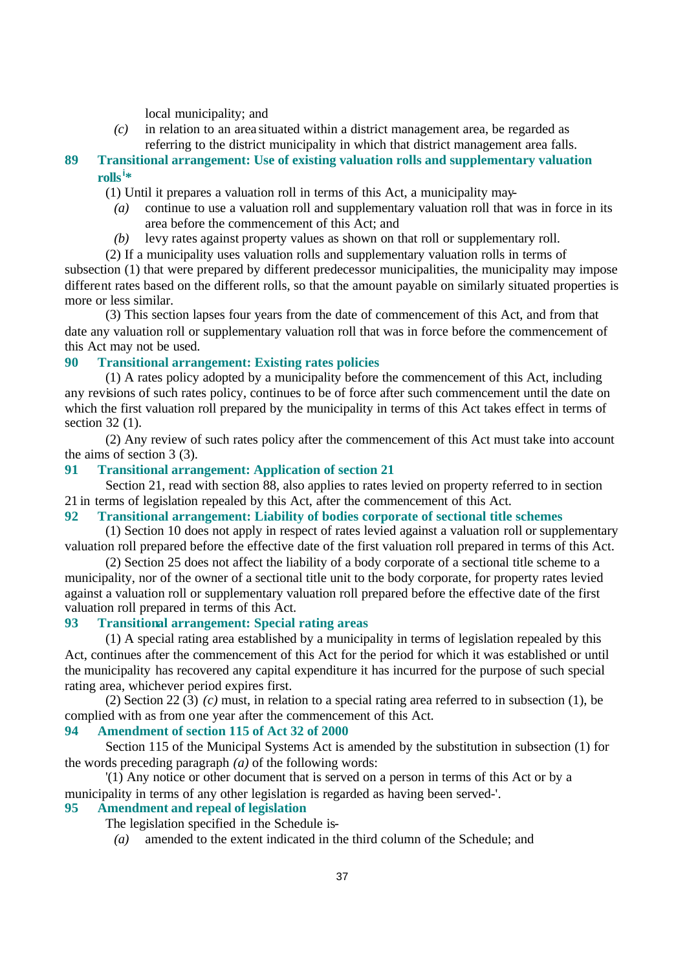local municipality; and

- *(c)* in relation to an area situated within a district management area, be regarded as referring to the district municipality in which that district management area falls.
- **89 Transitional arrangement: Use of existing valuation rolls and supplementary valuation rolls<sup>i</sup> \***
	- (1) Until it prepares a valuation roll in terms of this Act, a municipality may-
		- *(a)* continue to use a valuation roll and supplementary valuation roll that was in force in its area before the commencement of this Act; and
		- *(b)* levy rates against property values as shown on that roll or supplementary roll.
- (2) If a municipality uses valuation rolls and supplementary valuation rolls in terms of subsection (1) that were prepared by different predecessor municipalities, the municipality may impose

different rates based on the different rolls, so that the amount payable on similarly situated properties is more or less similar.

(3) This section lapses four years from the date of commencement of this Act, and from that date any valuation roll or supplementary valuation roll that was in force before the commencement of this Act may not be used.

# **90 Transitional arrangement: Existing rates policies**

(1) A rates policy adopted by a municipality before the commencement of this Act, including any revisions of such rates policy, continues to be of force after such commencement until the date on which the first valuation roll prepared by the municipality in terms of this Act takes effect in terms of section 32 (1).

(2) Any review of such rates policy after the commencement of this Act must take into account the aims of section 3 (3).

# **91 Transitional arrangement: Application of section 21**

Section 21, read with section 88, also applies to rates levied on property referred to in section 21 in terms of legislation repealed by this Act, after the commencement of this Act.

### **92 Transitional arrangement: Liability of bodies corporate of sectional title schemes**

(1) Section 10 does not apply in respect of rates levied against a valuation roll or supplementary valuation roll prepared before the effective date of the first valuation roll prepared in terms of this Act.

(2) Section 25 does not affect the liability of a body corporate of a sectional title scheme to a municipality, nor of the owner of a sectional title unit to the body corporate, for property rates levied against a valuation roll or supplementary valuation roll prepared before the effective date of the first valuation roll prepared in terms of this Act.

### **93 Transitional arrangement: Special rating areas**

(1) A special rating area established by a municipality in terms of legislation repealed by this Act, continues after the commencement of this Act for the period for which it was established or until the municipality has recovered any capital expenditure it has incurred for the purpose of such special rating area, whichever period expires first.

(2) Section 22 (3) *(c)* must, in relation to a special rating area referred to in subsection (1), be complied with as from one year after the commencement of this Act.

### **94 Amendment of section 115 of Act 32 of 2000**

Section 115 of the Municipal Systems Act is amended by the substitution in subsection (1) for the words preceding paragraph *(a)* of the following words:

'(1) Any notice or other document that is served on a person in terms of this Act or by a municipality in terms of any other legislation is regarded as having been served-'.

#### **95 Amendment and repeal of legislation**

- The legislation specified in the Schedule is-
	- *(a)* amended to the extent indicated in the third column of the Schedule; and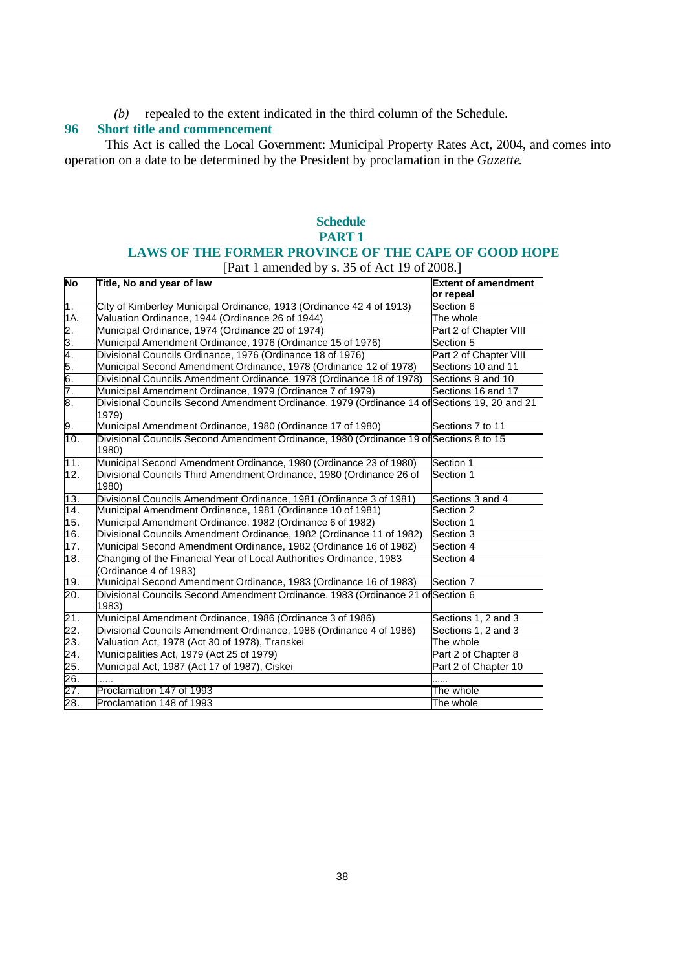*(b)* repealed to the extent indicated in the third column of the Schedule.

# **96 Short title and commencement**

This Act is called the Local Government: Municipal Property Rates Act, 2004, and comes into operation on a date to be determined by the President by proclamation in the *Gazette*.

# **Schedule PART 1 LAWS OF THE FORMER PROVINCE OF THE CAPE OF GOOD HOPE** [Part 1 amended by s. 35 of Act 19 of 2008.]

| <b>No</b>                                               | Title, No and year of law                                                                             | <b>Extent of amendment</b><br>or repeal |
|---------------------------------------------------------|-------------------------------------------------------------------------------------------------------|-----------------------------------------|
| 1.                                                      | City of Kimberley Municipal Ordinance, 1913 (Ordinance 42 4 of 1913)                                  | Section 6                               |
| 1A.                                                     | Valuation Ordinance, 1944 (Ordinance 26 of 1944)                                                      | The whole                               |
| 2.                                                      | Municipal Ordinance, 1974 (Ordinance 20 of 1974)                                                      | Part 2 of Chapter VIII                  |
|                                                         | Municipal Amendment Ordinance, 1976 (Ordinance 15 of 1976)                                            | Section 5                               |
|                                                         | Divisional Councils Ordinance, 1976 (Ordinance 18 of 1976)                                            | Part 2 of Chapter VIII                  |
|                                                         | Municipal Second Amendment Ordinance, 1978 (Ordinance 12 of 1978)                                     | Sections 10 and 11                      |
| $\frac{3}{4}$ $\frac{4}{5}$ $\frac{6}{6}$ $\frac{6}{7}$ | Divisional Councils Amendment Ordinance, 1978 (Ordinance 18 of 1978)                                  | Sections 9 and 10                       |
|                                                         | Municipal Amendment Ordinance, 1979 (Ordinance 7 of 1979)                                             | Sections 16 and 17                      |
| 8.                                                      | Divisional Councils Second Amendment Ordinance, 1979 (Ordinance 14 of Sections 19, 20 and 21<br>1979) |                                         |
| 9.                                                      | Municipal Amendment Ordinance, 1980 (Ordinance 17 of 1980)                                            | Sections 7 to 11                        |
| 10.                                                     | Divisional Councils Second Amendment Ordinance, 1980 (Ordinance 19 of Sections 8 to 15<br>1980)       |                                         |
| 11.                                                     | Municipal Second Amendment Ordinance, 1980 (Ordinance 23 of 1980)                                     | Section 1                               |
| 12.                                                     | Divisional Councils Third Amendment Ordinance, 1980 (Ordinance 26 of<br>1980)                         | Section 1                               |
| 13.                                                     | Divisional Councils Amendment Ordinance, 1981 (Ordinance 3 of 1981)                                   | Sections 3 and 4                        |
| 14.                                                     | Municipal Amendment Ordinance, 1981 (Ordinance 10 of 1981)                                            | Section 2                               |
| 15.                                                     | Municipal Amendment Ordinance, 1982 (Ordinance 6 of 1982)                                             | Section 1                               |
| 16.                                                     | Divisional Councils Amendment Ordinance, 1982 (Ordinance 11 of 1982)                                  | Section 3                               |
| 17.                                                     | Municipal Second Amendment Ordinance, 1982 (Ordinance 16 of 1982)                                     | Section 4                               |
| 18.                                                     | Changing of the Financial Year of Local Authorities Ordinance, 1983<br>(Ordinance 4 of 1983)          | Section 4                               |
| 19.                                                     | Municipal Second Amendment Ordinance, 1983 (Ordinance 16 of 1983)                                     | Section 7                               |
| 20.                                                     | Divisional Councils Second Amendment Ordinance, 1983 (Ordinance 21 of Section 6<br>1983)              |                                         |
| 21.                                                     | Municipal Amendment Ordinance, 1986 (Ordinance 3 of 1986)                                             | Sections 1, 2 and 3                     |
| 22.                                                     | Divisional Councils Amendment Ordinance, 1986 (Ordinance 4 of 1986)                                   | Sections 1, 2 and 3                     |
| 23.                                                     | Valuation Act, 1978 (Act 30 of 1978), Transkei                                                        | The whole                               |
| 24.                                                     | Municipalities Act, 1979 (Act 25 of 1979)                                                             | Part 2 of Chapter 8                     |
| 25.                                                     | Municipal Act, 1987 (Act 17 of 1987), Ciskei                                                          | Part 2 of Chapter 10                    |
| 26.                                                     | .                                                                                                     |                                         |
| 27.                                                     | Proclamation 147 of 1993                                                                              | The whole                               |
| 28.                                                     | Proclamation 148 of 1993                                                                              | The whole                               |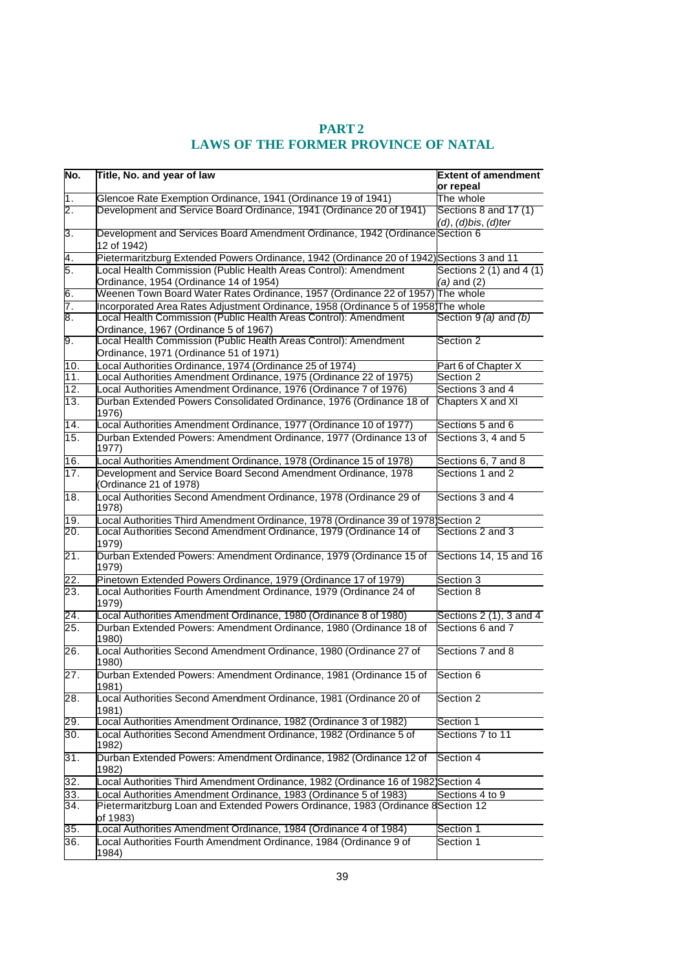| Glencoe Rate Exemption Ordinance, 1941 (Ordinance 19 of 1941)<br>The whole<br>2.<br>Development and Service Board Ordinance, 1941 (Ordinance 20 of 1941)<br>$(d)$ , $(d)$ bis, $(d)$ ter<br>3.<br>Development and Services Board Amendment Ordinance, 1942 (Ordinance Section 6<br>12 of 1942)<br>4.<br>Pietermaritzburg Extended Powers Ordinance, 1942 (Ordinance 20 of 1942) Sections 3 and 11<br>Б.<br>Local Health Commission (Public Health Areas Control): Amendment<br>Ordinance, 1954 (Ordinance 14 of 1954)<br>$(a)$ and $(2)$<br>6.<br>Weenen Town Board Water Rates Ordinance, 1957 (Ordinance 22 of 1957) The whole<br>7.<br>Incorporated Area Rates Adjustment Ordinance, 1958 (Ordinance 5 of 1958)The whole<br>8.<br>Local Health Commission (Public Health Areas Control): Amendment<br>Ordinance, 1967 (Ordinance 5 of 1967)<br>9.<br>Local Health Commission (Public Health Areas Control): Amendment<br>Section 2<br>Ordinance, 1971 (Ordinance 51 of 1971)<br>10.<br>Local Authorities Ordinance, 1974 (Ordinance 25 of 1974)<br>Part 6 of Chapter X<br>$\overline{1}1$ .<br>Section 2<br>ocal Authorities Amendment Ordinance, 1975 (Ordinance 22 of 1975)<br>$\overline{12}$ .<br>Sections 3 and 4<br>Local Authorities Amendment Ordinance, 1976 (Ordinance 7 of 1976)<br>13.<br>Durban Extended Powers Consolidated Ordinance, 1976 (Ordinance 18 of<br>Chapters X and XI<br>1976)<br>Local Authorities Amendment Ordinance, 1977 (Ordinance 10 of 1977)<br>Sections 5 and 6<br>14.<br>15.<br>Durban Extended Powers: Amendment Ordinance, 1977 (Ordinance 13 of<br>Sections 3, 4 and 5<br>1977)<br>16.<br>Local Authorities Amendment Ordinance, 1978 (Ordinance 15 of 1978)<br>Sections 6, 7 and 8<br>17.<br>Development and Service Board Second Amendment Ordinance, 1978<br>Sections 1 and 2<br>(Ordinance 21 of 1978)<br>18.<br>Local Authorities Second Amendment Ordinance, 1978 (Ordinance 29 of<br>Sections 3 and 4<br>1978)<br>Local Authorities Third Amendment Ordinance, 1978 (Ordinance 39 of 1978)Section 2<br>19.<br>Sections 2 and 3<br>20.<br>ocal Authorities Second Amendment Ordinance, 1979 (Ordinance 14 of<br>1979)<br>Durban Extended Powers: Amendment Ordinance, 1979 (Ordinance 15 of<br>21.<br>1979)<br>Pinetown Extended Powers Ordinance, 1979 (Ordinance 17 of 1979)<br>22.<br>Section 3<br>23.<br>Local Authorities Fourth Amendment Ordinance, 1979 (Ordinance 24 of<br>Section 8<br>1979)<br>24.<br>ocal Authorities Amendment Ordinance, 1980 (Ordinance 8 of 1980)<br>25.<br>Durban Extended Powers: Amendment Ordinance, 1980 (Ordinance 18 of<br>Sections 6 and 7<br>1980)<br>26.<br>Local Authorities Second Amendment Ordinance, 1980 (Ordinance 27 of<br>Sections 7 and 8<br>1980)<br>27.<br>Durban Extended Powers: Amendment Ordinance, 1981 (Ordinance 15 of<br>Section 6<br>1981)<br>Local Authorities Second Amendment Ordinance, 1981 (Ordinance 20 of<br>28.<br>Section 2<br>1981)<br>29.<br>ocal Authorities Amendment Ordinance, 1982 (Ordinance 3 of 1982)<br>Section 1<br>30.<br>Local Authorities Second Amendment Ordinance, 1982 (Ordinance 5 of<br>Sections 7 to 11<br>1982)<br>31.<br>Durban Extended Powers: Amendment Ordinance, 1982 (Ordinance 12 of<br>Section 4<br>1982)<br>32.<br>Local Authorities Third Amendment Ordinance, 1982 (Ordinance 16 of 1982)Section 4<br>33.<br>ocal Authorities Amendment Ordinance, 1983 (Ordinance 5 of 1983)<br>Sections 4 to 9 | No. | Title, No. and year of law                                                        | <b>Extent of amendment</b><br>or repeal |
|--------------------------------------------------------------------------------------------------------------------------------------------------------------------------------------------------------------------------------------------------------------------------------------------------------------------------------------------------------------------------------------------------------------------------------------------------------------------------------------------------------------------------------------------------------------------------------------------------------------------------------------------------------------------------------------------------------------------------------------------------------------------------------------------------------------------------------------------------------------------------------------------------------------------------------------------------------------------------------------------------------------------------------------------------------------------------------------------------------------------------------------------------------------------------------------------------------------------------------------------------------------------------------------------------------------------------------------------------------------------------------------------------------------------------------------------------------------------------------------------------------------------------------------------------------------------------------------------------------------------------------------------------------------------------------------------------------------------------------------------------------------------------------------------------------------------------------------------------------------------------------------------------------------------------------------------------------------------------------------------------------------------------------------------------------------------------------------------------------------------------------------------------------------------------------------------------------------------------------------------------------------------------------------------------------------------------------------------------------------------------------------------------------------------------------------------------------------------------------------------------------------------------------------------------------------------------------------------------------------------------------------------------------------------------------------------------------------------------------------------------------------------------------------------------------------------------------------------------------------------------------------------------------------------------------------------------------------------------------------------------------------------------------------------------------------------------------------------------------------------------------------------------------------------------------------------------------------------------------------------------------------------------------------------------------------------------------------------------------------------------------------------------------------------------------------------------------------|-----|-----------------------------------------------------------------------------------|-----------------------------------------|
|                                                                                                                                                                                                                                                                                                                                                                                                                                                                                                                                                                                                                                                                                                                                                                                                                                                                                                                                                                                                                                                                                                                                                                                                                                                                                                                                                                                                                                                                                                                                                                                                                                                                                                                                                                                                                                                                                                                                                                                                                                                                                                                                                                                                                                                                                                                                                                                                                                                                                                                                                                                                                                                                                                                                                                                                                                                                                                                                                                                                                                                                                                                                                                                                                                                                                                                                                                                                                                                              | 1.  |                                                                                   |                                         |
|                                                                                                                                                                                                                                                                                                                                                                                                                                                                                                                                                                                                                                                                                                                                                                                                                                                                                                                                                                                                                                                                                                                                                                                                                                                                                                                                                                                                                                                                                                                                                                                                                                                                                                                                                                                                                                                                                                                                                                                                                                                                                                                                                                                                                                                                                                                                                                                                                                                                                                                                                                                                                                                                                                                                                                                                                                                                                                                                                                                                                                                                                                                                                                                                                                                                                                                                                                                                                                                              |     |                                                                                   | Sections 8 and 17 (1)                   |
|                                                                                                                                                                                                                                                                                                                                                                                                                                                                                                                                                                                                                                                                                                                                                                                                                                                                                                                                                                                                                                                                                                                                                                                                                                                                                                                                                                                                                                                                                                                                                                                                                                                                                                                                                                                                                                                                                                                                                                                                                                                                                                                                                                                                                                                                                                                                                                                                                                                                                                                                                                                                                                                                                                                                                                                                                                                                                                                                                                                                                                                                                                                                                                                                                                                                                                                                                                                                                                                              |     |                                                                                   |                                         |
|                                                                                                                                                                                                                                                                                                                                                                                                                                                                                                                                                                                                                                                                                                                                                                                                                                                                                                                                                                                                                                                                                                                                                                                                                                                                                                                                                                                                                                                                                                                                                                                                                                                                                                                                                                                                                                                                                                                                                                                                                                                                                                                                                                                                                                                                                                                                                                                                                                                                                                                                                                                                                                                                                                                                                                                                                                                                                                                                                                                                                                                                                                                                                                                                                                                                                                                                                                                                                                                              |     |                                                                                   |                                         |
|                                                                                                                                                                                                                                                                                                                                                                                                                                                                                                                                                                                                                                                                                                                                                                                                                                                                                                                                                                                                                                                                                                                                                                                                                                                                                                                                                                                                                                                                                                                                                                                                                                                                                                                                                                                                                                                                                                                                                                                                                                                                                                                                                                                                                                                                                                                                                                                                                                                                                                                                                                                                                                                                                                                                                                                                                                                                                                                                                                                                                                                                                                                                                                                                                                                                                                                                                                                                                                                              |     |                                                                                   | Sections $2(1)$ and $4(1)$              |
|                                                                                                                                                                                                                                                                                                                                                                                                                                                                                                                                                                                                                                                                                                                                                                                                                                                                                                                                                                                                                                                                                                                                                                                                                                                                                                                                                                                                                                                                                                                                                                                                                                                                                                                                                                                                                                                                                                                                                                                                                                                                                                                                                                                                                                                                                                                                                                                                                                                                                                                                                                                                                                                                                                                                                                                                                                                                                                                                                                                                                                                                                                                                                                                                                                                                                                                                                                                                                                                              |     |                                                                                   |                                         |
|                                                                                                                                                                                                                                                                                                                                                                                                                                                                                                                                                                                                                                                                                                                                                                                                                                                                                                                                                                                                                                                                                                                                                                                                                                                                                                                                                                                                                                                                                                                                                                                                                                                                                                                                                                                                                                                                                                                                                                                                                                                                                                                                                                                                                                                                                                                                                                                                                                                                                                                                                                                                                                                                                                                                                                                                                                                                                                                                                                                                                                                                                                                                                                                                                                                                                                                                                                                                                                                              |     |                                                                                   |                                         |
|                                                                                                                                                                                                                                                                                                                                                                                                                                                                                                                                                                                                                                                                                                                                                                                                                                                                                                                                                                                                                                                                                                                                                                                                                                                                                                                                                                                                                                                                                                                                                                                                                                                                                                                                                                                                                                                                                                                                                                                                                                                                                                                                                                                                                                                                                                                                                                                                                                                                                                                                                                                                                                                                                                                                                                                                                                                                                                                                                                                                                                                                                                                                                                                                                                                                                                                                                                                                                                                              |     |                                                                                   | Section $9(a)$ and $(b)$                |
|                                                                                                                                                                                                                                                                                                                                                                                                                                                                                                                                                                                                                                                                                                                                                                                                                                                                                                                                                                                                                                                                                                                                                                                                                                                                                                                                                                                                                                                                                                                                                                                                                                                                                                                                                                                                                                                                                                                                                                                                                                                                                                                                                                                                                                                                                                                                                                                                                                                                                                                                                                                                                                                                                                                                                                                                                                                                                                                                                                                                                                                                                                                                                                                                                                                                                                                                                                                                                                                              |     |                                                                                   |                                         |
|                                                                                                                                                                                                                                                                                                                                                                                                                                                                                                                                                                                                                                                                                                                                                                                                                                                                                                                                                                                                                                                                                                                                                                                                                                                                                                                                                                                                                                                                                                                                                                                                                                                                                                                                                                                                                                                                                                                                                                                                                                                                                                                                                                                                                                                                                                                                                                                                                                                                                                                                                                                                                                                                                                                                                                                                                                                                                                                                                                                                                                                                                                                                                                                                                                                                                                                                                                                                                                                              |     |                                                                                   |                                         |
|                                                                                                                                                                                                                                                                                                                                                                                                                                                                                                                                                                                                                                                                                                                                                                                                                                                                                                                                                                                                                                                                                                                                                                                                                                                                                                                                                                                                                                                                                                                                                                                                                                                                                                                                                                                                                                                                                                                                                                                                                                                                                                                                                                                                                                                                                                                                                                                                                                                                                                                                                                                                                                                                                                                                                                                                                                                                                                                                                                                                                                                                                                                                                                                                                                                                                                                                                                                                                                                              |     |                                                                                   |                                         |
|                                                                                                                                                                                                                                                                                                                                                                                                                                                                                                                                                                                                                                                                                                                                                                                                                                                                                                                                                                                                                                                                                                                                                                                                                                                                                                                                                                                                                                                                                                                                                                                                                                                                                                                                                                                                                                                                                                                                                                                                                                                                                                                                                                                                                                                                                                                                                                                                                                                                                                                                                                                                                                                                                                                                                                                                                                                                                                                                                                                                                                                                                                                                                                                                                                                                                                                                                                                                                                                              |     |                                                                                   |                                         |
|                                                                                                                                                                                                                                                                                                                                                                                                                                                                                                                                                                                                                                                                                                                                                                                                                                                                                                                                                                                                                                                                                                                                                                                                                                                                                                                                                                                                                                                                                                                                                                                                                                                                                                                                                                                                                                                                                                                                                                                                                                                                                                                                                                                                                                                                                                                                                                                                                                                                                                                                                                                                                                                                                                                                                                                                                                                                                                                                                                                                                                                                                                                                                                                                                                                                                                                                                                                                                                                              |     |                                                                                   |                                         |
|                                                                                                                                                                                                                                                                                                                                                                                                                                                                                                                                                                                                                                                                                                                                                                                                                                                                                                                                                                                                                                                                                                                                                                                                                                                                                                                                                                                                                                                                                                                                                                                                                                                                                                                                                                                                                                                                                                                                                                                                                                                                                                                                                                                                                                                                                                                                                                                                                                                                                                                                                                                                                                                                                                                                                                                                                                                                                                                                                                                                                                                                                                                                                                                                                                                                                                                                                                                                                                                              |     |                                                                                   |                                         |
|                                                                                                                                                                                                                                                                                                                                                                                                                                                                                                                                                                                                                                                                                                                                                                                                                                                                                                                                                                                                                                                                                                                                                                                                                                                                                                                                                                                                                                                                                                                                                                                                                                                                                                                                                                                                                                                                                                                                                                                                                                                                                                                                                                                                                                                                                                                                                                                                                                                                                                                                                                                                                                                                                                                                                                                                                                                                                                                                                                                                                                                                                                                                                                                                                                                                                                                                                                                                                                                              |     |                                                                                   |                                         |
|                                                                                                                                                                                                                                                                                                                                                                                                                                                                                                                                                                                                                                                                                                                                                                                                                                                                                                                                                                                                                                                                                                                                                                                                                                                                                                                                                                                                                                                                                                                                                                                                                                                                                                                                                                                                                                                                                                                                                                                                                                                                                                                                                                                                                                                                                                                                                                                                                                                                                                                                                                                                                                                                                                                                                                                                                                                                                                                                                                                                                                                                                                                                                                                                                                                                                                                                                                                                                                                              |     |                                                                                   |                                         |
|                                                                                                                                                                                                                                                                                                                                                                                                                                                                                                                                                                                                                                                                                                                                                                                                                                                                                                                                                                                                                                                                                                                                                                                                                                                                                                                                                                                                                                                                                                                                                                                                                                                                                                                                                                                                                                                                                                                                                                                                                                                                                                                                                                                                                                                                                                                                                                                                                                                                                                                                                                                                                                                                                                                                                                                                                                                                                                                                                                                                                                                                                                                                                                                                                                                                                                                                                                                                                                                              |     |                                                                                   |                                         |
|                                                                                                                                                                                                                                                                                                                                                                                                                                                                                                                                                                                                                                                                                                                                                                                                                                                                                                                                                                                                                                                                                                                                                                                                                                                                                                                                                                                                                                                                                                                                                                                                                                                                                                                                                                                                                                                                                                                                                                                                                                                                                                                                                                                                                                                                                                                                                                                                                                                                                                                                                                                                                                                                                                                                                                                                                                                                                                                                                                                                                                                                                                                                                                                                                                                                                                                                                                                                                                                              |     |                                                                                   |                                         |
|                                                                                                                                                                                                                                                                                                                                                                                                                                                                                                                                                                                                                                                                                                                                                                                                                                                                                                                                                                                                                                                                                                                                                                                                                                                                                                                                                                                                                                                                                                                                                                                                                                                                                                                                                                                                                                                                                                                                                                                                                                                                                                                                                                                                                                                                                                                                                                                                                                                                                                                                                                                                                                                                                                                                                                                                                                                                                                                                                                                                                                                                                                                                                                                                                                                                                                                                                                                                                                                              |     |                                                                                   |                                         |
|                                                                                                                                                                                                                                                                                                                                                                                                                                                                                                                                                                                                                                                                                                                                                                                                                                                                                                                                                                                                                                                                                                                                                                                                                                                                                                                                                                                                                                                                                                                                                                                                                                                                                                                                                                                                                                                                                                                                                                                                                                                                                                                                                                                                                                                                                                                                                                                                                                                                                                                                                                                                                                                                                                                                                                                                                                                                                                                                                                                                                                                                                                                                                                                                                                                                                                                                                                                                                                                              |     |                                                                                   |                                         |
|                                                                                                                                                                                                                                                                                                                                                                                                                                                                                                                                                                                                                                                                                                                                                                                                                                                                                                                                                                                                                                                                                                                                                                                                                                                                                                                                                                                                                                                                                                                                                                                                                                                                                                                                                                                                                                                                                                                                                                                                                                                                                                                                                                                                                                                                                                                                                                                                                                                                                                                                                                                                                                                                                                                                                                                                                                                                                                                                                                                                                                                                                                                                                                                                                                                                                                                                                                                                                                                              |     |                                                                                   | Sections 14, 15 and 16                  |
|                                                                                                                                                                                                                                                                                                                                                                                                                                                                                                                                                                                                                                                                                                                                                                                                                                                                                                                                                                                                                                                                                                                                                                                                                                                                                                                                                                                                                                                                                                                                                                                                                                                                                                                                                                                                                                                                                                                                                                                                                                                                                                                                                                                                                                                                                                                                                                                                                                                                                                                                                                                                                                                                                                                                                                                                                                                                                                                                                                                                                                                                                                                                                                                                                                                                                                                                                                                                                                                              |     |                                                                                   |                                         |
|                                                                                                                                                                                                                                                                                                                                                                                                                                                                                                                                                                                                                                                                                                                                                                                                                                                                                                                                                                                                                                                                                                                                                                                                                                                                                                                                                                                                                                                                                                                                                                                                                                                                                                                                                                                                                                                                                                                                                                                                                                                                                                                                                                                                                                                                                                                                                                                                                                                                                                                                                                                                                                                                                                                                                                                                                                                                                                                                                                                                                                                                                                                                                                                                                                                                                                                                                                                                                                                              |     |                                                                                   |                                         |
|                                                                                                                                                                                                                                                                                                                                                                                                                                                                                                                                                                                                                                                                                                                                                                                                                                                                                                                                                                                                                                                                                                                                                                                                                                                                                                                                                                                                                                                                                                                                                                                                                                                                                                                                                                                                                                                                                                                                                                                                                                                                                                                                                                                                                                                                                                                                                                                                                                                                                                                                                                                                                                                                                                                                                                                                                                                                                                                                                                                                                                                                                                                                                                                                                                                                                                                                                                                                                                                              |     |                                                                                   | Sections 2 (1), 3 and 4                 |
|                                                                                                                                                                                                                                                                                                                                                                                                                                                                                                                                                                                                                                                                                                                                                                                                                                                                                                                                                                                                                                                                                                                                                                                                                                                                                                                                                                                                                                                                                                                                                                                                                                                                                                                                                                                                                                                                                                                                                                                                                                                                                                                                                                                                                                                                                                                                                                                                                                                                                                                                                                                                                                                                                                                                                                                                                                                                                                                                                                                                                                                                                                                                                                                                                                                                                                                                                                                                                                                              |     |                                                                                   |                                         |
|                                                                                                                                                                                                                                                                                                                                                                                                                                                                                                                                                                                                                                                                                                                                                                                                                                                                                                                                                                                                                                                                                                                                                                                                                                                                                                                                                                                                                                                                                                                                                                                                                                                                                                                                                                                                                                                                                                                                                                                                                                                                                                                                                                                                                                                                                                                                                                                                                                                                                                                                                                                                                                                                                                                                                                                                                                                                                                                                                                                                                                                                                                                                                                                                                                                                                                                                                                                                                                                              |     |                                                                                   |                                         |
|                                                                                                                                                                                                                                                                                                                                                                                                                                                                                                                                                                                                                                                                                                                                                                                                                                                                                                                                                                                                                                                                                                                                                                                                                                                                                                                                                                                                                                                                                                                                                                                                                                                                                                                                                                                                                                                                                                                                                                                                                                                                                                                                                                                                                                                                                                                                                                                                                                                                                                                                                                                                                                                                                                                                                                                                                                                                                                                                                                                                                                                                                                                                                                                                                                                                                                                                                                                                                                                              |     |                                                                                   |                                         |
|                                                                                                                                                                                                                                                                                                                                                                                                                                                                                                                                                                                                                                                                                                                                                                                                                                                                                                                                                                                                                                                                                                                                                                                                                                                                                                                                                                                                                                                                                                                                                                                                                                                                                                                                                                                                                                                                                                                                                                                                                                                                                                                                                                                                                                                                                                                                                                                                                                                                                                                                                                                                                                                                                                                                                                                                                                                                                                                                                                                                                                                                                                                                                                                                                                                                                                                                                                                                                                                              |     |                                                                                   |                                         |
|                                                                                                                                                                                                                                                                                                                                                                                                                                                                                                                                                                                                                                                                                                                                                                                                                                                                                                                                                                                                                                                                                                                                                                                                                                                                                                                                                                                                                                                                                                                                                                                                                                                                                                                                                                                                                                                                                                                                                                                                                                                                                                                                                                                                                                                                                                                                                                                                                                                                                                                                                                                                                                                                                                                                                                                                                                                                                                                                                                                                                                                                                                                                                                                                                                                                                                                                                                                                                                                              |     |                                                                                   |                                         |
|                                                                                                                                                                                                                                                                                                                                                                                                                                                                                                                                                                                                                                                                                                                                                                                                                                                                                                                                                                                                                                                                                                                                                                                                                                                                                                                                                                                                                                                                                                                                                                                                                                                                                                                                                                                                                                                                                                                                                                                                                                                                                                                                                                                                                                                                                                                                                                                                                                                                                                                                                                                                                                                                                                                                                                                                                                                                                                                                                                                                                                                                                                                                                                                                                                                                                                                                                                                                                                                              |     |                                                                                   |                                         |
|                                                                                                                                                                                                                                                                                                                                                                                                                                                                                                                                                                                                                                                                                                                                                                                                                                                                                                                                                                                                                                                                                                                                                                                                                                                                                                                                                                                                                                                                                                                                                                                                                                                                                                                                                                                                                                                                                                                                                                                                                                                                                                                                                                                                                                                                                                                                                                                                                                                                                                                                                                                                                                                                                                                                                                                                                                                                                                                                                                                                                                                                                                                                                                                                                                                                                                                                                                                                                                                              |     |                                                                                   |                                         |
|                                                                                                                                                                                                                                                                                                                                                                                                                                                                                                                                                                                                                                                                                                                                                                                                                                                                                                                                                                                                                                                                                                                                                                                                                                                                                                                                                                                                                                                                                                                                                                                                                                                                                                                                                                                                                                                                                                                                                                                                                                                                                                                                                                                                                                                                                                                                                                                                                                                                                                                                                                                                                                                                                                                                                                                                                                                                                                                                                                                                                                                                                                                                                                                                                                                                                                                                                                                                                                                              |     |                                                                                   |                                         |
|                                                                                                                                                                                                                                                                                                                                                                                                                                                                                                                                                                                                                                                                                                                                                                                                                                                                                                                                                                                                                                                                                                                                                                                                                                                                                                                                                                                                                                                                                                                                                                                                                                                                                                                                                                                                                                                                                                                                                                                                                                                                                                                                                                                                                                                                                                                                                                                                                                                                                                                                                                                                                                                                                                                                                                                                                                                                                                                                                                                                                                                                                                                                                                                                                                                                                                                                                                                                                                                              |     |                                                                                   |                                         |
| of 1983)                                                                                                                                                                                                                                                                                                                                                                                                                                                                                                                                                                                                                                                                                                                                                                                                                                                                                                                                                                                                                                                                                                                                                                                                                                                                                                                                                                                                                                                                                                                                                                                                                                                                                                                                                                                                                                                                                                                                                                                                                                                                                                                                                                                                                                                                                                                                                                                                                                                                                                                                                                                                                                                                                                                                                                                                                                                                                                                                                                                                                                                                                                                                                                                                                                                                                                                                                                                                                                                     | 34. | Pietermaritzburg Loan and Extended Powers Ordinance, 1983 (Ordinance 8 Section 12 |                                         |
| 35.<br>ocal Authorities Amendment Ordinance, 1984 (Ordinance 4 of 1984)<br>Section 1                                                                                                                                                                                                                                                                                                                                                                                                                                                                                                                                                                                                                                                                                                                                                                                                                                                                                                                                                                                                                                                                                                                                                                                                                                                                                                                                                                                                                                                                                                                                                                                                                                                                                                                                                                                                                                                                                                                                                                                                                                                                                                                                                                                                                                                                                                                                                                                                                                                                                                                                                                                                                                                                                                                                                                                                                                                                                                                                                                                                                                                                                                                                                                                                                                                                                                                                                                         |     |                                                                                   |                                         |
| Local Authorities Fourth Amendment Ordinance, 1984 (Ordinance 9 of<br>36.<br>Section 1<br>1984)                                                                                                                                                                                                                                                                                                                                                                                                                                                                                                                                                                                                                                                                                                                                                                                                                                                                                                                                                                                                                                                                                                                                                                                                                                                                                                                                                                                                                                                                                                                                                                                                                                                                                                                                                                                                                                                                                                                                                                                                                                                                                                                                                                                                                                                                                                                                                                                                                                                                                                                                                                                                                                                                                                                                                                                                                                                                                                                                                                                                                                                                                                                                                                                                                                                                                                                                                              |     |                                                                                   |                                         |

# **PART 2 LAWS OF THE FORMER PROVINCE OF NATAL**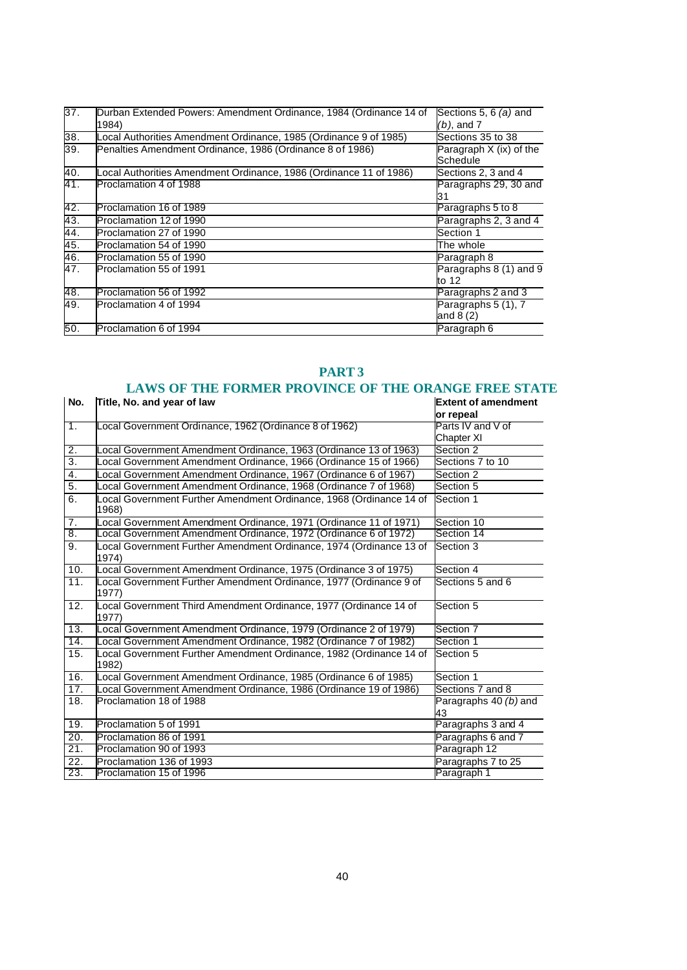| 37.        | Durban Extended Powers: Amendment Ordinance, 1984 (Ordinance 14 of<br>1984) | Sections 5, 6 $(a)$ and<br>$(b)$ , and $7$ |
|------------|-----------------------------------------------------------------------------|--------------------------------------------|
| 38.        | Local Authorities Amendment Ordinance, 1985 (Ordinance 9 of 1985)           | Sections 35 to 38                          |
| 39.        | Penalties Amendment Ordinance, 1986 (Ordinance 8 of 1986)                   | Paragraph $X$ (ix) of the<br>Schedule      |
| 40.        | Local Authorities Amendment Ordinance, 1986 (Ordinance 11 of 1986)          | Sections 2, 3 and 4                        |
| 41.        | Proclamation 4 of 1988                                                      | Paragraphs 29, 30 and<br>31                |
| 42.        | Proclamation 16 of 1989                                                     | Paragraphs 5 to 8                          |
| 43.        | Proclamation 12 of 1990                                                     | Paragraphs 2, 3 and 4                      |
| 44.        | Proclamation 27 of 1990                                                     | Section 1                                  |
| 45.<br>46. | Proclamation 54 of 1990                                                     | The whole                                  |
|            | Proclamation 55 of 1990                                                     | Paragraph 8                                |
| 47.        | Proclamation 55 of 1991                                                     | Paragraphs 8 (1) and 9<br>to 12            |
| 48.        | Proclamation 56 of 1992                                                     | Paragraphs 2 and 3                         |
| 49.        | Proclamation 4 of 1994                                                      | Paragraphs 5 (1), 7<br>and $8(2)$          |
| 50.        | Proclamation 6 of 1994                                                      | Paragraph 6                                |

#### **PART 3**

#### **LAWS OF THE FORMER PROVINCE OF THE ORANGE FREE STATE**

| No.              | Title, No. and year of law                                                   | <b>Extent of amendment</b>  |
|------------------|------------------------------------------------------------------------------|-----------------------------|
|                  |                                                                              | or repeal                   |
| $\overline{1}$ . | Local Government Ordinance, 1962 (Ordinance 8 of 1962)                       | Parts IV and V of           |
|                  |                                                                              | Chapter XI                  |
| $\overline{2}$ . | ocal Government Amendment Ordinance, 1963 (Ordinance 13 of 1963)             | Section 2                   |
| 3.               | Local Government Amendment Ordinance, 1966 (Ordinance 15 of 1966)            | Sections 7 to 10            |
| 4.               | Local Government Amendment Ordinance, 1967 (Ordinance 6 of 1967)             | Section 2                   |
| 5.               | ocal Government Amendment Ordinance, 1968 (Ordinance 7 of 1968)              | Section 5                   |
| 6.               | ocal Government Further Amendment Ordinance, 1968 (Ordinance 14 of<br>1968)  | Section 1                   |
| 7.               | ocal Government Amendment Ordinance, 1971 (Ordinance 11 of 1971)             | Section 10                  |
| 8.               | Local Government Amendment Ordinance, 1972 (Ordinance 6 of 1972)             | Section 14                  |
| 9.               | Local Government Further Amendment Ordinance, 1974 (Ordinance 13 of<br>1974) | Section 3                   |
| 10.              | Local Government Amendment Ordinance, 1975 (Ordinance 3 of 1975)             | Section 4                   |
| 11.              | ocal Government Further Amendment Ordinance, 1977 (Ordinance 9 of<br>1977)   | Sections 5 and 6            |
| 12.              | Local Government Third Amendment Ordinance, 1977 (Ordinance 14 of<br>1977)   | Section 5                   |
| 13.              | Local Government Amendment Ordinance, 1979 (Ordinance 2 of 1979)             | Section 7                   |
| 14.              | Local Government Amendment Ordinance, 1982 (Ordinance 7 of 1982)             | Section 1                   |
| 15.              | Local Government Further Amendment Ordinance, 1982 (Ordinance 14 of<br>1982) | Section 5                   |
| 16.              | Local Government Amendment Ordinance, 1985 (Ordinance 6 of 1985)             | Section 1                   |
| 17.              | Local Government Amendment Ordinance, 1986 (Ordinance 19 of 1986)            | Sections 7 and 8            |
| 18.              | Proclamation 18 of 1988                                                      | Paragraphs 40 (b) and<br>43 |
| 19.              | Proclamation 5 of 1991                                                       | Paragraphs 3 and 4          |
| 20.              | Proclamation 86 of 1991                                                      | Paragraphs 6 and 7          |
| 21.              | Proclamation 90 of 1993                                                      | Paragraph 12                |
| 22.              | Proclamation 136 of 1993                                                     | Paragraphs 7 to 25          |
| 23.              | Proclamation 15 of 1996                                                      | Paragraph 1                 |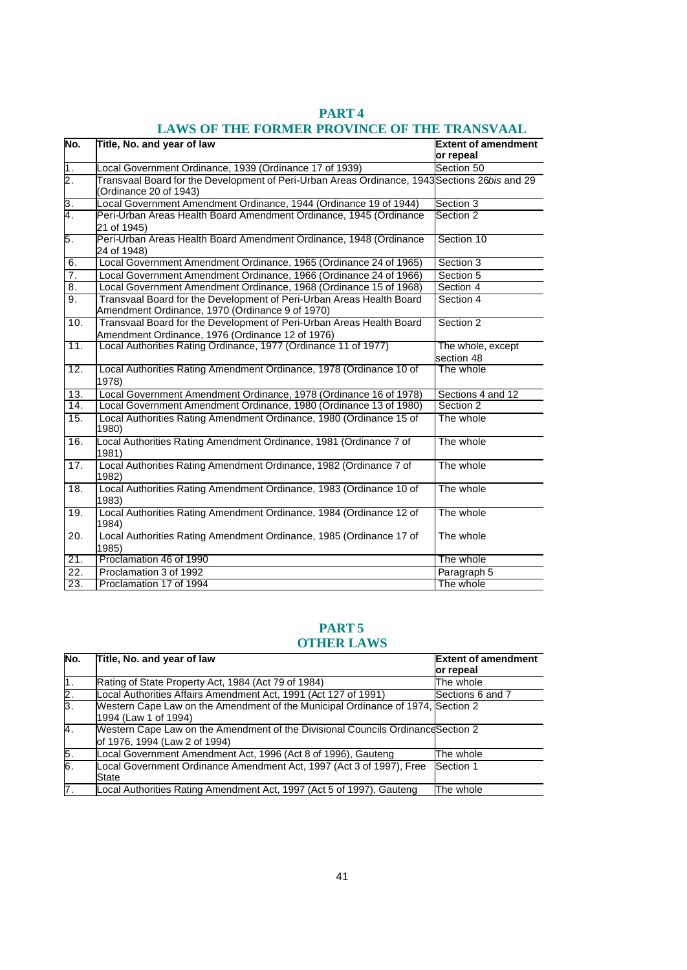| No.               | Title, No. and year of law                                                                                               | <b>Extent of amendment</b><br>or repeal |
|-------------------|--------------------------------------------------------------------------------------------------------------------------|-----------------------------------------|
| $\overline{1}$ .  | Local Government Ordinance, 1939 (Ordinance 17 of 1939)                                                                  | Section 50                              |
| $\overline{2}$ .  | Transvaal Board for the Development of Peri-Urban Areas Ordinance, 1943 Sections 26bis and 29<br>(Ordinance 20 of 1943)  |                                         |
| $\overline{3}$ .  | Local Government Amendment Ordinance, 1944 (Ordinance 19 of 1944)                                                        | Section 3                               |
| 4.                | Peri-Urban Areas Health Board Amendment Ordinance, 1945 (Ordinance<br>21 of 1945)                                        | Section 2                               |
| 5.                | Peri-Urban Areas Health Board Amendment Ordinance, 1948 (Ordinance<br>24 of 1948)                                        | Section 10                              |
| 6.                | Local Government Amendment Ordinance, 1965 (Ordinance 24 of 1965)                                                        | Section 3                               |
| $\overline{7}$ .  | Local Government Amendment Ordinance, 1966 (Ordinance 24 of 1966)                                                        | Section 5                               |
| 8.                | Local Government Amendment Ordinance, 1968 (Ordinance 15 of 1968)                                                        | Section 4                               |
| $\overline{9}$ .  | Transvaal Board for the Development of Peri-Urban Areas Health Board<br>Amendment Ordinance, 1970 (Ordinance 9 of 1970)  | Section 4                               |
| 10.               | Transvaal Board for the Development of Peri-Urban Areas Health Board<br>Amendment Ordinance, 1976 (Ordinance 12 of 1976) | Section 2                               |
| 11.               | Local Authorities Rating Ordinance, 1977 (Ordinance 11 of 1977)                                                          | The whole, except<br>section 48         |
| 12.               | Local Authorities Rating Amendment Ordinance, 1978 (Ordinance 10 of<br>1978)                                             | The whole                               |
| 13.               | Local Government Amendment Ordinance, 1978 (Ordinance 16 of 1978)                                                        | Sections 4 and 12                       |
| 14.               | Local Government Amendment Ordinance, 1980 (Ordinance 13 of 1980)                                                        | Section 2                               |
| 15.               | Local Authorities Rating Amendment Ordinance, 1980 (Ordinance 15 of<br>1980)                                             | The whole                               |
| 16.               | Local Authorities Rating Amendment Ordinance, 1981 (Ordinance 7 of<br>1981)                                              | The whole                               |
| 17.               | Local Authorities Rating Amendment Ordinance, 1982 (Ordinance 7 of<br>1982)                                              | The whole                               |
| 18.               | Local Authorities Rating Amendment Ordinance, 1983 (Ordinance 10 of<br>1983)                                             | The whole                               |
| 19.               | Local Authorities Rating Amendment Ordinance, 1984 (Ordinance 12 of<br>1984)                                             | The whole                               |
| 20.               | Local Authorities Rating Amendment Ordinance, 1985 (Ordinance 17 of<br>1985)                                             | The whole                               |
| 21.               | Proclamation 46 of 1990                                                                                                  | The whole                               |
| $\overline{22}$ . | Proclamation 3 of 1992                                                                                                   | Paragraph 5                             |
| 23.               | Proclamation 17 of 1994                                                                                                  | The whole                               |

# **PART 4**

# **LAWS OF THE FORMER PROVINCE OF THE TRANSVAAL**

# **PART 5 OTHER LAWS**

| No.           | Title, No. and year of law                                                                                        | <b>Extent of amendment</b> |
|---------------|-------------------------------------------------------------------------------------------------------------------|----------------------------|
|               |                                                                                                                   | or repeal                  |
| 1.            | Rating of State Property Act, 1984 (Act 79 of 1984)                                                               | The whole                  |
| $\frac{2}{3}$ | Local Authorities Affairs Amendment Act, 1991 (Act 127 of 1991)                                                   | Sections 6 and 7           |
|               | Western Cape Law on the Amendment of the Municipal Ordinance of 1974, Section 2<br>1994 (Law 1 of 1994)           |                            |
| 4.            | Western Cape Law on the Amendment of the Divisional Councils Ordinance Section 2<br>of 1976, 1994 (Law 2 of 1994) |                            |
| $\frac{5}{6}$ | Local Government Amendment Act, 1996 (Act 8 of 1996), Gauteng                                                     | The whole                  |
|               | Local Government Ordinance Amendment Act, 1997 (Act 3 of 1997), Free<br>State                                     | Section 1                  |
| 7.            | Local Authorities Rating Amendment Act, 1997 (Act 5 of 1997), Gauteng                                             | The whole                  |